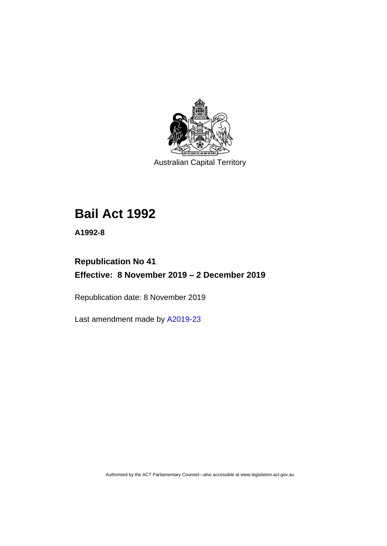

Australian Capital Territory

# **Bail Act 1992**

**A1992-8**

# **Republication No 41 Effective: 8 November 2019 – 2 December 2019**

Republication date: 8 November 2019

Last amendment made by [A2019-23](http://www.legislation.act.gov.au/a/2019-23/default.asp)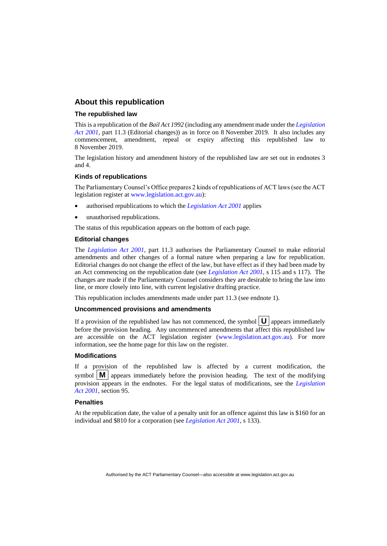#### **About this republication**

#### **The republished law**

This is a republication of the *Bail Act 1992* (including any amendment made under the *[Legislation](http://www.legislation.act.gov.au/a/2001-14)  [Act 2001](http://www.legislation.act.gov.au/a/2001-14)*, part 11.3 (Editorial changes)) as in force on 8 November 2019*.* It also includes any commencement, amendment, repeal or expiry affecting this republished law to 8 November 2019.

The legislation history and amendment history of the republished law are set out in endnotes 3 and 4.

#### **Kinds of republications**

The Parliamentary Counsel's Office prepares 2 kinds of republications of ACT laws (see the ACT legislation register at [www.legislation.act.gov.au\)](http://www.legislation.act.gov.au/):

- authorised republications to which the *[Legislation Act 2001](http://www.legislation.act.gov.au/a/2001-14)* applies
- unauthorised republications.

The status of this republication appears on the bottom of each page.

#### **Editorial changes**

The *[Legislation Act 2001](http://www.legislation.act.gov.au/a/2001-14)*, part 11.3 authorises the Parliamentary Counsel to make editorial amendments and other changes of a formal nature when preparing a law for republication. Editorial changes do not change the effect of the law, but have effect as if they had been made by an Act commencing on the republication date (see *[Legislation Act 2001](http://www.legislation.act.gov.au/a/2001-14)*, s 115 and s 117). The changes are made if the Parliamentary Counsel considers they are desirable to bring the law into line, or more closely into line, with current legislative drafting practice.

This republication includes amendments made under part 11.3 (see endnote 1).

#### **Uncommenced provisions and amendments**

If a provision of the republished law has not commenced, the symbol  $\mathbf{U}$  appears immediately before the provision heading. Any uncommenced amendments that affect this republished law are accessible on the ACT legislation register [\(www.legislation.act.gov.au\)](http://www.legislation.act.gov.au/). For more information, see the home page for this law on the register.

#### **Modifications**

If a provision of the republished law is affected by a current modification, the symbol  $\mathbf{M}$  appears immediately before the provision heading. The text of the modifying provision appears in the endnotes. For the legal status of modifications, see the *[Legislation](http://www.legislation.act.gov.au/a/2001-14)  Act [2001](http://www.legislation.act.gov.au/a/2001-14)*, section 95.

#### **Penalties**

At the republication date, the value of a penalty unit for an offence against this law is \$160 for an individual and \$810 for a corporation (see *[Legislation Act 2001](http://www.legislation.act.gov.au/a/2001-14)*, s 133).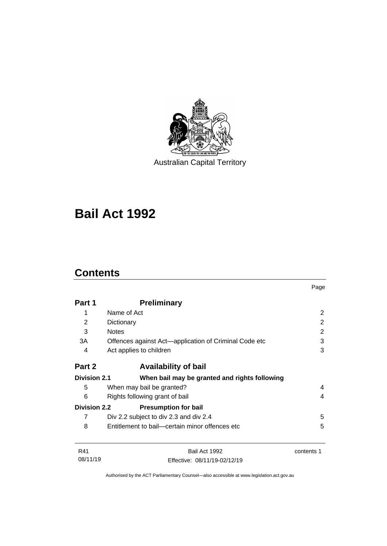

Australian Capital Territory

# **Bail Act 1992**

# **Contents**

|                     |                                                       | Page       |
|---------------------|-------------------------------------------------------|------------|
| Part 1              | <b>Preliminary</b>                                    |            |
| 1                   | Name of Act                                           | 2          |
| $\overline{2}$      | Dictionary                                            | 2          |
| 3                   | <b>Notes</b>                                          | 2          |
| 3A                  | Offences against Act—application of Criminal Code etc | 3          |
| 4                   | Act applies to children                               | 3          |
| Part 2              | <b>Availability of bail</b>                           |            |
| <b>Division 2.1</b> | When bail may be granted and rights following         |            |
| 5                   | When may bail be granted?                             | 4          |
| 6                   | Rights following grant of bail                        | 4          |
| <b>Division 2.2</b> | <b>Presumption for bail</b>                           |            |
| 7                   | Div 2.2 subject to div 2.3 and div 2.4                | 5          |
| 8                   | Entitlement to bail—certain minor offences etc        | 5          |
| R41                 | Bail Act 1992                                         | contents 1 |
| 08/11/19            | Effective: 08/11/19-02/12/19                          |            |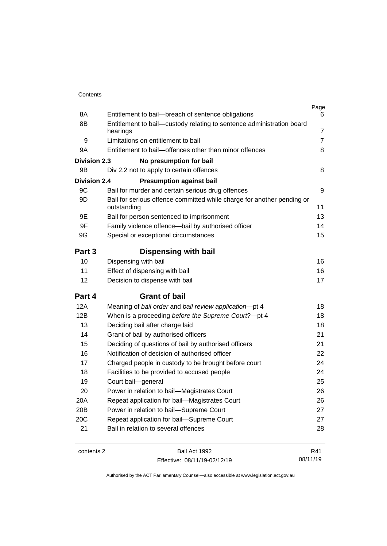| Contents |
|----------|
|----------|

| 8A                  | Entitlement to bail-breach of sentence obligations                                    | Page<br>6      |
|---------------------|---------------------------------------------------------------------------------------|----------------|
| 8Β                  | Entitlement to bail-custody relating to sentence administration board                 |                |
|                     | hearings                                                                              | 7              |
| 9                   | Limitations on entitlement to bail                                                    | $\overline{7}$ |
| 9A                  | Entitlement to bail-offences other than minor offences                                | 8              |
| <b>Division 2.3</b> | No presumption for bail                                                               |                |
| 9Β                  | Div 2.2 not to apply to certain offences                                              | 8              |
| <b>Division 2.4</b> | <b>Presumption against bail</b>                                                       |                |
| 9C                  | Bail for murder and certain serious drug offences                                     | 9              |
| 9D                  | Bail for serious offence committed while charge for another pending or<br>outstanding | 11             |
| 9E                  | Bail for person sentenced to imprisonment                                             | 13             |
| 9F                  | Family violence offence-bail by authorised officer                                    | 14             |
| 9G                  | Special or exceptional circumstances                                                  | 15             |
| Part 3              | Dispensing with bail                                                                  |                |
| 10                  | Dispensing with bail                                                                  | 16             |
| 11                  | Effect of dispensing with bail                                                        | 16             |
| 12                  | Decision to dispense with bail                                                        | 17             |
| Part 4              | <b>Grant of bail</b>                                                                  |                |
| 12A                 | Meaning of bail order and bail review application-pt 4                                | 18             |
| 12B                 | When is a proceeding before the Supreme Court?-pt 4                                   | 18             |
| 13                  | Deciding bail after charge laid                                                       | 18             |
| 14                  | Grant of bail by authorised officers                                                  | 21             |
| 15                  | Deciding of questions of bail by authorised officers                                  | 21             |
| 16                  | Notification of decision of authorised officer                                        | 22             |
| 17                  | Charged people in custody to be brought before court                                  | 24             |
| 18                  | Facilities to be provided to accused people                                           | 24             |
| 19                  | Court bail-general                                                                    | 25             |
| 20                  | Power in relation to bail—Magistrates Court                                           | 26             |
| 20A                 | Repeat application for bail-Magistrates Court                                         | 26             |
| 20B                 | Power in relation to bail-Supreme Court                                               | 27             |
| 20C                 | Repeat application for bail-Supreme Court                                             | 27             |
| 21                  | Bail in relation to several offences                                                  | 28             |
|                     |                                                                                       |                |

contents 2 Bail Act 1992 Effective: 08/11/19-02/12/19

R41 08/11/19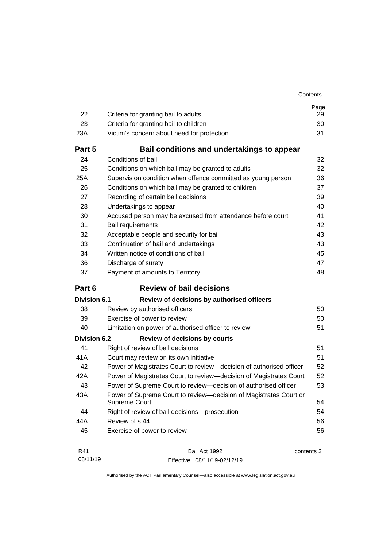| 22                  | Criteria for granting bail to adults                                                      | Page<br>29 |
|---------------------|-------------------------------------------------------------------------------------------|------------|
| 23                  | Criteria for granting bail to children                                                    | 30         |
| 23A                 | Victim's concern about need for protection                                                | 31         |
|                     |                                                                                           |            |
| Part 5              | Bail conditions and undertakings to appear                                                |            |
| 24                  | Conditions of bail                                                                        | 32         |
| 25                  | Conditions on which bail may be granted to adults                                         | 32         |
| 25A                 | Supervision condition when offence committed as young person                              | 36         |
| 26                  | Conditions on which bail may be granted to children                                       | 37         |
| 27                  | Recording of certain bail decisions                                                       | 39         |
| 28                  | Undertakings to appear                                                                    | 40         |
| 30                  | Accused person may be excused from attendance before court                                | 41         |
| 31                  | Bail requirements                                                                         | 42         |
| 32<br>33            | Acceptable people and security for bail                                                   | 43         |
|                     | Continuation of bail and undertakings<br>Written notice of conditions of bail             | 43         |
| 34<br>36            |                                                                                           | 45<br>47   |
| 37                  | Discharge of surety<br>Payment of amounts to Territory                                    | 48         |
|                     |                                                                                           |            |
| Part 6              | <b>Review of bail decisions</b>                                                           |            |
| <b>Division 6.1</b> | Review of decisions by authorised officers                                                |            |
| 38                  | Review by authorised officers                                                             | 50         |
| 39                  | Exercise of power to review                                                               | 50         |
| 40                  | Limitation on power of authorised officer to review                                       | 51         |
| <b>Division 6.2</b> | <b>Review of decisions by courts</b>                                                      |            |
| 41                  | Right of review of bail decisions                                                         | 51         |
| 41A                 | Court may review on its own initiative                                                    | 51         |
| 42                  | Power of Magistrates Court to review-decision of authorised officer                       | 52         |
| 42A                 | Power of Magistrates Court to review-decision of Magistrates Court                        | 52         |
| 43                  | Power of Supreme Court to review-decision of authorised officer                           | 53         |
| 43A                 | Power of Supreme Court to review-decision of Magistrates Court or<br><b>Supreme Court</b> | 54         |
| 44                  | Right of review of bail decisions-prosecution                                             | 54         |
| 44A                 | Review of s 44                                                                            | 56         |
| 45                  | Exercise of power to review                                                               | 56         |

| R41      | Bail Act 1992                | contents 3 |
|----------|------------------------------|------------|
| 08/11/19 | Effective: 08/11/19-02/12/19 |            |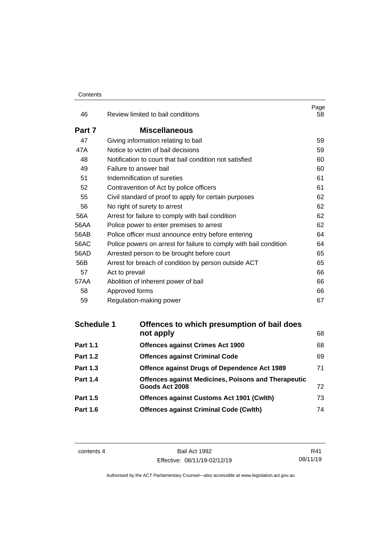#### **Contents**

| 46     | Review limited to bail conditions                                 | Page<br>58 |
|--------|-------------------------------------------------------------------|------------|
| Part 7 | <b>Miscellaneous</b>                                              |            |
| 47     | Giving information relating to bail                               | 59         |
| 47A    | Notice to victim of bail decisions                                | 59         |
| 48     | Notification to court that bail condition not satisfied           | 60         |
| 49     | Failure to answer bail                                            | 60         |
| 51     | Indemnification of sureties                                       | 61         |
| 52     | Contravention of Act by police officers                           | 61         |
| 55     | Civil standard of proof to apply for certain purposes             | 62         |
| 56     | No right of surety to arrest                                      | 62         |
| 56A    | Arrest for failure to comply with bail condition                  | 62         |
| 56AA   | Police power to enter premises to arrest                          | 62         |
| 56AB   | Police officer must announce entry before entering                | 64         |
| 56AC   | Police powers on arrest for failure to comply with bail condition | 64         |
| 56AD   | Arrested person to be brought before court                        | 65         |
| 56B    | Arrest for breach of condition by person outside ACT              | 65         |
| 57     | Act to prevail                                                    | 66         |
| 57AA   | Abolition of inherent power of bail                               | 66         |
| 58     | Approved forms                                                    | 66         |
| 59     | Regulation-making power                                           | 67         |

| <b>Schedule 1</b> | Offences to which presumption of bail does                 |    |
|-------------------|------------------------------------------------------------|----|
|                   | not apply                                                  | 68 |
| <b>Part 1.1</b>   | <b>Offences against Crimes Act 1900</b>                    | 68 |
| <b>Part 1.2</b>   | <b>Offences against Criminal Code</b>                      | 69 |
| <b>Part 1.3</b>   | Offence against Drugs of Dependence Act 1989               | 71 |
| <b>Part 1.4</b>   | <b>Offences against Medicines, Poisons and Therapeutic</b> |    |
|                   | Goods Act 2008                                             | 72 |
| <b>Part 1.5</b>   | <b>Offences against Customs Act 1901 (Cwlth)</b>           | 73 |
| <b>Part 1.6</b>   | <b>Offences against Criminal Code (Cwlth)</b>              | 74 |
|                   |                                                            |    |

contents 4 Bail Act 1992 Effective: 08/11/19-02/12/19

R41 08/11/19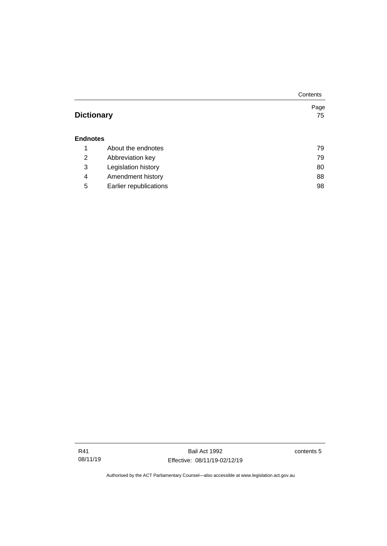|                   |                        | Contents |
|-------------------|------------------------|----------|
|                   |                        | Page     |
| <b>Dictionary</b> |                        | 75       |
|                   |                        |          |
| <b>Endnotes</b>   |                        |          |
| 1                 | About the endnotes     | 79       |
| 2                 | Abbreviation key       | 79       |
| 3                 | Legislation history    | 80       |
| 4                 | Amendment history      | 88       |
| 5                 | Earlier republications | 98       |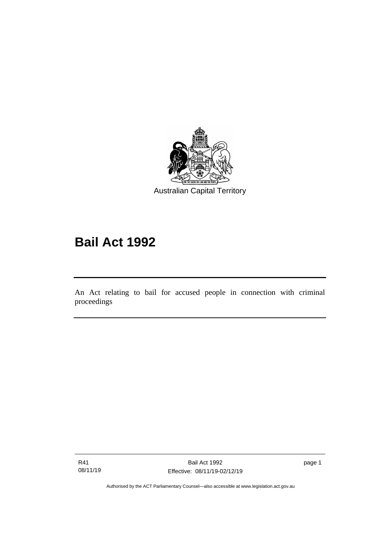

# **Bail Act 1992**

An Act relating to bail for accused people in connection with criminal proceedings

R41 08/11/19

I

page 1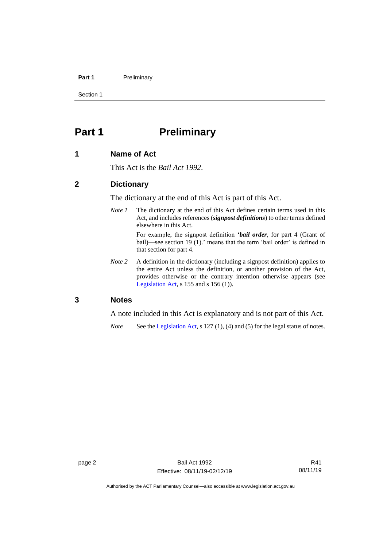#### Part 1 **Preliminary**

Section 1

# <span id="page-9-0"></span>**Part 1 Preliminary**

#### <span id="page-9-1"></span>**1 Name of Act**

This Act is the *Bail Act 1992*.

#### <span id="page-9-2"></span>**2 Dictionary**

The dictionary at the end of this Act is part of this Act.

*Note 1* The dictionary at the end of this Act defines certain terms used in this Act, and includes references (*signpost definitions*) to other terms defined elsewhere in this Act.

> For example, the signpost definition '*bail order*, for part 4 (Grant of bail)—see section 19 (1).' means that the term 'bail order' is defined in that section for part 4.

*Note* 2 A definition in the dictionary (including a signpost definition) applies to the entire Act unless the definition, or another provision of the Act, provides otherwise or the contrary intention otherwise appears (see [Legislation Act,](http://www.legislation.act.gov.au/a/2001-14) s 155 and s 156 (1)).

#### <span id="page-9-3"></span>**3 Notes**

A note included in this Act is explanatory and is not part of this Act.

*Note* See the [Legislation Act,](http://www.legislation.act.gov.au/a/2001-14) s 127 (1), (4) and (5) for the legal status of notes.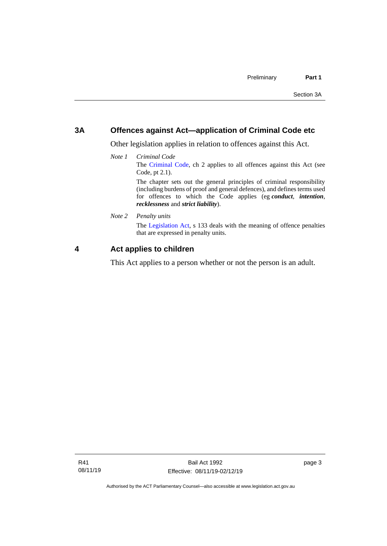#### <span id="page-10-0"></span>**3A Offences against Act—application of Criminal Code etc**

*recklessness* and *strict liability*).

Other legislation applies in relation to offences against this Act.

- *Note 1 Criminal Code* The [Criminal Code,](http://www.legislation.act.gov.au/a/2002-51) ch 2 applies to all offences against this Act (see Code, pt 2.1). The chapter sets out the general principles of criminal responsibility (including burdens of proof and general defences), and defines terms used for offences to which the Code applies (eg *conduct*, *intention*,
- *Note 2 Penalty units*

The [Legislation Act,](http://www.legislation.act.gov.au/a/2001-14) s 133 deals with the meaning of offence penalties that are expressed in penalty units.

#### <span id="page-10-1"></span>**4 Act applies to children**

This Act applies to a person whether or not the person is an adult.

page 3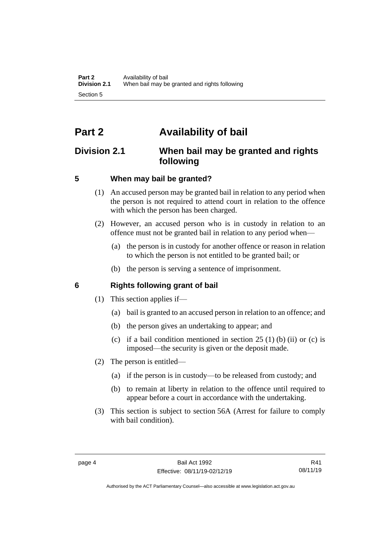# <span id="page-11-0"></span>**Part 2 Availability of bail**

# <span id="page-11-1"></span>**Division 2.1 When bail may be granted and rights following**

## <span id="page-11-2"></span>**5 When may bail be granted?**

- (1) An accused person may be granted bail in relation to any period when the person is not required to attend court in relation to the offence with which the person has been charged.
- (2) However, an accused person who is in custody in relation to an offence must not be granted bail in relation to any period when—
	- (a) the person is in custody for another offence or reason in relation to which the person is not entitled to be granted bail; or
	- (b) the person is serving a sentence of imprisonment.

#### <span id="page-11-3"></span>**6 Rights following grant of bail**

- (1) This section applies if—
	- (a) bail is granted to an accused person in relation to an offence; and
	- (b) the person gives an undertaking to appear; and
	- (c) if a bail condition mentioned in section  $25(1)$  (b) (ii) or (c) is imposed—the security is given or the deposit made.
- (2) The person is entitled—
	- (a) if the person is in custody—to be released from custody; and
	- (b) to remain at liberty in relation to the offence until required to appear before a court in accordance with the undertaking.
- (3) This section is subject to section 56A (Arrest for failure to comply with bail condition).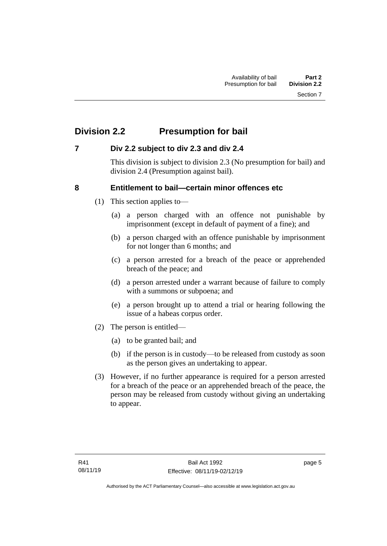# <span id="page-12-0"></span>**Division 2.2 Presumption for bail**

## <span id="page-12-1"></span>**7 Div 2.2 subject to div 2.3 and div 2.4**

This division is subject to division 2.3 (No presumption for bail) and division 2.4 (Presumption against bail).

## <span id="page-12-2"></span>**8 Entitlement to bail—certain minor offences etc**

- (1) This section applies to—
	- (a) a person charged with an offence not punishable by imprisonment (except in default of payment of a fine); and
	- (b) a person charged with an offence punishable by imprisonment for not longer than 6 months; and
	- (c) a person arrested for a breach of the peace or apprehended breach of the peace; and
	- (d) a person arrested under a warrant because of failure to comply with a summons or subpoena; and
	- (e) a person brought up to attend a trial or hearing following the issue of a habeas corpus order.
- (2) The person is entitled—
	- (a) to be granted bail; and
	- (b) if the person is in custody—to be released from custody as soon as the person gives an undertaking to appear.
- (3) However, if no further appearance is required for a person arrested for a breach of the peace or an apprehended breach of the peace, the person may be released from custody without giving an undertaking to appear.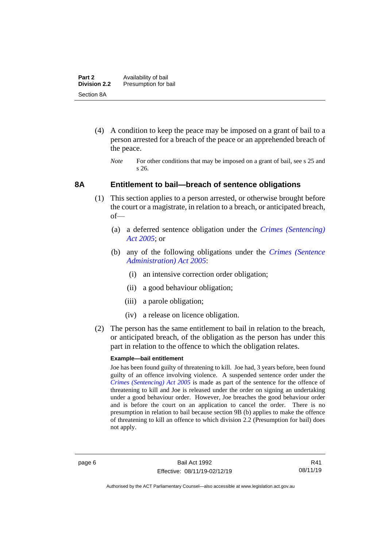- (4) A condition to keep the peace may be imposed on a grant of bail to a person arrested for a breach of the peace or an apprehended breach of the peace.
	- *Note* For other conditions that may be imposed on a grant of bail, see s 25 and s 26.

#### <span id="page-13-0"></span>**8A Entitlement to bail—breach of sentence obligations**

- (1) This section applies to a person arrested, or otherwise brought before the court or a magistrate, in relation to a breach, or anticipated breach, of—
	- (a) a deferred sentence obligation under the *[Crimes \(Sentencing\)](http://www.legislation.act.gov.au/a/2005-58)  [Act 2005](http://www.legislation.act.gov.au/a/2005-58)*; or
	- (b) any of the following obligations under the *[Crimes \(Sentence](http://www.legislation.act.gov.au/a/2005-59)  [Administration\) Act 2005](http://www.legislation.act.gov.au/a/2005-59)*:
		- (i) an intensive correction order obligation;
		- (ii) a good behaviour obligation;
		- (iii) a parole obligation;
		- (iv) a release on licence obligation.
- (2) The person has the same entitlement to bail in relation to the breach, or anticipated breach, of the obligation as the person has under this part in relation to the offence to which the obligation relates.

#### **Example—bail entitlement**

Joe has been found guilty of threatening to kill. Joe had, 3 years before, been found guilty of an offence involving violence. A suspended sentence order under the *[Crimes \(Sentencing\) Act 2005](http://www.legislation.act.gov.au/a/2005-58)* is made as part of the sentence for the offence of threatening to kill and Joe is released under the order on signing an undertaking under a good behaviour order. However, Joe breaches the good behaviour order and is before the court on an application to cancel the order. There is no presumption in relation to bail because section 9B (b) applies to make the offence of threatening to kill an offence to which division 2.2 (Presumption for bail) does not apply.

R41 08/11/19

Authorised by the ACT Parliamentary Counsel—also accessible at www.legislation.act.gov.au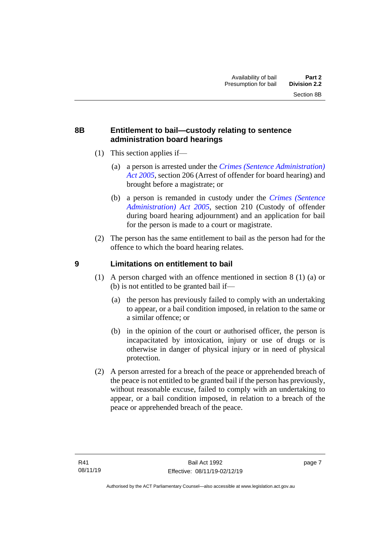### <span id="page-14-0"></span>**8B Entitlement to bail—custody relating to sentence administration board hearings**

- (1) This section applies if—
	- (a) a person is arrested under the *[Crimes \(Sentence Administration\)](http://www.legislation.act.gov.au/a/2005-59)  [Act 2005](http://www.legislation.act.gov.au/a/2005-59)*, section 206 (Arrest of offender for board hearing) and brought before a magistrate; or
	- (b) a person is remanded in custody under the *[Crimes \(Sentence](http://www.legislation.act.gov.au/a/2005-59)  [Administration\) Act 2005](http://www.legislation.act.gov.au/a/2005-59)*, section 210 (Custody of offender during board hearing adjournment) and an application for bail for the person is made to a court or magistrate.
- (2) The person has the same entitlement to bail as the person had for the offence to which the board hearing relates.

## <span id="page-14-1"></span>**9 Limitations on entitlement to bail**

- (1) A person charged with an offence mentioned in section 8 (1) (a) or (b) is not entitled to be granted bail if—
	- (a) the person has previously failed to comply with an undertaking to appear, or a bail condition imposed, in relation to the same or a similar offence; or
	- (b) in the opinion of the court or authorised officer, the person is incapacitated by intoxication, injury or use of drugs or is otherwise in danger of physical injury or in need of physical protection.
- (2) A person arrested for a breach of the peace or apprehended breach of the peace is not entitled to be granted bail if the person has previously, without reasonable excuse, failed to comply with an undertaking to appear, or a bail condition imposed, in relation to a breach of the peace or apprehended breach of the peace.

page 7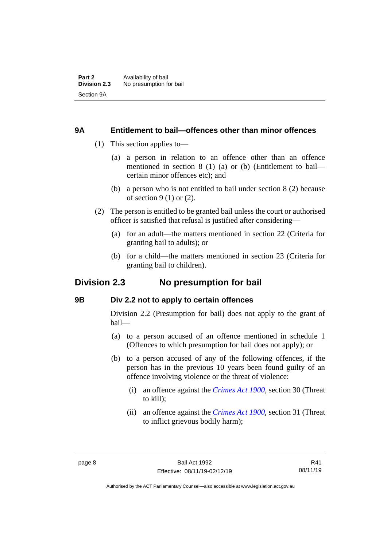#### <span id="page-15-0"></span>**9A Entitlement to bail—offences other than minor offences**

- (1) This section applies to—
	- (a) a person in relation to an offence other than an offence mentioned in section 8 (1) (a) or (b) (Entitlement to bail certain minor offences etc); and
	- (b) a person who is not entitled to bail under section 8 (2) because of section 9 (1) or (2).
- (2) The person is entitled to be granted bail unless the court or authorised officer is satisfied that refusal is justified after considering—
	- (a) for an adult—the matters mentioned in section 22 (Criteria for granting bail to adults); or
	- (b) for a child—the matters mentioned in section 23 (Criteria for granting bail to children).

# <span id="page-15-1"></span>**Division 2.3 No presumption for bail**

#### <span id="page-15-2"></span>**9B Div 2.2 not to apply to certain offences**

Division 2.2 (Presumption for bail) does not apply to the grant of bail—

- (a) to a person accused of an offence mentioned in schedule 1 (Offences to which presumption for bail does not apply); or
- (b) to a person accused of any of the following offences, if the person has in the previous 10 years been found guilty of an offence involving violence or the threat of violence:
	- (i) an offence against the *[Crimes Act 1900](http://www.legislation.act.gov.au/a/1900-40)*, section 30 (Threat to kill);
	- (ii) an offence against the *[Crimes Act 1900](http://www.legislation.act.gov.au/a/1900-40)*, section 31 (Threat to inflict grievous bodily harm);

R41 08/11/19

Authorised by the ACT Parliamentary Counsel—also accessible at www.legislation.act.gov.au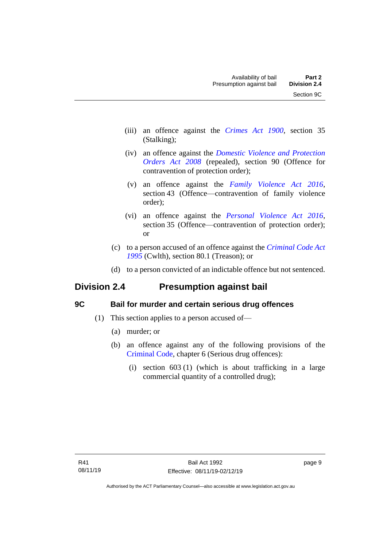- (iii) an offence against the *[Crimes Act 1900](http://www.legislation.act.gov.au/a/1900-40)*, section 35 (Stalking);
- (iv) an offence against the *[Domestic Violence and Protection](http://www.legislation.act.gov.au/a/2008-46)  [Orders Act 2008](http://www.legislation.act.gov.au/a/2008-46)* (repealed), section 90 (Offence for contravention of protection order);
- (v) an offence against the *[Family Violence Act 2016](http://www.legislation.act.gov.au/a/2016-42)*, section 43 (Offence—contravention of family violence order);
- (vi) an offence against the *[Personal Violence Act 2016](http://www.legislation.act.gov.au/a/2016-43)*, section 35 (Offence—contravention of protection order); or
- (c) to a person accused of an offence against the *[Criminal Code Act](http://www.comlaw.gov.au/Details/C2013C00138)  [1995](http://www.comlaw.gov.au/Details/C2013C00138)* (Cwlth), section 80.1 (Treason); or
- (d) to a person convicted of an indictable offence but not sentenced.

# <span id="page-16-0"></span>**Division 2.4 Presumption against bail**

# <span id="page-16-1"></span>**9C Bail for murder and certain serious drug offences**

- (1) This section applies to a person accused of—
	- (a) murder; or
	- (b) an offence against any of the following provisions of the [Criminal Code,](http://www.legislation.act.gov.au/a/2002-51) chapter 6 (Serious drug offences):
		- (i) section 603 (1) (which is about trafficking in a large commercial quantity of a controlled drug);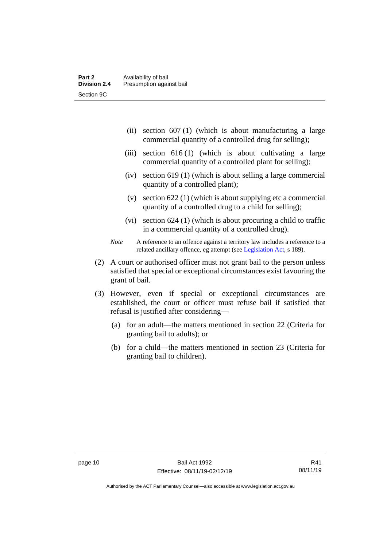- (ii) section 607 (1) (which is about manufacturing a large commercial quantity of a controlled drug for selling);
- (iii) section 616 (1) (which is about cultivating a large commercial quantity of a controlled plant for selling);
- (iv) section 619 (1) (which is about selling a large commercial quantity of a controlled plant);
- (v) section 622 (1) (which is about supplying etc a commercial quantity of a controlled drug to a child for selling);
- (vi) section 624 (1) (which is about procuring a child to traffic in a commercial quantity of a controlled drug).

- (2) A court or authorised officer must not grant bail to the person unless satisfied that special or exceptional circumstances exist favouring the grant of bail.
- (3) However, even if special or exceptional circumstances are established, the court or officer must refuse bail if satisfied that refusal is justified after considering—
	- (a) for an adult—the matters mentioned in section 22 (Criteria for granting bail to adults); or
	- (b) for a child—the matters mentioned in section 23 (Criteria for granting bail to children).

*Note* A reference to an offence against a territory law includes a reference to a related ancillary offence, eg attempt (see [Legislation Act,](http://www.legislation.act.gov.au/a/2001-14) s 189).

Authorised by the ACT Parliamentary Counsel—also accessible at www.legislation.act.gov.au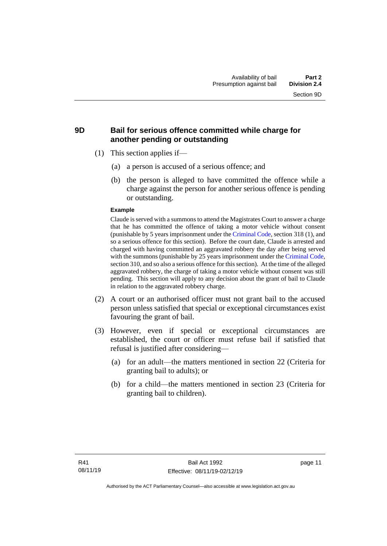### <span id="page-18-0"></span>**9D Bail for serious offence committed while charge for another pending or outstanding**

- (1) This section applies if—
	- (a) a person is accused of a serious offence; and
	- (b) the person is alleged to have committed the offence while a charge against the person for another serious offence is pending or outstanding.

#### **Example**

Claude is served with a summons to attend the Magistrates Court to answer a charge that he has committed the offence of taking a motor vehicle without consent (punishable by 5 years imprisonment under the [Criminal Code,](http://www.legislation.act.gov.au/a/2002-51) section 318 (1), and so a serious offence for this section). Before the court date, Claude is arrested and charged with having committed an aggravated robbery the day after being served with the summons (punishable by 25 years imprisonment under the [Criminal Code,](http://www.legislation.act.gov.au/a/2002-51) section 310, and so also a serious offence for this section). At the time of the alleged aggravated robbery, the charge of taking a motor vehicle without consent was still pending. This section will apply to any decision about the grant of bail to Claude in relation to the aggravated robbery charge.

- (2) A court or an authorised officer must not grant bail to the accused person unless satisfied that special or exceptional circumstances exist favouring the grant of bail.
- (3) However, even if special or exceptional circumstances are established, the court or officer must refuse bail if satisfied that refusal is justified after considering—
	- (a) for an adult—the matters mentioned in section 22 (Criteria for granting bail to adults); or
	- (b) for a child—the matters mentioned in section 23 (Criteria for granting bail to children).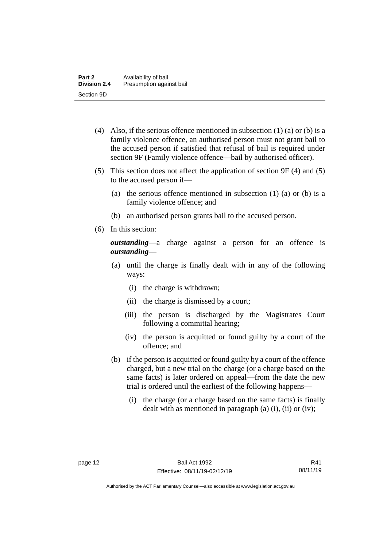- (4) Also, if the serious offence mentioned in subsection  $(1)$  (a) or (b) is a family violence offence, an authorised person must not grant bail to the accused person if satisfied that refusal of bail is required under section 9F (Family violence offence—bail by authorised officer).
- (5) This section does not affect the application of section 9F (4) and (5) to the accused person if—
	- (a) the serious offence mentioned in subsection (1) (a) or (b) is a family violence offence; and
	- (b) an authorised person grants bail to the accused person.
- (6) In this section:

*outstanding*—a charge against a person for an offence is *outstanding*—

- (a) until the charge is finally dealt with in any of the following ways:
	- (i) the charge is withdrawn;
	- (ii) the charge is dismissed by a court;
	- (iii) the person is discharged by the Magistrates Court following a committal hearing;
	- (iv) the person is acquitted or found guilty by a court of the offence; and
- (b) if the person is acquitted or found guilty by a court of the offence charged, but a new trial on the charge (or a charge based on the same facts) is later ordered on appeal—from the date the new trial is ordered until the earliest of the following happens—
	- (i) the charge (or a charge based on the same facts) is finally dealt with as mentioned in paragraph (a)  $(i)$ ,  $(ii)$  or  $(iv)$ ;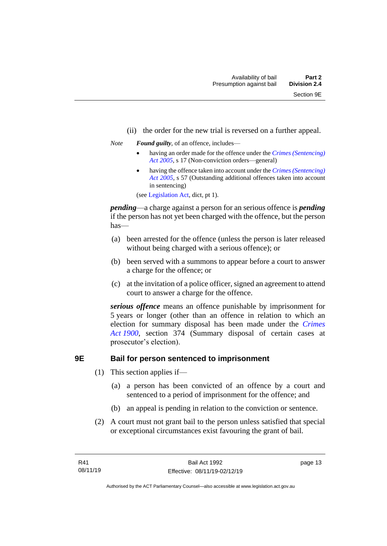- (ii) the order for the new trial is reversed on a further appeal.
- *Note Found guilty*, of an offence, includes—
	- having an order made for the offence under the *[Crimes \(Sentencing\)](http://www.legislation.act.gov.au/a/2005-58)  [Act 2005](http://www.legislation.act.gov.au/a/2005-58)*, s 17 (Non-conviction orders—general)
	- having the offence taken into account under the *[Crimes \(Sentencing\)](http://www.legislation.act.gov.au/a/2005-58)  [Act 2005](http://www.legislation.act.gov.au/a/2005-58)*, s 57 (Outstanding additional offences taken into account in sentencing)

(se[e Legislation Act,](http://www.legislation.act.gov.au/a/2001-14) dict, pt 1).

*pending*—a charge against a person for an serious offence is *pending*  if the person has not yet been charged with the offence, but the person has—

- (a) been arrested for the offence (unless the person is later released without being charged with a serious offence); or
- (b) been served with a summons to appear before a court to answer a charge for the offence; or
- (c) at the invitation of a police officer, signed an agreement to attend court to answer a charge for the offence.

*serious offence* means an offence punishable by imprisonment for 5 years or longer (other than an offence in relation to which an election for summary disposal has been made under the *[Crimes](http://www.legislation.act.gov.au/a/1900-40)  Act [1900](http://www.legislation.act.gov.au/a/1900-40)*, section 374 (Summary disposal of certain cases at prosecutor's election).

#### <span id="page-20-0"></span>**9E Bail for person sentenced to imprisonment**

- (1) This section applies if—
	- (a) a person has been convicted of an offence by a court and sentenced to a period of imprisonment for the offence; and
	- (b) an appeal is pending in relation to the conviction or sentence.
- (2) A court must not grant bail to the person unless satisfied that special or exceptional circumstances exist favouring the grant of bail.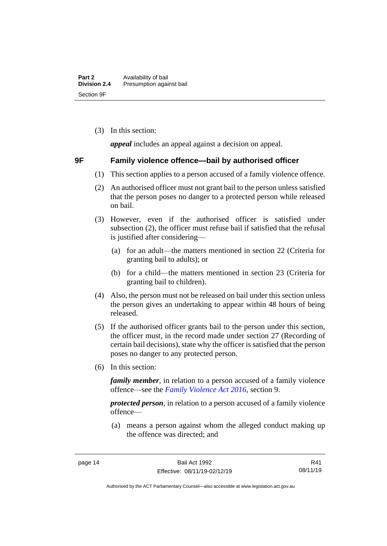(3) In this section:

*appeal* includes an appeal against a decision on appeal.

### <span id="page-21-0"></span>**9F Family violence offence—bail by authorised officer**

- (1) This section applies to a person accused of a family violence offence.
- (2) An authorised officer must not grant bail to the person unless satisfied that the person poses no danger to a protected person while released on bail.
- (3) However, even if the authorised officer is satisfied under subsection (2), the officer must refuse bail if satisfied that the refusal is justified after considering—
	- (a) for an adult—the matters mentioned in section 22 (Criteria for granting bail to adults); or
	- (b) for a child—the matters mentioned in section 23 (Criteria for granting bail to children).
- (4) Also, the person must not be released on bail under this section unless the person gives an undertaking to appear within 48 hours of being released.
- (5) If the authorised officer grants bail to the person under this section, the officer must, in the record made under section 27 (Recording of certain bail decisions), state why the officer is satisfied that the person poses no danger to any protected person.
- (6) In this section:

*family member*, in relation to a person accused of a family violence offence—see the *[Family Violence Act 2016](http://www.legislation.act.gov.au/a/2016-42)*, section 9.

*protected person*, in relation to a person accused of a family violence offence—

(a) means a person against whom the alleged conduct making up the offence was directed; and

Authorised by the ACT Parliamentary Counsel—also accessible at www.legislation.act.gov.au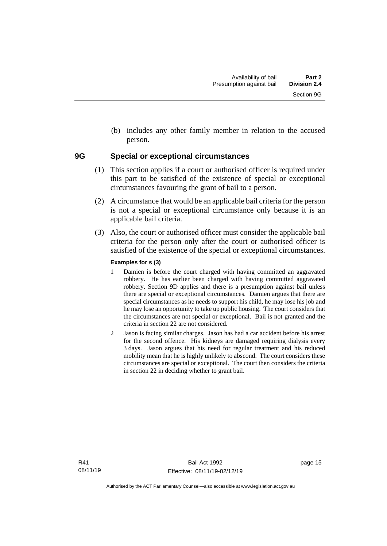(b) includes any other family member in relation to the accused person.

### <span id="page-22-0"></span>**9G Special or exceptional circumstances**

- (1) This section applies if a court or authorised officer is required under this part to be satisfied of the existence of special or exceptional circumstances favouring the grant of bail to a person.
- (2) A circumstance that would be an applicable bail criteria for the person is not a special or exceptional circumstance only because it is an applicable bail criteria.
- (3) Also, the court or authorised officer must consider the applicable bail criteria for the person only after the court or authorised officer is satisfied of the existence of the special or exceptional circumstances.

#### **Examples for s (3)**

- 1 Damien is before the court charged with having committed an aggravated robbery. He has earlier been charged with having committed aggravated robbery. Section 9D applies and there is a presumption against bail unless there are special or exceptional circumstances. Damien argues that there are special circumstances as he needs to support his child, he may lose his job and he may lose an opportunity to take up public housing. The court considers that the circumstances are not special or exceptional. Bail is not granted and the criteria in section 22 are not considered.
- 2 Jason is facing similar charges. Jason has had a car accident before his arrest for the second offence. His kidneys are damaged requiring dialysis every 3 days. Jason argues that his need for regular treatment and his reduced mobility mean that he is highly unlikely to abscond. The court considers these circumstances are special or exceptional. The court then considers the criteria in section 22 in deciding whether to grant bail.

page 15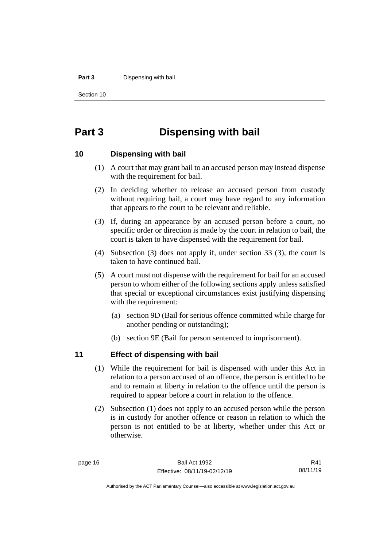#### **Part 3** Dispensing with bail

Section 10

# <span id="page-23-0"></span>**Part 3 Dispensing with bail**

#### <span id="page-23-1"></span>**10 Dispensing with bail**

- (1) A court that may grant bail to an accused person may instead dispense with the requirement for bail.
- (2) In deciding whether to release an accused person from custody without requiring bail, a court may have regard to any information that appears to the court to be relevant and reliable.
- (3) If, during an appearance by an accused person before a court, no specific order or direction is made by the court in relation to bail, the court is taken to have dispensed with the requirement for bail.
- (4) Subsection (3) does not apply if, under section 33 (3), the court is taken to have continued bail.
- (5) A court must not dispense with the requirement for bail for an accused person to whom either of the following sections apply unless satisfied that special or exceptional circumstances exist justifying dispensing with the requirement:
	- (a) section 9D (Bail for serious offence committed while charge for another pending or outstanding);
	- (b) section 9E (Bail for person sentenced to imprisonment).

## <span id="page-23-2"></span>**11 Effect of dispensing with bail**

- (1) While the requirement for bail is dispensed with under this Act in relation to a person accused of an offence, the person is entitled to be and to remain at liberty in relation to the offence until the person is required to appear before a court in relation to the offence.
- (2) Subsection (1) does not apply to an accused person while the person is in custody for another offence or reason in relation to which the person is not entitled to be at liberty, whether under this Act or otherwise.

R41 08/11/19

Authorised by the ACT Parliamentary Counsel—also accessible at www.legislation.act.gov.au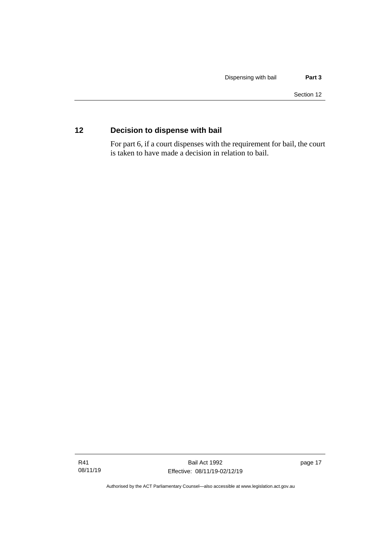# <span id="page-24-0"></span>**12 Decision to dispense with bail**

For part 6, if a court dispenses with the requirement for bail, the court is taken to have made a decision in relation to bail.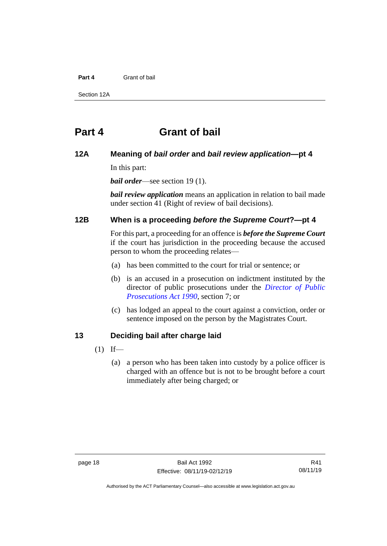#### **Part 4** Grant of bail

Section 12A

# <span id="page-25-0"></span>**Part 4 Grant of bail**

### <span id="page-25-1"></span>**12A Meaning of** *bail order* **and** *bail review application***—pt 4**

In this part:

*bail order*—see section 19 (1).

*bail review application* means an application in relation to bail made under section 41 (Right of review of bail decisions).

#### <span id="page-25-2"></span>**12B When is a proceeding** *before the Supreme Court***?—pt 4**

For this part, a proceeding for an offence is *before the Supreme Court* if the court has jurisdiction in the proceeding because the accused person to whom the proceeding relates—

- (a) has been committed to the court for trial or sentence; or
- (b) is an accused in a prosecution on indictment instituted by the director of public prosecutions under the *[Director of Public](http://www.legislation.act.gov.au/a/1990-22)  [Prosecutions Act 1990](http://www.legislation.act.gov.au/a/1990-22)*, section 7; or
- (c) has lodged an appeal to the court against a conviction, order or sentence imposed on the person by the Magistrates Court.

## <span id="page-25-3"></span>**13 Deciding bail after charge laid**

- $(1)$  If—
	- (a) a person who has been taken into custody by a police officer is charged with an offence but is not to be brought before a court immediately after being charged; or

Authorised by the ACT Parliamentary Counsel—also accessible at www.legislation.act.gov.au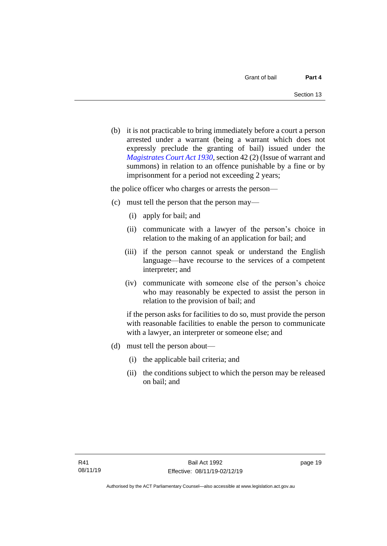(b) it is not practicable to bring immediately before a court a person arrested under a warrant (being a warrant which does not expressly preclude the granting of bail) issued under the *[Magistrates Court Act 1930](http://www.legislation.act.gov.au/a/1930-21)*, section 42 (2) (Issue of warrant and summons) in relation to an offence punishable by a fine or by imprisonment for a period not exceeding 2 years;

the police officer who charges or arrests the person—

- (c) must tell the person that the person may—
	- (i) apply for bail; and
	- (ii) communicate with a lawyer of the person's choice in relation to the making of an application for bail; and
	- (iii) if the person cannot speak or understand the English language—have recourse to the services of a competent interpreter; and
	- (iv) communicate with someone else of the person's choice who may reasonably be expected to assist the person in relation to the provision of bail; and

if the person asks for facilities to do so, must provide the person with reasonable facilities to enable the person to communicate with a lawyer, an interpreter or someone else; and

- (d) must tell the person about—
	- (i) the applicable bail criteria; and
	- (ii) the conditions subject to which the person may be released on bail; and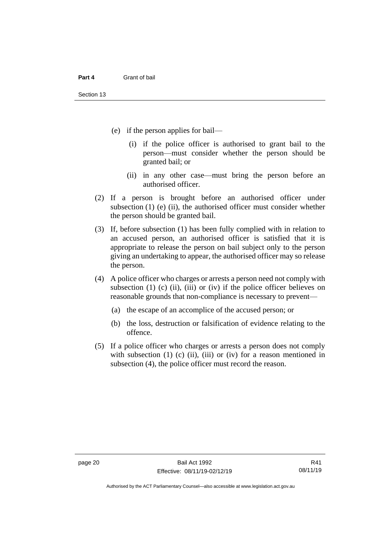- (e) if the person applies for bail—
	- (i) if the police officer is authorised to grant bail to the person—must consider whether the person should be granted bail; or
	- (ii) in any other case—must bring the person before an authorised officer.
- (2) If a person is brought before an authorised officer under subsection  $(1)$  (e)  $(ii)$ , the authorised officer must consider whether the person should be granted bail.
- (3) If, before subsection (1) has been fully complied with in relation to an accused person, an authorised officer is satisfied that it is appropriate to release the person on bail subject only to the person giving an undertaking to appear, the authorised officer may so release the person.
- (4) A police officer who charges or arrests a person need not comply with subsection  $(1)$   $(c)$   $(ii)$ ,  $(iii)$  or  $(iv)$  if the police officer believes on reasonable grounds that non-compliance is necessary to prevent—
	- (a) the escape of an accomplice of the accused person; or
	- (b) the loss, destruction or falsification of evidence relating to the offence.
- (5) If a police officer who charges or arrests a person does not comply with subsection  $(1)$   $(c)$   $(ii)$ ,  $(iii)$  or  $(iv)$  for a reason mentioned in subsection (4), the police officer must record the reason.

Authorised by the ACT Parliamentary Counsel—also accessible at www.legislation.act.gov.au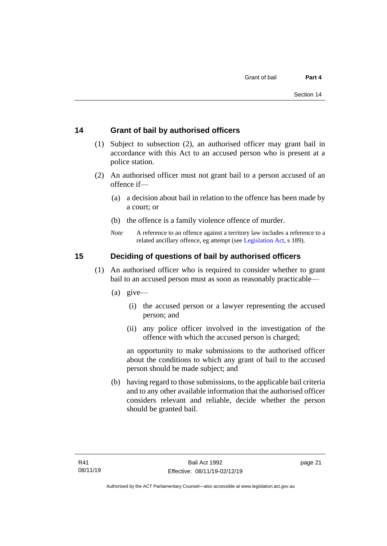### <span id="page-28-0"></span>**14 Grant of bail by authorised officers**

- (1) Subject to subsection (2), an authorised officer may grant bail in accordance with this Act to an accused person who is present at a police station.
- (2) An authorised officer must not grant bail to a person accused of an offence if—
	- (a) a decision about bail in relation to the offence has been made by a court; or
	- (b) the offence is a family violence offence of murder.
	- *Note* A reference to an offence against a territory law includes a reference to a related ancillary offence, eg attempt (see [Legislation Act,](http://www.legislation.act.gov.au/a/2001-14) s 189).

## <span id="page-28-1"></span>**15 Deciding of questions of bail by authorised officers**

- (1) An authorised officer who is required to consider whether to grant bail to an accused person must as soon as reasonably practicable—
	- (a) give—
		- (i) the accused person or a lawyer representing the accused person; and
		- (ii) any police officer involved in the investigation of the offence with which the accused person is charged;

an opportunity to make submissions to the authorised officer about the conditions to which any grant of bail to the accused person should be made subject; and

(b) having regard to those submissions, to the applicable bail criteria and to any other available information that the authorised officer considers relevant and reliable, decide whether the person should be granted bail.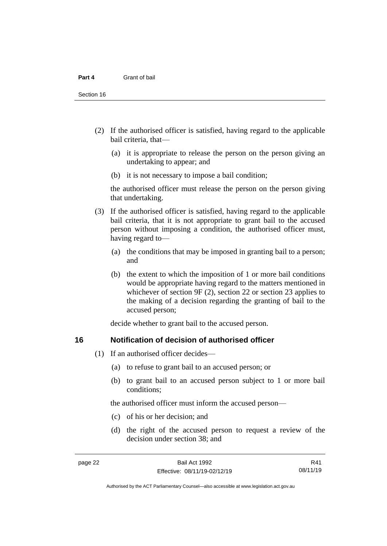Section 16

- (2) If the authorised officer is satisfied, having regard to the applicable bail criteria, that—
	- (a) it is appropriate to release the person on the person giving an undertaking to appear; and
	- (b) it is not necessary to impose a bail condition;

the authorised officer must release the person on the person giving that undertaking.

- (3) If the authorised officer is satisfied, having regard to the applicable bail criteria, that it is not appropriate to grant bail to the accused person without imposing a condition, the authorised officer must, having regard to—
	- (a) the conditions that may be imposed in granting bail to a person; and
	- (b) the extent to which the imposition of 1 or more bail conditions would be appropriate having regard to the matters mentioned in whichever of section 9F (2), section 22 or section 23 applies to the making of a decision regarding the granting of bail to the accused person;

decide whether to grant bail to the accused person.

### <span id="page-29-0"></span>**16 Notification of decision of authorised officer**

- (1) If an authorised officer decides—
	- (a) to refuse to grant bail to an accused person; or
	- (b) to grant bail to an accused person subject to 1 or more bail conditions;

the authorised officer must inform the accused person—

- (c) of his or her decision; and
- (d) the right of the accused person to request a review of the decision under section 38; and

R41 08/11/19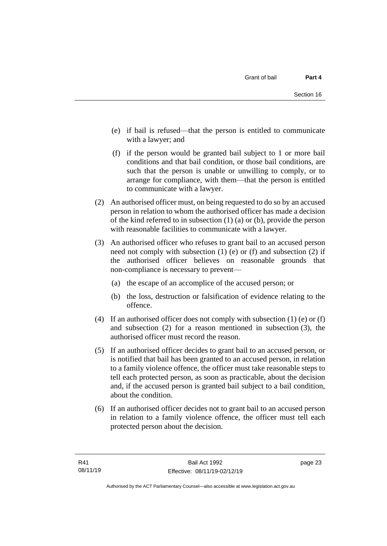- (e) if bail is refused—that the person is entitled to communicate with a lawyer; and
- (f) if the person would be granted bail subject to 1 or more bail conditions and that bail condition, or those bail conditions, are such that the person is unable or unwilling to comply, or to arrange for compliance, with them—that the person is entitled to communicate with a lawyer.
- (2) An authorised officer must, on being requested to do so by an accused person in relation to whom the authorised officer has made a decision of the kind referred to in subsection (1) (a) or (b), provide the person with reasonable facilities to communicate with a lawyer.
- (3) An authorised officer who refuses to grant bail to an accused person need not comply with subsection (1) (e) or (f) and subsection (2) if the authorised officer believes on reasonable grounds that non-compliance is necessary to prevent—
	- (a) the escape of an accomplice of the accused person; or
	- (b) the loss, destruction or falsification of evidence relating to the offence.
- (4) If an authorised officer does not comply with subsection (1) (e) or (f) and subsection (2) for a reason mentioned in subsection (3), the authorised officer must record the reason.
- (5) If an authorised officer decides to grant bail to an accused person, or is notified that bail has been granted to an accused person, in relation to a family violence offence, the officer must take reasonable steps to tell each protected person, as soon as practicable, about the decision and, if the accused person is granted bail subject to a bail condition, about the condition.
- (6) If an authorised officer decides not to grant bail to an accused person in relation to a family violence offence, the officer must tell each protected person about the decision.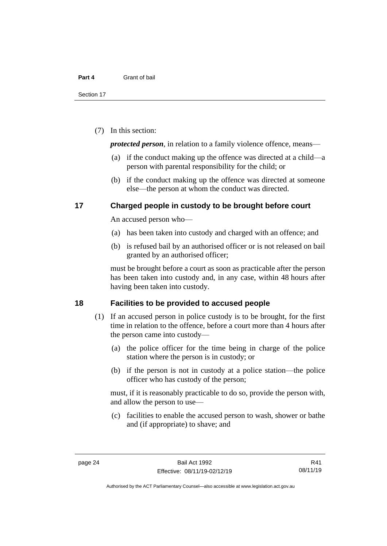(7) In this section:

*protected person*, in relation to a family violence offence, means—

- (a) if the conduct making up the offence was directed at a child—a person with parental responsibility for the child; or
- (b) if the conduct making up the offence was directed at someone else—the person at whom the conduct was directed.

#### <span id="page-31-0"></span>**17 Charged people in custody to be brought before court**

An accused person who—

- (a) has been taken into custody and charged with an offence; and
- (b) is refused bail by an authorised officer or is not released on bail granted by an authorised officer;

must be brought before a court as soon as practicable after the person has been taken into custody and, in any case, within 48 hours after having been taken into custody.

#### <span id="page-31-1"></span>**18 Facilities to be provided to accused people**

- (1) If an accused person in police custody is to be brought, for the first time in relation to the offence, before a court more than 4 hours after the person came into custody—
	- (a) the police officer for the time being in charge of the police station where the person is in custody; or
	- (b) if the person is not in custody at a police station—the police officer who has custody of the person;

must, if it is reasonably practicable to do so, provide the person with, and allow the person to use—

(c) facilities to enable the accused person to wash, shower or bathe and (if appropriate) to shave; and

R41 08/11/19

Authorised by the ACT Parliamentary Counsel—also accessible at www.legislation.act.gov.au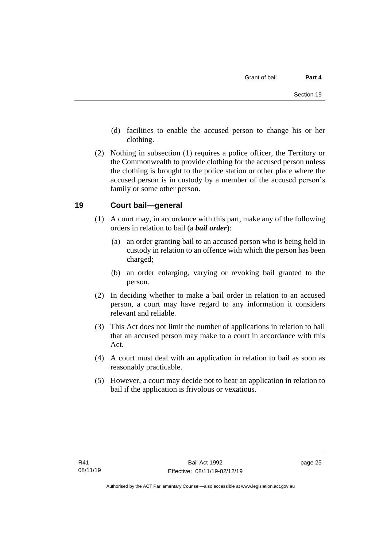- (d) facilities to enable the accused person to change his or her clothing.
- (2) Nothing in subsection (1) requires a police officer, the Territory or the Commonwealth to provide clothing for the accused person unless the clothing is brought to the police station or other place where the accused person is in custody by a member of the accused person's family or some other person.

### <span id="page-32-0"></span>**19 Court bail—general**

- (1) A court may, in accordance with this part, make any of the following orders in relation to bail (a *bail order*):
	- (a) an order granting bail to an accused person who is being held in custody in relation to an offence with which the person has been charged;
	- (b) an order enlarging, varying or revoking bail granted to the person.
- (2) In deciding whether to make a bail order in relation to an accused person, a court may have regard to any information it considers relevant and reliable.
- (3) This Act does not limit the number of applications in relation to bail that an accused person may make to a court in accordance with this Act.
- (4) A court must deal with an application in relation to bail as soon as reasonably practicable.
- (5) However, a court may decide not to hear an application in relation to bail if the application is frivolous or vexatious.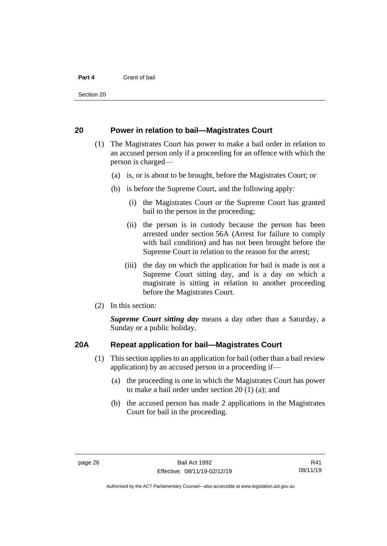Section 20

#### <span id="page-33-0"></span>**20 Power in relation to bail—Magistrates Court**

- (1) The Magistrates Court has power to make a bail order in relation to an accused person only if a proceeding for an offence with which the person is charged—
	- (a) is, or is about to be brought, before the Magistrates Court; or
	- (b) is before the Supreme Court, and the following apply:
		- (i) the Magistrates Court or the Supreme Court has granted bail to the person in the proceeding;
		- (ii) the person is in custody because the person has been arrested under section 56A (Arrest for failure to comply with bail condition) and has not been brought before the Supreme Court in relation to the reason for the arrest;
		- (iii) the day on which the application for bail is made is not a Supreme Court sitting day, and is a day on which a magistrate is sitting in relation to another proceeding before the Magistrates Court.
- (2) In this section:

*Supreme Court sitting day* means a day other than a Saturday, a Sunday or a public holiday.

#### <span id="page-33-1"></span>**20A Repeat application for bail—Magistrates Court**

- (1) This section applies to an application for bail (other than a bail review application) by an accused person in a proceeding if—
	- (a) the proceeding is one in which the Magistrates Court has power to make a bail order under section 20 (1) (a); and
	- (b) the accused person has made 2 applications in the Magistrates Court for bail in the proceeding.

Authorised by the ACT Parliamentary Counsel—also accessible at www.legislation.act.gov.au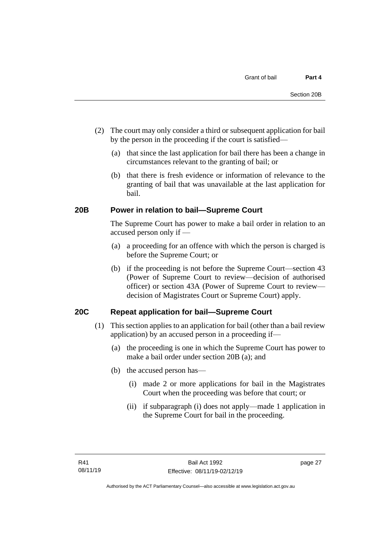- (2) The court may only consider a third or subsequent application for bail by the person in the proceeding if the court is satisfied—
	- (a) that since the last application for bail there has been a change in circumstances relevant to the granting of bail; or
	- (b) that there is fresh evidence or information of relevance to the granting of bail that was unavailable at the last application for bail.

### <span id="page-34-0"></span>**20B Power in relation to bail—Supreme Court**

The Supreme Court has power to make a bail order in relation to an accused person only if —

- (a) a proceeding for an offence with which the person is charged is before the Supreme Court; or
- (b) if the proceeding is not before the Supreme Court—section 43 (Power of Supreme Court to review—decision of authorised officer) or section 43A (Power of Supreme Court to review decision of Magistrates Court or Supreme Court) apply.

#### <span id="page-34-1"></span>**20C Repeat application for bail—Supreme Court**

- (1) This section applies to an application for bail (other than a bail review application) by an accused person in a proceeding if—
	- (a) the proceeding is one in which the Supreme Court has power to make a bail order under section 20B (a); and
	- (b) the accused person has—
		- (i) made 2 or more applications for bail in the Magistrates Court when the proceeding was before that court; or
		- (ii) if subparagraph (i) does not apply—made 1 application in the Supreme Court for bail in the proceeding.

page 27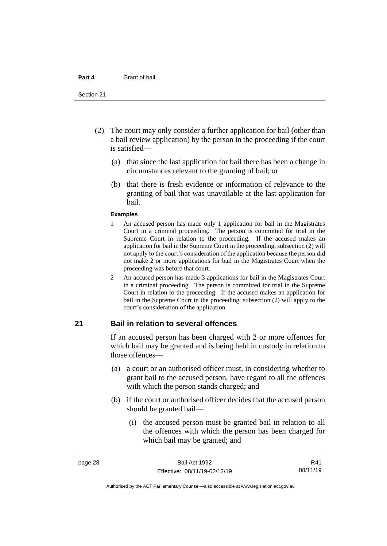#### **Part 4** Grant of bail

#### Section 21

- (2) The court may only consider a further application for bail (other than a bail review application) by the person in the proceeding if the court is satisfied—
	- (a) that since the last application for bail there has been a change in circumstances relevant to the granting of bail; or
	- (b) that there is fresh evidence or information of relevance to the granting of bail that was unavailable at the last application for bail.

#### **Examples**

- 1 An accused person has made only 1 application for bail in the Magistrates Court in a criminal proceeding. The person is committed for trial in the Supreme Court in relation to the proceeding. If the accused makes an application for bail in the Supreme Court in the proceeding, subsection (2) will not apply to the court's consideration of the application because the person did not make 2 or more applications for bail in the Magistrates Court when the proceeding was before that court.
- 2 An accused person has made 3 applications for bail in the Magistrates Court in a criminal proceeding. The person is committed for trial in the Supreme Court in relation to the proceeding. If the accused makes an application for bail in the Supreme Court in the proceeding, subsection (2) will apply to the court's consideration of the application.

## <span id="page-35-0"></span>**21 Bail in relation to several offences**

If an accused person has been charged with 2 or more offences for which bail may be granted and is being held in custody in relation to those offences—

- (a) a court or an authorised officer must, in considering whether to grant bail to the accused person, have regard to all the offences with which the person stands charged; and
- (b) if the court or authorised officer decides that the accused person should be granted bail—
	- (i) the accused person must be granted bail in relation to all the offences with which the person has been charged for which bail may be granted; and

R41 08/11/19

Authorised by the ACT Parliamentary Counsel—also accessible at www.legislation.act.gov.au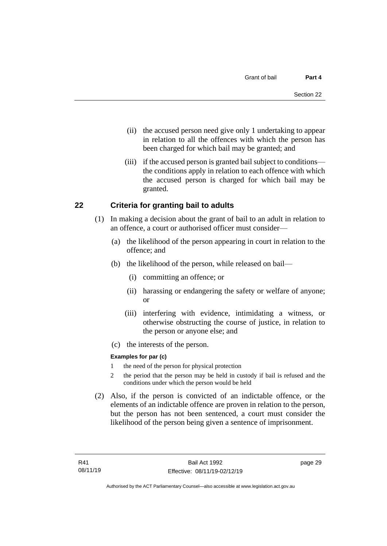- (ii) the accused person need give only 1 undertaking to appear in relation to all the offences with which the person has been charged for which bail may be granted; and
- (iii) if the accused person is granted bail subject to conditions the conditions apply in relation to each offence with which the accused person is charged for which bail may be granted.

## **22 Criteria for granting bail to adults**

- (1) In making a decision about the grant of bail to an adult in relation to an offence, a court or authorised officer must consider—
	- (a) the likelihood of the person appearing in court in relation to the offence; and
	- (b) the likelihood of the person, while released on bail—
		- (i) committing an offence; or
		- (ii) harassing or endangering the safety or welfare of anyone; or
		- (iii) interfering with evidence, intimidating a witness, or otherwise obstructing the course of justice, in relation to the person or anyone else; and
	- (c) the interests of the person.

#### **Examples for par (c)**

- 1 the need of the person for physical protection
- 2 the period that the person may be held in custody if bail is refused and the conditions under which the person would be held
- (2) Also, if the person is convicted of an indictable offence, or the elements of an indictable offence are proven in relation to the person, but the person has not been sentenced, a court must consider the likelihood of the person being given a sentence of imprisonment.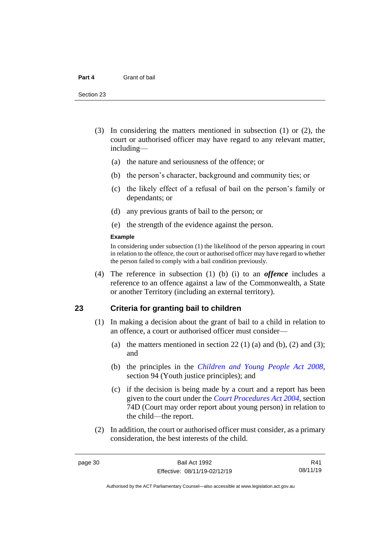- (3) In considering the matters mentioned in subsection (1) or (2), the court or authorised officer may have regard to any relevant matter, including—
	- (a) the nature and seriousness of the offence; or
	- (b) the person's character, background and community ties; or
	- (c) the likely effect of a refusal of bail on the person's family or dependants; or
	- (d) any previous grants of bail to the person; or
	- (e) the strength of the evidence against the person.

#### **Example**

In considering under subsection (1) the likelihood of the person appearing in court in relation to the offence, the court or authorised officer may have regard to whether the person failed to comply with a bail condition previously.

(4) The reference in subsection (1) (b) (i) to an *offence* includes a reference to an offence against a law of the Commonwealth, a State or another Territory (including an external territory).

## **23 Criteria for granting bail to children**

- (1) In making a decision about the grant of bail to a child in relation to an offence, a court or authorised officer must consider—
	- (a) the matters mentioned in section 22 (1) (a) and (b), (2) and (3); and
	- (b) the principles in the *[Children and Young People Act 2008](http://www.legislation.act.gov.au/a/2008-19)*, section 94 (Youth justice principles); and
	- (c) if the decision is being made by a court and a report has been given to the court under the *[Court Procedures Act 2004](http://www.legislation.act.gov.au/a/2004-59)*, section 74D (Court may order report about young person) in relation to the child—the report.
- (2) In addition, the court or authorised officer must consider, as a primary consideration, the best interests of the child.

R41 08/11/19

Authorised by the ACT Parliamentary Counsel—also accessible at www.legislation.act.gov.au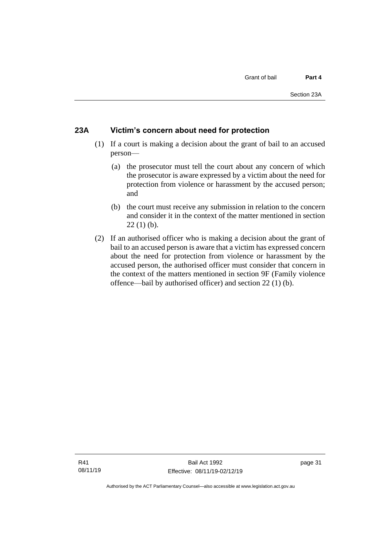#### **23A Victim's concern about need for protection**

- (1) If a court is making a decision about the grant of bail to an accused person—
	- (a) the prosecutor must tell the court about any concern of which the prosecutor is aware expressed by a victim about the need for protection from violence or harassment by the accused person; and
	- (b) the court must receive any submission in relation to the concern and consider it in the context of the matter mentioned in section  $22(1)$  (b).
- (2) If an authorised officer who is making a decision about the grant of bail to an accused person is aware that a victim has expressed concern about the need for protection from violence or harassment by the accused person, the authorised officer must consider that concern in the context of the matters mentioned in section 9F (Family violence offence—bail by authorised officer) and section 22 (1) (b).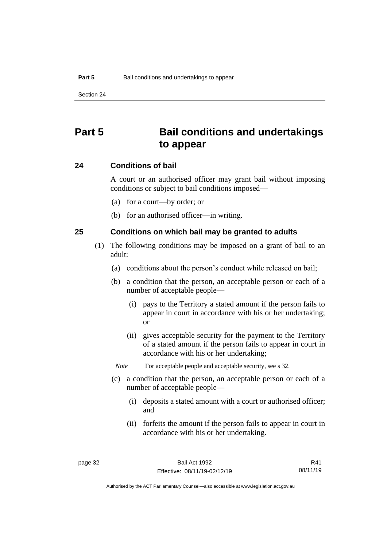# **Part 5 Bail conditions and undertakings to appear**

#### **24 Conditions of bail**

A court or an authorised officer may grant bail without imposing conditions or subject to bail conditions imposed—

- (a) for a court—by order; or
- (b) for an authorised officer—in writing.

## **25 Conditions on which bail may be granted to adults**

- (1) The following conditions may be imposed on a grant of bail to an adult:
	- (a) conditions about the person's conduct while released on bail;
	- (b) a condition that the person, an acceptable person or each of a number of acceptable people—
		- (i) pays to the Territory a stated amount if the person fails to appear in court in accordance with his or her undertaking; or
		- (ii) gives acceptable security for the payment to the Territory of a stated amount if the person fails to appear in court in accordance with his or her undertaking;

*Note* For acceptable people and acceptable security, see s 32.

- (c) a condition that the person, an acceptable person or each of a number of acceptable people—
	- (i) deposits a stated amount with a court or authorised officer; and
	- (ii) forfeits the amount if the person fails to appear in court in accordance with his or her undertaking.

R41 08/11/19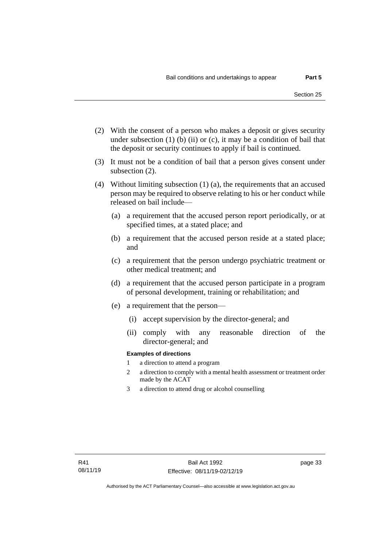- (2) With the consent of a person who makes a deposit or gives security under subsection  $(1)$  (b)  $(ii)$  or  $(c)$ , it may be a condition of bail that the deposit or security continues to apply if bail is continued.
- (3) It must not be a condition of bail that a person gives consent under subsection (2).
- (4) Without limiting subsection (1) (a), the requirements that an accused person may be required to observe relating to his or her conduct while released on bail include—
	- (a) a requirement that the accused person report periodically, or at specified times, at a stated place; and
	- (b) a requirement that the accused person reside at a stated place; and
	- (c) a requirement that the person undergo psychiatric treatment or other medical treatment; and
	- (d) a requirement that the accused person participate in a program of personal development, training or rehabilitation; and
	- (e) a requirement that the person—
		- (i) accept supervision by the director-general; and
		- (ii) comply with any reasonable direction of the director-general; and

#### **Examples of directions**

- 1 a direction to attend a program
- 2 a direction to comply with a mental health assessment or treatment order made by the ACAT
- 3 a direction to attend drug or alcohol counselling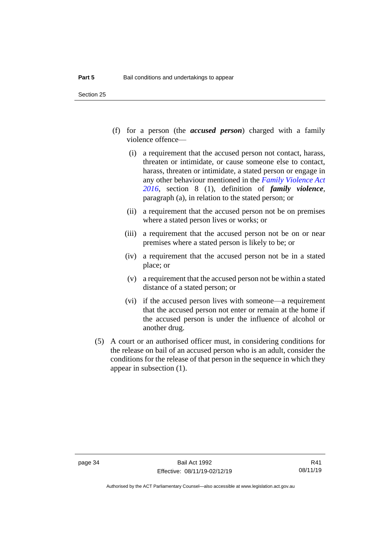- (f) for a person (the *accused person*) charged with a family violence offence—
	- (i) a requirement that the accused person not contact, harass, threaten or intimidate, or cause someone else to contact, harass, threaten or intimidate, a stated person or engage in any other behaviour mentioned in the *[Family Violence Act](http://www.legislation.act.gov.au/a/2016-42)  [2016](http://www.legislation.act.gov.au/a/2016-42)*, section 8 (1), definition of *family violence*, paragraph (a), in relation to the stated person; or
	- (ii) a requirement that the accused person not be on premises where a stated person lives or works; or
	- (iii) a requirement that the accused person not be on or near premises where a stated person is likely to be; or
	- (iv) a requirement that the accused person not be in a stated place; or
	- (v) a requirement that the accused person not be within a stated distance of a stated person; or
	- (vi) if the accused person lives with someone—a requirement that the accused person not enter or remain at the home if the accused person is under the influence of alcohol or another drug.
- (5) A court or an authorised officer must, in considering conditions for the release on bail of an accused person who is an adult, consider the conditions for the release of that person in the sequence in which they appear in subsection (1).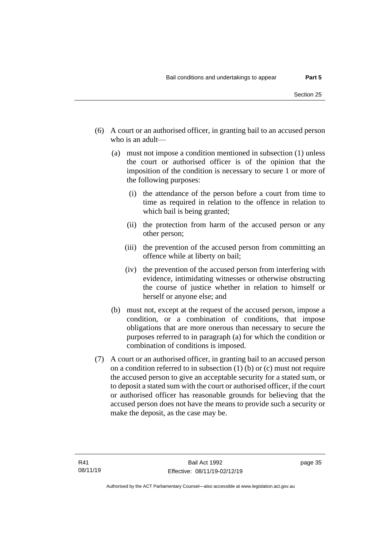- (6) A court or an authorised officer, in granting bail to an accused person who is an adult—
	- (a) must not impose a condition mentioned in subsection (1) unless the court or authorised officer is of the opinion that the imposition of the condition is necessary to secure 1 or more of the following purposes:
		- (i) the attendance of the person before a court from time to time as required in relation to the offence in relation to which bail is being granted;
		- (ii) the protection from harm of the accused person or any other person;
		- (iii) the prevention of the accused person from committing an offence while at liberty on bail;
		- (iv) the prevention of the accused person from interfering with evidence, intimidating witnesses or otherwise obstructing the course of justice whether in relation to himself or herself or anyone else; and
	- (b) must not, except at the request of the accused person, impose a condition, or a combination of conditions, that impose obligations that are more onerous than necessary to secure the purposes referred to in paragraph (a) for which the condition or combination of conditions is imposed.
- (7) A court or an authorised officer, in granting bail to an accused person on a condition referred to in subsection  $(1)$  (b) or  $(c)$  must not require the accused person to give an acceptable security for a stated sum, or to deposit a stated sum with the court or authorised officer, if the court or authorised officer has reasonable grounds for believing that the accused person does not have the means to provide such a security or make the deposit, as the case may be.

page 35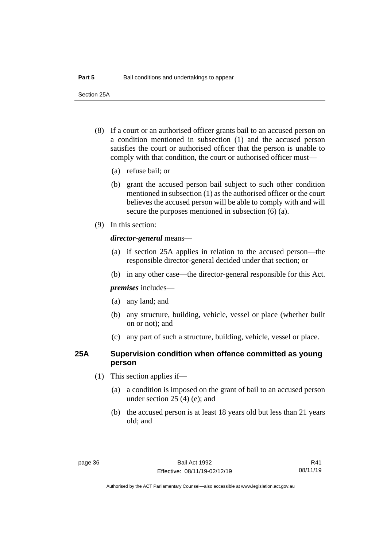Section 25A

- (8) If a court or an authorised officer grants bail to an accused person on a condition mentioned in subsection (1) and the accused person satisfies the court or authorised officer that the person is unable to comply with that condition, the court or authorised officer must—
	- (a) refuse bail; or
	- (b) grant the accused person bail subject to such other condition mentioned in subsection (1) as the authorised officer or the court believes the accused person will be able to comply with and will secure the purposes mentioned in subsection (6) (a).
- (9) In this section:

#### *director-general* means—

- (a) if section 25A applies in relation to the accused person—the responsible director-general decided under that section; or
- (b) in any other case—the director-general responsible for this Act.

*premises* includes—

- (a) any land; and
- (b) any structure, building, vehicle, vessel or place (whether built on or not); and
- (c) any part of such a structure, building, vehicle, vessel or place.

## **25A Supervision condition when offence committed as young person**

- (1) This section applies if—
	- (a) a condition is imposed on the grant of bail to an accused person under section 25 (4) (e); and
	- (b) the accused person is at least 18 years old but less than 21 years old; and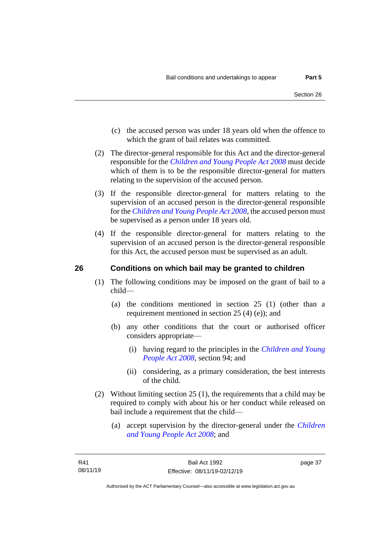- (c) the accused person was under 18 years old when the offence to which the grant of bail relates was committed.
- (2) The director-general responsible for this Act and the director-general responsible for the *[Children and Young People Act 2008](http://www.legislation.act.gov.au/a/2008-19)* must decide which of them is to be the responsible director-general for matters relating to the supervision of the accused person.
- (3) If the responsible director-general for matters relating to the supervision of an accused person is the director-general responsible for the *[Children and Young People Act 2008](http://www.legislation.act.gov.au/a/2008-19)*, the accused person must be supervised as a person under 18 years old.
- (4) If the responsible director-general for matters relating to the supervision of an accused person is the director-general responsible for this Act, the accused person must be supervised as an adult.

## **26 Conditions on which bail may be granted to children**

- (1) The following conditions may be imposed on the grant of bail to a child—
	- (a) the conditions mentioned in section 25 (1) (other than a requirement mentioned in section 25 (4) (e)); and
	- (b) any other conditions that the court or authorised officer considers appropriate—
		- (i) having regard to the principles in the *[Children and Young](http://www.legislation.act.gov.au/a/2008-19)  [People Act 2008](http://www.legislation.act.gov.au/a/2008-19)*, section 94; and
		- (ii) considering, as a primary consideration, the best interests of the child.
- (2) Without limiting section 25 (1), the requirements that a child may be required to comply with about his or her conduct while released on bail include a requirement that the child—
	- (a) accept supervision by the director-general under the *[Children](http://www.legislation.act.gov.au/a/2008-19)  [and Young People Act 2008](http://www.legislation.act.gov.au/a/2008-19)*; and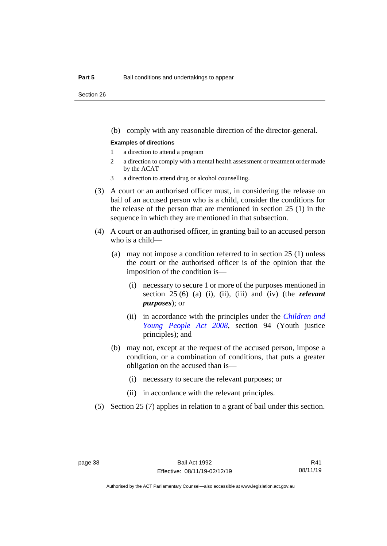Section 26

(b) comply with any reasonable direction of the director-general.

#### **Examples of directions**

- 1 a direction to attend a program
- 2 a direction to comply with a mental health assessment or treatment order made by the ACAT
- 3 a direction to attend drug or alcohol counselling.
- (3) A court or an authorised officer must, in considering the release on bail of an accused person who is a child, consider the conditions for the release of the person that are mentioned in section 25 (1) in the sequence in which they are mentioned in that subsection.
- (4) A court or an authorised officer, in granting bail to an accused person who is a child—
	- (a) may not impose a condition referred to in section 25 (1) unless the court or the authorised officer is of the opinion that the imposition of the condition is—
		- (i) necessary to secure 1 or more of the purposes mentioned in section 25 (6) (a) (i), (ii), (iii) and (iv) (the *relevant purposes*); or
		- (ii) in accordance with the principles under the *[Children and](http://www.legislation.act.gov.au/a/2008-19)  [Young People Act 2008](http://www.legislation.act.gov.au/a/2008-19)*, section 94 (Youth justice principles); and
	- (b) may not, except at the request of the accused person, impose a condition, or a combination of conditions, that puts a greater obligation on the accused than is—
		- (i) necessary to secure the relevant purposes; or
		- (ii) in accordance with the relevant principles.
- (5) Section 25 (7) applies in relation to a grant of bail under this section.

Authorised by the ACT Parliamentary Counsel—also accessible at www.legislation.act.gov.au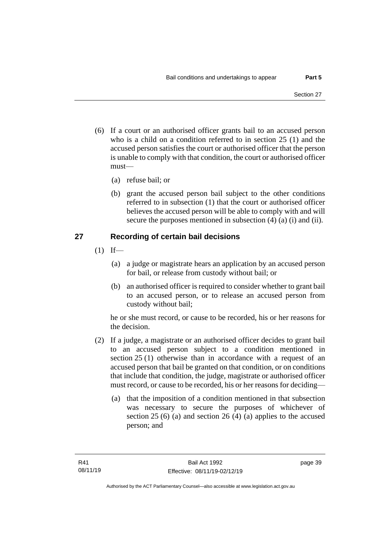- (6) If a court or an authorised officer grants bail to an accused person who is a child on a condition referred to in section 25 (1) and the accused person satisfies the court or authorised officer that the person is unable to comply with that condition, the court or authorised officer must—
	- (a) refuse bail; or
	- (b) grant the accused person bail subject to the other conditions referred to in subsection (1) that the court or authorised officer believes the accused person will be able to comply with and will secure the purposes mentioned in subsection (4) (a) (i) and (ii).

## **27 Recording of certain bail decisions**

- $(1)$  If—
	- (a) a judge or magistrate hears an application by an accused person for bail, or release from custody without bail; or
	- (b) an authorised officer is required to consider whether to grant bail to an accused person, or to release an accused person from custody without bail;

he or she must record, or cause to be recorded, his or her reasons for the decision.

- (2) If a judge, a magistrate or an authorised officer decides to grant bail to an accused person subject to a condition mentioned in section 25 (1) otherwise than in accordance with a request of an accused person that bail be granted on that condition, or on conditions that include that condition, the judge, magistrate or authorised officer must record, or cause to be recorded, his or her reasons for deciding—
	- (a) that the imposition of a condition mentioned in that subsection was necessary to secure the purposes of whichever of section 25 (6) (a) and section 26 (4) (a) applies to the accused person; and

page 39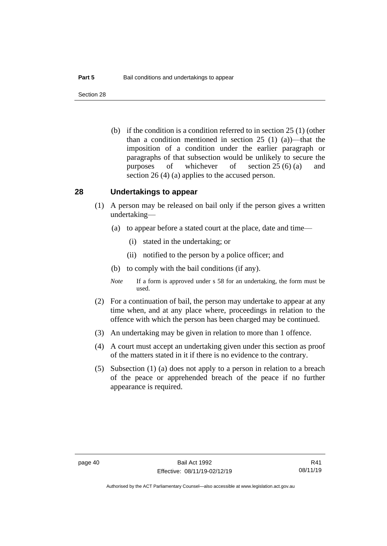Section 28

(b) if the condition is a condition referred to in section 25 (1) (other than a condition mentioned in section 25 (1) (a))—that the imposition of a condition under the earlier paragraph or paragraphs of that subsection would be unlikely to secure the purposes of whichever of section 25 (6) (a) and section 26 (4) (a) applies to the accused person.

## **28 Undertakings to appear**

- (1) A person may be released on bail only if the person gives a written undertaking—
	- (a) to appear before a stated court at the place, date and time—
		- (i) stated in the undertaking; or
		- (ii) notified to the person by a police officer; and
	- (b) to comply with the bail conditions (if any).
	- *Note* If a form is approved under s 58 for an undertaking, the form must be used.
- (2) For a continuation of bail, the person may undertake to appear at any time when, and at any place where, proceedings in relation to the offence with which the person has been charged may be continued.
- (3) An undertaking may be given in relation to more than 1 offence.
- (4) A court must accept an undertaking given under this section as proof of the matters stated in it if there is no evidence to the contrary.
- (5) Subsection (1) (a) does not apply to a person in relation to a breach of the peace or apprehended breach of the peace if no further appearance is required.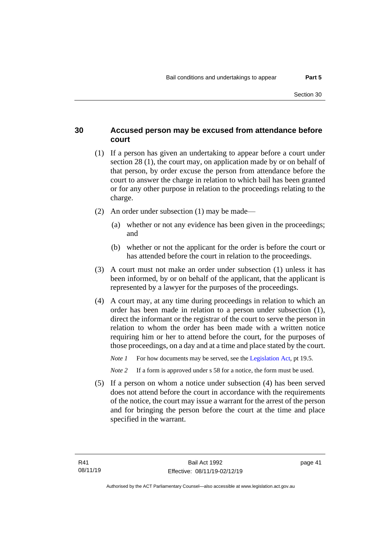## **30 Accused person may be excused from attendance before court**

- (1) If a person has given an undertaking to appear before a court under section 28 (1), the court may, on application made by or on behalf of that person, by order excuse the person from attendance before the court to answer the charge in relation to which bail has been granted or for any other purpose in relation to the proceedings relating to the charge.
- (2) An order under subsection (1) may be made—
	- (a) whether or not any evidence has been given in the proceedings; and
	- (b) whether or not the applicant for the order is before the court or has attended before the court in relation to the proceedings.
- (3) A court must not make an order under subsection (1) unless it has been informed, by or on behalf of the applicant, that the applicant is represented by a lawyer for the purposes of the proceedings.
- (4) A court may, at any time during proceedings in relation to which an order has been made in relation to a person under subsection (1), direct the informant or the registrar of the court to serve the person in relation to whom the order has been made with a written notice requiring him or her to attend before the court, for the purposes of those proceedings, on a day and at a time and place stated by the court.

*Note 1* For how documents may be served, see th[e Legislation Act,](http://www.legislation.act.gov.au/a/2001-14) pt 19.5.

*Note* 2 If a form is approved under s 58 for a notice, the form must be used.

(5) If a person on whom a notice under subsection (4) has been served does not attend before the court in accordance with the requirements of the notice, the court may issue a warrant for the arrest of the person and for bringing the person before the court at the time and place specified in the warrant.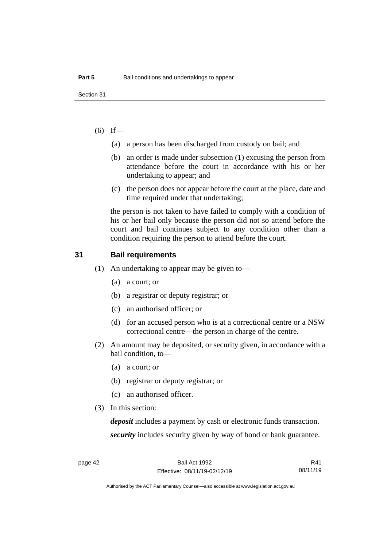## $(6)$  If—

- (a) a person has been discharged from custody on bail; and
- (b) an order is made under subsection (1) excusing the person from attendance before the court in accordance with his or her undertaking to appear; and
- (c) the person does not appear before the court at the place, date and time required under that undertaking;

the person is not taken to have failed to comply with a condition of his or her bail only because the person did not so attend before the court and bail continues subject to any condition other than a condition requiring the person to attend before the court.

## **31 Bail requirements**

- (1) An undertaking to appear may be given to—
	- (a) a court; or
	- (b) a registrar or deputy registrar; or
	- (c) an authorised officer; or
	- (d) for an accused person who is at a correctional centre or a NSW correctional centre—the person in charge of the centre.
- (2) An amount may be deposited, or security given, in accordance with a bail condition, to—
	- (a) a court; or
	- (b) registrar or deputy registrar; or
	- (c) an authorised officer.
- (3) In this section:

*deposit* includes a payment by cash or electronic funds transaction. *security* includes security given by way of bond or bank guarantee.

R41 08/11/19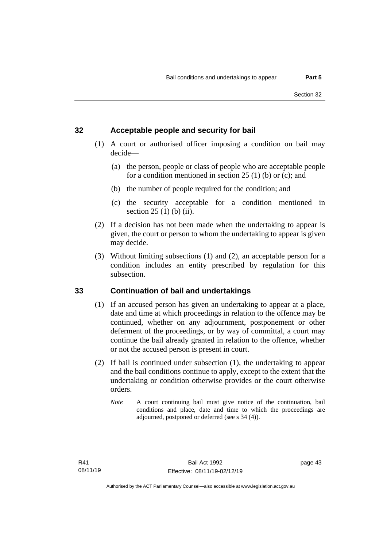#### **32 Acceptable people and security for bail**

- (1) A court or authorised officer imposing a condition on bail may decide—
	- (a) the person, people or class of people who are acceptable people for a condition mentioned in section  $25(1)$  (b) or (c); and
	- (b) the number of people required for the condition; and
	- (c) the security acceptable for a condition mentioned in section 25 (1) (b) (ii).
- (2) If a decision has not been made when the undertaking to appear is given, the court or person to whom the undertaking to appear is given may decide.
- (3) Without limiting subsections (1) and (2), an acceptable person for a condition includes an entity prescribed by regulation for this subsection.

## **33 Continuation of bail and undertakings**

- (1) If an accused person has given an undertaking to appear at a place, date and time at which proceedings in relation to the offence may be continued, whether on any adjournment, postponement or other deferment of the proceedings, or by way of committal, a court may continue the bail already granted in relation to the offence, whether or not the accused person is present in court.
- (2) If bail is continued under subsection (1), the undertaking to appear and the bail conditions continue to apply, except to the extent that the undertaking or condition otherwise provides or the court otherwise orders.
	- *Note* A court continuing bail must give notice of the continuation, bail conditions and place, date and time to which the proceedings are adjourned, postponed or deferred (see s 34 (4)).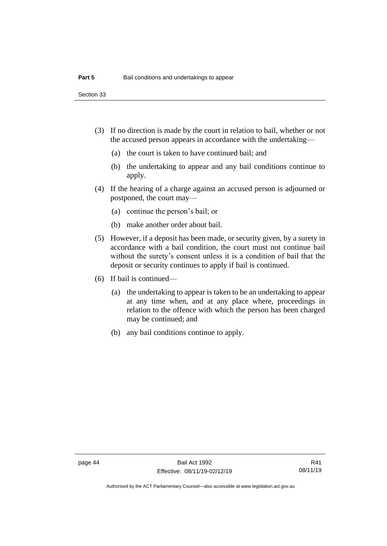Section 33

- (3) If no direction is made by the court in relation to bail, whether or not the accused person appears in accordance with the undertaking—
	- (a) the court is taken to have continued bail; and
	- (b) the undertaking to appear and any bail conditions continue to apply.
- (4) If the hearing of a charge against an accused person is adjourned or postponed, the court may—
	- (a) continue the person's bail; or
	- (b) make another order about bail.
- (5) However, if a deposit has been made, or security given, by a surety in accordance with a bail condition, the court must not continue bail without the surety's consent unless it is a condition of bail that the deposit or security continues to apply if bail is continued.
- (6) If bail is continued—
	- (a) the undertaking to appear is taken to be an undertaking to appear at any time when, and at any place where, proceedings in relation to the offence with which the person has been charged may be continued; and
	- (b) any bail conditions continue to apply.

Authorised by the ACT Parliamentary Counsel—also accessible at www.legislation.act.gov.au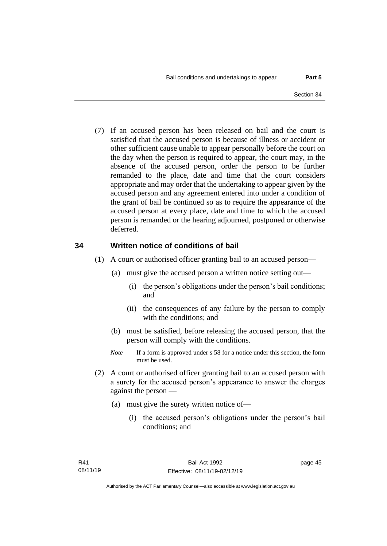(7) If an accused person has been released on bail and the court is satisfied that the accused person is because of illness or accident or other sufficient cause unable to appear personally before the court on the day when the person is required to appear, the court may, in the absence of the accused person, order the person to be further remanded to the place, date and time that the court considers appropriate and may order that the undertaking to appear given by the accused person and any agreement entered into under a condition of the grant of bail be continued so as to require the appearance of the accused person at every place, date and time to which the accused person is remanded or the hearing adjourned, postponed or otherwise deferred.

#### **34 Written notice of conditions of bail**

- (1) A court or authorised officer granting bail to an accused person—
	- (a) must give the accused person a written notice setting out—
		- (i) the person's obligations under the person's bail conditions; and
		- (ii) the consequences of any failure by the person to comply with the conditions; and
	- (b) must be satisfied, before releasing the accused person, that the person will comply with the conditions.
	- *Note* If a form is approved under s 58 for a notice under this section, the form must be used.
- (2) A court or authorised officer granting bail to an accused person with a surety for the accused person's appearance to answer the charges against the person —
	- (a) must give the surety written notice of—
		- (i) the accused person's obligations under the person's bail conditions; and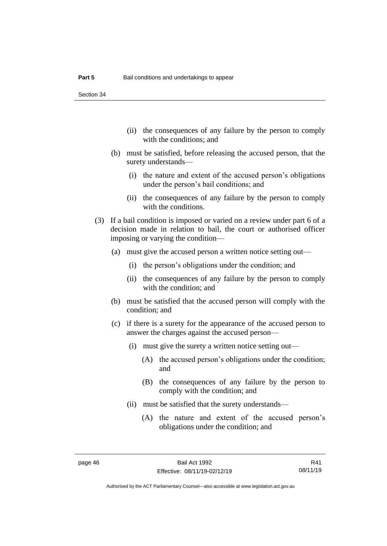Section 34

- (ii) the consequences of any failure by the person to comply with the conditions; and
- (b) must be satisfied, before releasing the accused person, that the surety understands—
	- (i) the nature and extent of the accused person's obligations under the person's bail conditions; and
	- (ii) the consequences of any failure by the person to comply with the conditions.
- (3) If a bail condition is imposed or varied on a review under part 6 of a decision made in relation to bail, the court or authorised officer imposing or varying the condition—
	- (a) must give the accused person a written notice setting out—
		- (i) the person's obligations under the condition; and
		- (ii) the consequences of any failure by the person to comply with the condition; and
	- (b) must be satisfied that the accused person will comply with the condition; and
	- (c) if there is a surety for the appearance of the accused person to answer the charges against the accused person—
		- (i) must give the surety a written notice setting out—
			- (A) the accused person's obligations under the condition; and
			- (B) the consequences of any failure by the person to comply with the condition; and
		- (ii) must be satisfied that the surety understands—
			- (A) the nature and extent of the accused person's obligations under the condition; and

R41 08/11/19

Authorised by the ACT Parliamentary Counsel—also accessible at www.legislation.act.gov.au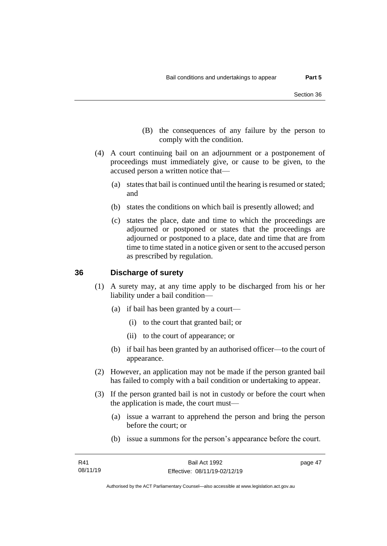- (B) the consequences of any failure by the person to comply with the condition.
- (4) A court continuing bail on an adjournment or a postponement of proceedings must immediately give, or cause to be given, to the accused person a written notice that—
	- (a) states that bail is continued until the hearing is resumed or stated; and
	- (b) states the conditions on which bail is presently allowed; and
	- (c) states the place, date and time to which the proceedings are adjourned or postponed or states that the proceedings are adjourned or postponed to a place, date and time that are from time to time stated in a notice given or sent to the accused person as prescribed by regulation.

## **36 Discharge of surety**

- (1) A surety may, at any time apply to be discharged from his or her liability under a bail condition—
	- (a) if bail has been granted by a court—
		- (i) to the court that granted bail; or
		- (ii) to the court of appearance; or
	- (b) if bail has been granted by an authorised officer—to the court of appearance.
- (2) However, an application may not be made if the person granted bail has failed to comply with a bail condition or undertaking to appear.
- (3) If the person granted bail is not in custody or before the court when the application is made, the court must—
	- (a) issue a warrant to apprehend the person and bring the person before the court; or
	- (b) issue a summons for the person's appearance before the court.

page 47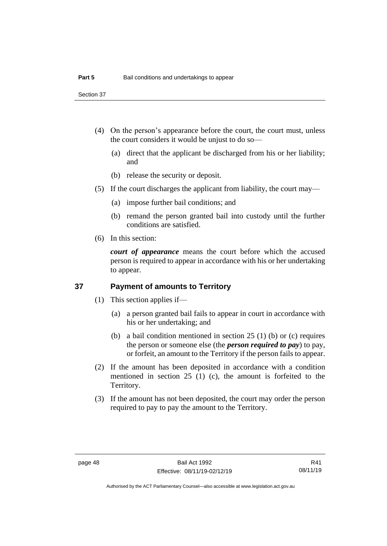Section 37

- (4) On the person's appearance before the court, the court must, unless the court considers it would be unjust to do so—
	- (a) direct that the applicant be discharged from his or her liability; and
	- (b) release the security or deposit.
- (5) If the court discharges the applicant from liability, the court may—
	- (a) impose further bail conditions; and
	- (b) remand the person granted bail into custody until the further conditions are satisfied.
- (6) In this section:

*court of appearance* means the court before which the accused person is required to appear in accordance with his or her undertaking to appear.

## **37 Payment of amounts to Territory**

- (1) This section applies if—
	- (a) a person granted bail fails to appear in court in accordance with his or her undertaking; and
	- (b) a bail condition mentioned in section 25 (1) (b) or (c) requires the person or someone else (the *person required to pay*) to pay, or forfeit, an amount to the Territory if the person fails to appear.
- (2) If the amount has been deposited in accordance with a condition mentioned in section 25 (1) (c), the amount is forfeited to the Territory.
- (3) If the amount has not been deposited, the court may order the person required to pay to pay the amount to the Territory.

R41 08/11/19

Authorised by the ACT Parliamentary Counsel—also accessible at www.legislation.act.gov.au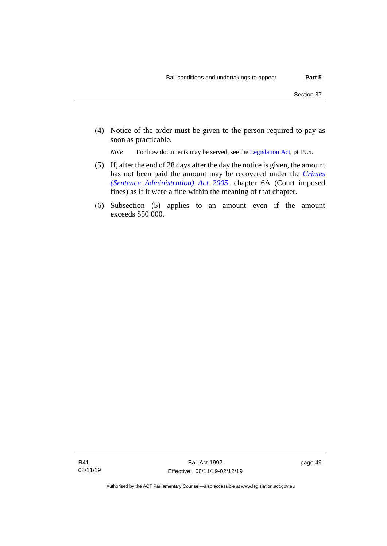(4) Notice of the order must be given to the person required to pay as soon as practicable.

*Note* For how documents may be served, see th[e Legislation Act,](http://www.legislation.act.gov.au/a/2001-14) pt 19.5.

- (5) If, after the end of 28 days after the day the notice is given, the amount has not been paid the amount may be recovered under the *[Crimes](http://www.legislation.act.gov.au/a/2005-59)  [\(Sentence Administration\) Act 2005](http://www.legislation.act.gov.au/a/2005-59)*, chapter 6A (Court imposed fines) as if it were a fine within the meaning of that chapter.
- (6) Subsection (5) applies to an amount even if the amount exceeds \$50 000.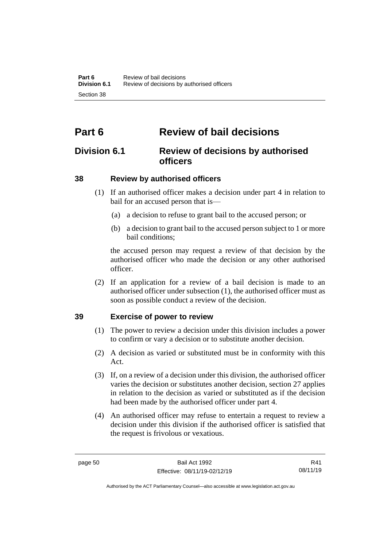# **Part 6 Review of bail decisions**

# **Division 6.1 Review of decisions by authorised officers**

## **38 Review by authorised officers**

- (1) If an authorised officer makes a decision under part 4 in relation to bail for an accused person that is—
	- (a) a decision to refuse to grant bail to the accused person; or
	- (b) a decision to grant bail to the accused person subject to 1 or more bail conditions;

the accused person may request a review of that decision by the authorised officer who made the decision or any other authorised officer.

(2) If an application for a review of a bail decision is made to an authorised officer under subsection (1), the authorised officer must as soon as possible conduct a review of the decision.

## **39 Exercise of power to review**

# (1) The power to review a decision under this division includes a power to confirm or vary a decision or to substitute another decision.

- (2) A decision as varied or substituted must be in conformity with this Act.
- (3) If, on a review of a decision under this division, the authorised officer varies the decision or substitutes another decision, section 27 applies in relation to the decision as varied or substituted as if the decision had been made by the authorised officer under part 4.
- (4) An authorised officer may refuse to entertain a request to review a decision under this division if the authorised officer is satisfied that the request is frivolous or vexatious.

R41 08/11/19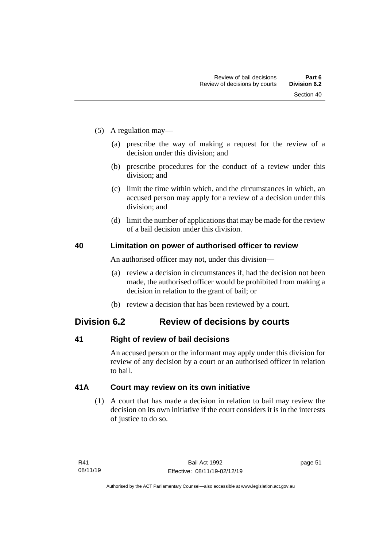- (5) A regulation may—
	- (a) prescribe the way of making a request for the review of a decision under this division; and
	- (b) prescribe procedures for the conduct of a review under this division; and
	- (c) limit the time within which, and the circumstances in which, an accused person may apply for a review of a decision under this division; and
	- (d) limit the number of applications that may be made for the review of a bail decision under this division.

## **40 Limitation on power of authorised officer to review**

An authorised officer may not, under this division—

- (a) review a decision in circumstances if, had the decision not been made, the authorised officer would be prohibited from making a decision in relation to the grant of bail; or
- (b) review a decision that has been reviewed by a court.

# **Division 6.2 Review of decisions by courts**

## **41 Right of review of bail decisions**

An accused person or the informant may apply under this division for review of any decision by a court or an authorised officer in relation to bail.

## **41A Court may review on its own initiative**

(1) A court that has made a decision in relation to bail may review the decision on its own initiative if the court considers it is in the interests of justice to do so.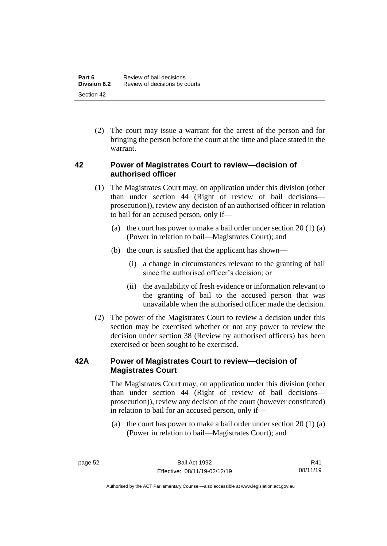(2) The court may issue a warrant for the arrest of the person and for bringing the person before the court at the time and place stated in the warrant.

## **42 Power of Magistrates Court to review—decision of authorised officer**

- (1) The Magistrates Court may, on application under this division (other than under section 44 (Right of review of bail decisions prosecution)), review any decision of an authorised officer in relation to bail for an accused person, only if—
	- (a) the court has power to make a bail order under section  $20(1)(a)$ (Power in relation to bail—Magistrates Court); and
	- (b) the court is satisfied that the applicant has shown—
		- (i) a change in circumstances relevant to the granting of bail since the authorised officer's decision; or
		- (ii) the availability of fresh evidence or information relevant to the granting of bail to the accused person that was unavailable when the authorised officer made the decision.
- (2) The power of the Magistrates Court to review a decision under this section may be exercised whether or not any power to review the decision under section 38 (Review by authorised officers) has been exercised or been sought to be exercised.

## **42A Power of Magistrates Court to review—decision of Magistrates Court**

The Magistrates Court may, on application under this division (other than under section 44 (Right of review of bail decisions prosecution)), review any decision of the court (however constituted) in relation to bail for an accused person, only if—

(a) the court has power to make a bail order under section  $20(1)(a)$ (Power in relation to bail—Magistrates Court); and

Authorised by the ACT Parliamentary Counsel—also accessible at www.legislation.act.gov.au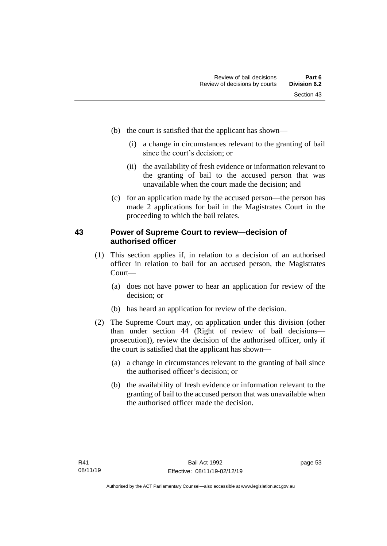- (b) the court is satisfied that the applicant has shown—
	- (i) a change in circumstances relevant to the granting of bail since the court's decision; or
	- (ii) the availability of fresh evidence or information relevant to the granting of bail to the accused person that was unavailable when the court made the decision; and
- (c) for an application made by the accused person—the person has made 2 applications for bail in the Magistrates Court in the proceeding to which the bail relates.

## **43 Power of Supreme Court to review—decision of authorised officer**

- (1) This section applies if, in relation to a decision of an authorised officer in relation to bail for an accused person, the Magistrates Court—
	- (a) does not have power to hear an application for review of the decision; or
	- (b) has heard an application for review of the decision.
- (2) The Supreme Court may, on application under this division (other than under section 44 (Right of review of bail decisions prosecution)), review the decision of the authorised officer, only if the court is satisfied that the applicant has shown—
	- (a) a change in circumstances relevant to the granting of bail since the authorised officer's decision; or
	- (b) the availability of fresh evidence or information relevant to the granting of bail to the accused person that was unavailable when the authorised officer made the decision.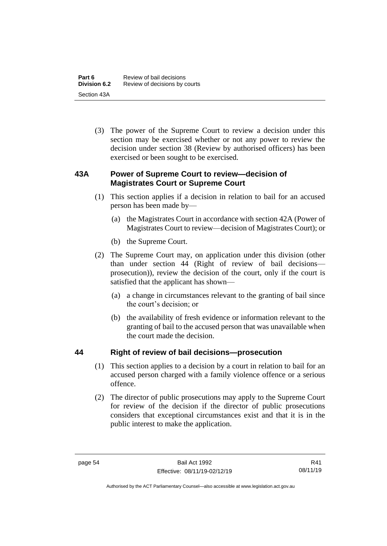(3) The power of the Supreme Court to review a decision under this section may be exercised whether or not any power to review the decision under section 38 (Review by authorised officers) has been exercised or been sought to be exercised.

## **43A Power of Supreme Court to review—decision of Magistrates Court or Supreme Court**

- (1) This section applies if a decision in relation to bail for an accused person has been made by—
	- (a) the Magistrates Court in accordance with section 42A (Power of Magistrates Court to review—decision of Magistrates Court); or
	- (b) the Supreme Court.
- (2) The Supreme Court may, on application under this division (other than under section 44 (Right of review of bail decisions prosecution)), review the decision of the court, only if the court is satisfied that the applicant has shown—
	- (a) a change in circumstances relevant to the granting of bail since the court's decision; or
	- (b) the availability of fresh evidence or information relevant to the granting of bail to the accused person that was unavailable when the court made the decision.

## **44 Right of review of bail decisions—prosecution**

- (1) This section applies to a decision by a court in relation to bail for an accused person charged with a family violence offence or a serious offence.
- (2) The director of public prosecutions may apply to the Supreme Court for review of the decision if the director of public prosecutions considers that exceptional circumstances exist and that it is in the public interest to make the application.

R41 08/11/19

Authorised by the ACT Parliamentary Counsel—also accessible at www.legislation.act.gov.au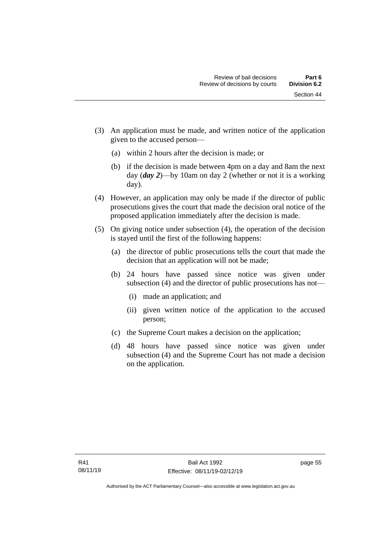Section 44

- (3) An application must be made, and written notice of the application given to the accused person—
	- (a) within 2 hours after the decision is made; or
	- (b) if the decision is made between 4pm on a day and 8am the next day (*day 2*)—by 10am on day 2 (whether or not it is a working day).
- (4) However, an application may only be made if the director of public prosecutions gives the court that made the decision oral notice of the proposed application immediately after the decision is made.
- (5) On giving notice under subsection (4), the operation of the decision is stayed until the first of the following happens:
	- (a) the director of public prosecutions tells the court that made the decision that an application will not be made;
	- (b) 24 hours have passed since notice was given under subsection (4) and the director of public prosecutions has not—
		- (i) made an application; and
		- (ii) given written notice of the application to the accused person;
	- (c) the Supreme Court makes a decision on the application;
	- (d) 48 hours have passed since notice was given under subsection (4) and the Supreme Court has not made a decision on the application.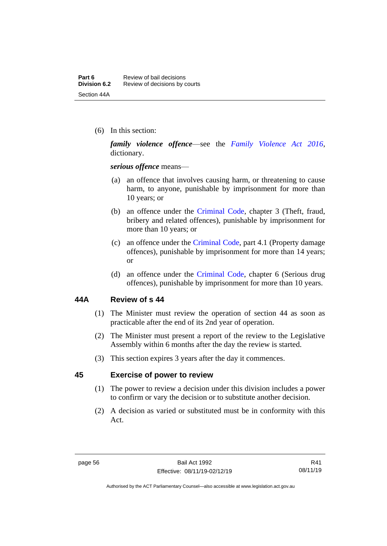(6) In this section:

*family violence offence*—see the *[Family Violence Act 2016](http://www.legislation.act.gov.au/a/2016-42)*, dictionary.

*serious offence* means—

- (a) an offence that involves causing harm, or threatening to cause harm, to anyone, punishable by imprisonment for more than 10 years; or
- (b) an offence under the [Criminal Code,](http://www.legislation.act.gov.au/a/2002-51) chapter 3 (Theft, fraud, bribery and related offences), punishable by imprisonment for more than 10 years; or
- (c) an offence under the [Criminal Code,](http://www.legislation.act.gov.au/a/2002-51) part 4.1 (Property damage offences), punishable by imprisonment for more than 14 years; or
- (d) an offence under the [Criminal Code,](http://www.legislation.act.gov.au/a/2002-51) chapter 6 (Serious drug offences), punishable by imprisonment for more than 10 years.

#### **44A Review of s 44**

- (1) The Minister must review the operation of section 44 as soon as practicable after the end of its 2nd year of operation.
- (2) The Minister must present a report of the review to the Legislative Assembly within 6 months after the day the review is started.
- (3) This section expires 3 years after the day it commences.

## **45 Exercise of power to review**

- (1) The power to review a decision under this division includes a power to confirm or vary the decision or to substitute another decision.
- (2) A decision as varied or substituted must be in conformity with this Act.

Authorised by the ACT Parliamentary Counsel—also accessible at www.legislation.act.gov.au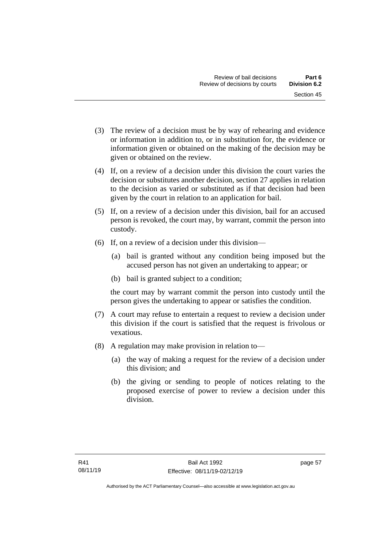- (3) The review of a decision must be by way of rehearing and evidence or information in addition to, or in substitution for, the evidence or information given or obtained on the making of the decision may be given or obtained on the review.
- (4) If, on a review of a decision under this division the court varies the decision or substitutes another decision, section 27 applies in relation to the decision as varied or substituted as if that decision had been given by the court in relation to an application for bail.
- (5) If, on a review of a decision under this division, bail for an accused person is revoked, the court may, by warrant, commit the person into custody.
- (6) If, on a review of a decision under this division—
	- (a) bail is granted without any condition being imposed but the accused person has not given an undertaking to appear; or
	- (b) bail is granted subject to a condition;

the court may by warrant commit the person into custody until the person gives the undertaking to appear or satisfies the condition.

- (7) A court may refuse to entertain a request to review a decision under this division if the court is satisfied that the request is frivolous or vexatious.
- (8) A regulation may make provision in relation to—
	- (a) the way of making a request for the review of a decision under this division; and
	- (b) the giving or sending to people of notices relating to the proposed exercise of power to review a decision under this division.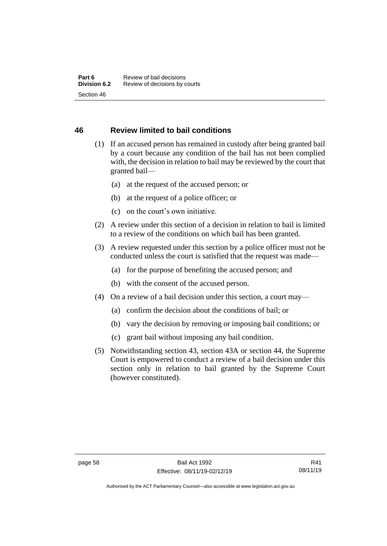## **46 Review limited to bail conditions**

- (1) If an accused person has remained in custody after being granted bail by a court because any condition of the bail has not been complied with, the decision in relation to bail may be reviewed by the court that granted bail—
	- (a) at the request of the accused person; or
	- (b) at the request of a police officer; or
	- (c) on the court's own initiative.
- (2) A review under this section of a decision in relation to bail is limited to a review of the conditions on which bail has been granted.
- (3) A review requested under this section by a police officer must not be conducted unless the court is satisfied that the request was made—
	- (a) for the purpose of benefiting the accused person; and
	- (b) with the consent of the accused person.
- (4) On a review of a bail decision under this section, a court may—
	- (a) confirm the decision about the conditions of bail; or
	- (b) vary the decision by removing or imposing bail conditions; or
	- (c) grant bail without imposing any bail condition.
- (5) Notwithstanding section 43, section 43A or section 44, the Supreme Court is empowered to conduct a review of a bail decision under this section only in relation to bail granted by the Supreme Court (however constituted).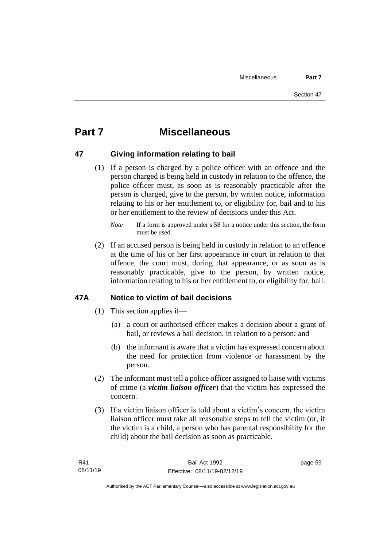# **Part 7 Miscellaneous**

## **47 Giving information relating to bail**

(1) If a person is charged by a police officer with an offence and the person charged is being held in custody in relation to the offence, the police officer must, as soon as is reasonably practicable after the person is charged, give to the person, by written notice, information relating to his or her entitlement to, or eligibility for, bail and to his or her entitlement to the review of decisions under this Act.

(2) If an accused person is being held in custody in relation to an offence at the time of his or her first appearance in court in relation to that offence, the court must, during that appearance, or as soon as is reasonably practicable, give to the person, by written notice, information relating to his or her entitlement to, or eligibility for, bail.

## **47A Notice to victim of bail decisions**

- (1) This section applies if—
	- (a) a court or authorised officer makes a decision about a grant of bail, or reviews a bail decision, in relation to a person; and
	- (b) the informant is aware that a victim has expressed concern about the need for protection from violence or harassment by the person.
- (2) The informant must tell a police officer assigned to liaise with victims of crime (a *victim liaison officer*) that the victim has expressed the concern.
- (3) If a victim liaison officer is told about a victim's concern, the victim liaison officer must take all reasonable steps to tell the victim (or, if the victim is a child, a person who has parental responsibility for the child) about the bail decision as soon as practicable.

*Note* If a form is approved under s 58 for a notice under this section, the form must be used.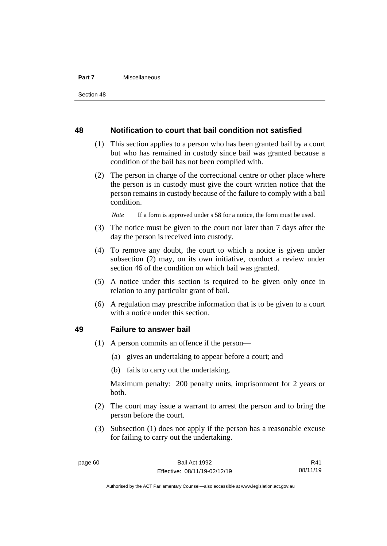#### **Part 7** Miscellaneous

#### **48 Notification to court that bail condition not satisfied**

- (1) This section applies to a person who has been granted bail by a court but who has remained in custody since bail was granted because a condition of the bail has not been complied with.
- (2) The person in charge of the correctional centre or other place where the person is in custody must give the court written notice that the person remains in custody because of the failure to comply with a bail condition.

*Note* If a form is approved under s 58 for a notice, the form must be used.

- (3) The notice must be given to the court not later than 7 days after the day the person is received into custody.
- (4) To remove any doubt, the court to which a notice is given under subsection (2) may, on its own initiative, conduct a review under section 46 of the condition on which bail was granted.
- (5) A notice under this section is required to be given only once in relation to any particular grant of bail.
- (6) A regulation may prescribe information that is to be given to a court with a notice under this section.

#### **49 Failure to answer bail**

- (1) A person commits an offence if the person—
	- (a) gives an undertaking to appear before a court; and
	- (b) fails to carry out the undertaking.

Maximum penalty: 200 penalty units, imprisonment for 2 years or both.

- (2) The court may issue a warrant to arrest the person and to bring the person before the court.
- (3) Subsection (1) does not apply if the person has a reasonable excuse for failing to carry out the undertaking.

R41 08/11/19

Authorised by the ACT Parliamentary Counsel—also accessible at www.legislation.act.gov.au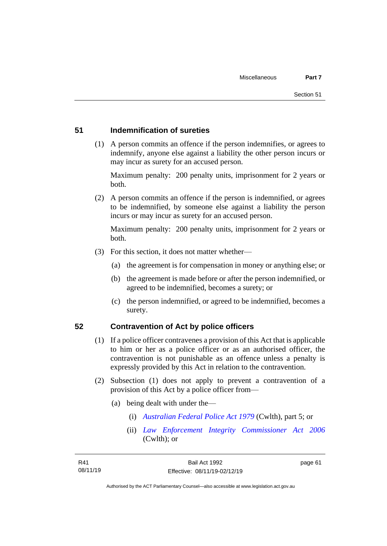#### **51 Indemnification of sureties**

(1) A person commits an offence if the person indemnifies, or agrees to indemnify, anyone else against a liability the other person incurs or may incur as surety for an accused person.

Maximum penalty: 200 penalty units, imprisonment for 2 years or both.

(2) A person commits an offence if the person is indemnified, or agrees to be indemnified, by someone else against a liability the person incurs or may incur as surety for an accused person.

Maximum penalty: 200 penalty units, imprisonment for 2 years or both.

- (3) For this section, it does not matter whether—
	- (a) the agreement is for compensation in money or anything else; or
	- (b) the agreement is made before or after the person indemnified, or agreed to be indemnified, becomes a surety; or
	- (c) the person indemnified, or agreed to be indemnified, becomes a surety.

#### **52 Contravention of Act by police officers**

- (1) If a police officer contravenes a provision of this Act that is applicable to him or her as a police officer or as an authorised officer, the contravention is not punishable as an offence unless a penalty is expressly provided by this Act in relation to the contravention.
- (2) Subsection (1) does not apply to prevent a contravention of a provision of this Act by a police officer from—
	- (a) being dealt with under the—
		- (i) *[Australian Federal Police Act 1979](http://www.comlaw.gov.au/Series/C2004A02068)* (Cwlth), part 5; or
		- (ii) *[Law Enforcement Integrity Commissioner Act 2006](http://www.comlaw.gov.au/Series/C2006A00085)* (Cwlth); or

page 61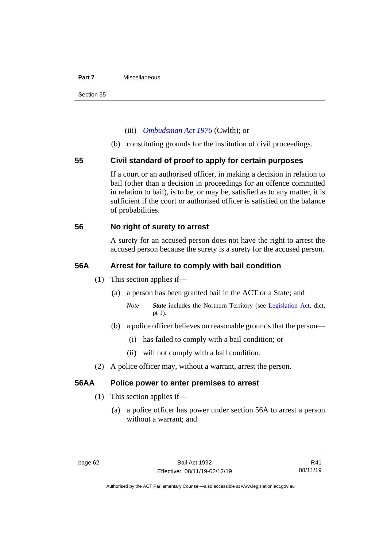#### **Part 7** Miscellaneous

#### (iii) *[Ombudsman Act 1976](http://www.comlaw.gov.au/Series/C2004A01611)* (Cwlth); or

(b) constituting grounds for the institution of civil proceedings.

## **55 Civil standard of proof to apply for certain purposes**

If a court or an authorised officer, in making a decision in relation to bail (other than a decision in proceedings for an offence committed in relation to bail), is to be, or may be, satisfied as to any matter, it is sufficient if the court or authorised officer is satisfied on the balance of probabilities.

## **56 No right of surety to arrest**

A surety for an accused person does not have the right to arrest the accused person because the surety is a surety for the accused person.

#### **56A Arrest for failure to comply with bail condition**

- (1) This section applies if—
	- (a) a person has been granted bail in the ACT or a State; and
		- *Note State* includes the Northern Territory (see [Legislation Act,](http://www.legislation.act.gov.au/a/2001-14) dict, pt 1).
	- (b) a police officer believes on reasonable grounds that the person—
		- (i) has failed to comply with a bail condition; or
		- (ii) will not comply with a bail condition.
- (2) A police officer may, without a warrant, arrest the person.

## **56AA Police power to enter premises to arrest**

- (1) This section applies if—
	- (a) a police officer has power under section 56A to arrest a person without a warrant; and

R41 08/11/19

Authorised by the ACT Parliamentary Counsel—also accessible at www.legislation.act.gov.au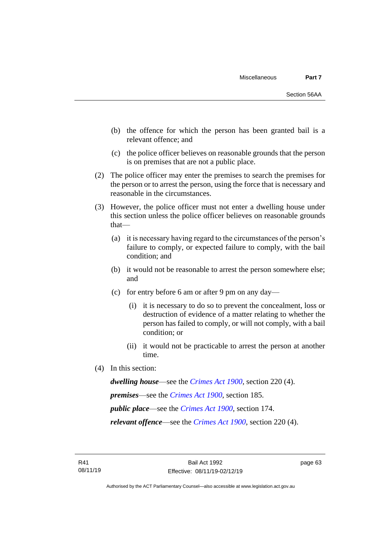- (b) the offence for which the person has been granted bail is a relevant offence; and
- (c) the police officer believes on reasonable grounds that the person is on premises that are not a public place.
- (2) The police officer may enter the premises to search the premises for the person or to arrest the person, using the force that is necessary and reasonable in the circumstances.
- (3) However, the police officer must not enter a dwelling house under this section unless the police officer believes on reasonable grounds that—
	- (a) it is necessary having regard to the circumstances of the person's failure to comply, or expected failure to comply, with the bail condition; and
	- (b) it would not be reasonable to arrest the person somewhere else; and
	- (c) for entry before 6 am or after 9 pm on any day—
		- (i) it is necessary to do so to prevent the concealment, loss or destruction of evidence of a matter relating to whether the person has failed to comply, or will not comply, with a bail condition; or
		- (ii) it would not be practicable to arrest the person at another time.
- (4) In this section:

*dwelling house*—see the *[Crimes Act](http://www.legislation.act.gov.au/a/1900-40) 1900*, section 220 (4).

*premises*—see the *[Crimes Act](http://www.legislation.act.gov.au/a/1900-40) 1900*, section 185.

*public place*—see the *[Crimes Act](http://www.legislation.act.gov.au/a/1900-40) 1900*, section 174.

*relevant offence*—see the *[Crimes Act 1900](http://www.legislation.act.gov.au/a/1900-40)*, section 220 (4).

page 63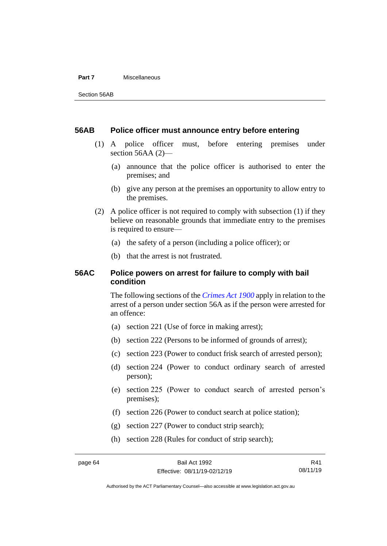#### **Part 7** Miscellaneous

#### **56AB Police officer must announce entry before entering**

- (1) A police officer must, before entering premises under section 56AA (2)—
	- (a) announce that the police officer is authorised to enter the premises; and
	- (b) give any person at the premises an opportunity to allow entry to the premises.
- (2) A police officer is not required to comply with subsection (1) if they believe on reasonable grounds that immediate entry to the premises is required to ensure—
	- (a) the safety of a person (including a police officer); or
	- (b) that the arrest is not frustrated.

## **56AC Police powers on arrest for failure to comply with bail condition**

The following sections of the *[Crimes Act](http://www.legislation.act.gov.au/a/1900-40) 1900* apply in relation to the arrest of a person under section 56A as if the person were arrested for an offence:

- (a) section 221 (Use of force in making arrest);
- (b) section 222 (Persons to be informed of grounds of arrest);
- (c) section 223 (Power to conduct frisk search of arrested person);
- (d) section 224 (Power to conduct ordinary search of arrested person);
- (e) section 225 (Power to conduct search of arrested person's premises);
- (f) section 226 (Power to conduct search at police station);
- (g) section 227 (Power to conduct strip search);
- (h) section 228 (Rules for conduct of strip search);

R41 08/11/19

Authorised by the ACT Parliamentary Counsel—also accessible at www.legislation.act.gov.au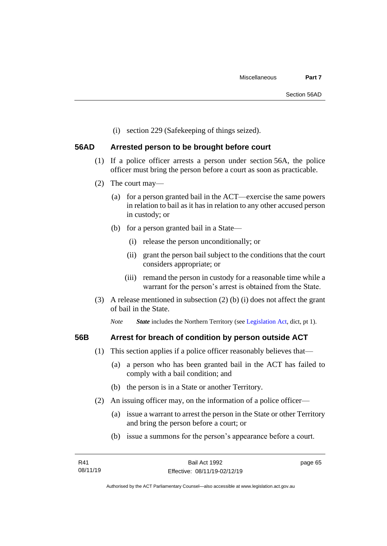(i) section 229 (Safekeeping of things seized).

# **56AD Arrested person to be brought before court**

- (1) If a police officer arrests a person under section 56A, the police officer must bring the person before a court as soon as practicable.
- (2) The court may—
	- (a) for a person granted bail in the ACT—exercise the same powers in relation to bail as it has in relation to any other accused person in custody; or
	- (b) for a person granted bail in a State—
		- (i) release the person unconditionally; or
		- (ii) grant the person bail subject to the conditions that the court considers appropriate; or
		- (iii) remand the person in custody for a reasonable time while a warrant for the person's arrest is obtained from the State.
- (3) A release mentioned in subsection (2) (b) (i) does not affect the grant of bail in the State.

*Note State* includes the Northern Territory (see [Legislation Act,](http://www.legislation.act.gov.au/a/2001-14) dict, pt 1).

# **56B Arrest for breach of condition by person outside ACT**

- (1) This section applies if a police officer reasonably believes that—
	- (a) a person who has been granted bail in the ACT has failed to comply with a bail condition; and
	- (b) the person is in a State or another Territory.
- (2) An issuing officer may, on the information of a police officer—
	- (a) issue a warrant to arrest the person in the State or other Territory and bring the person before a court; or
	- (b) issue a summons for the person's appearance before a court.

page 65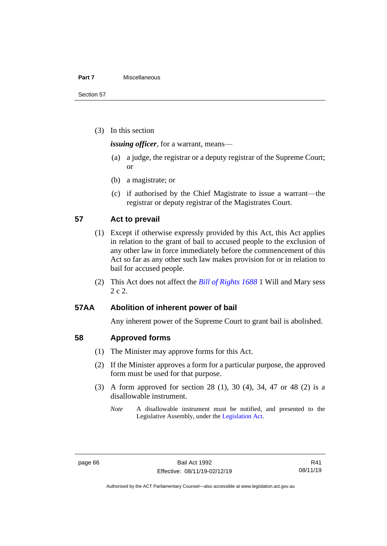### **Part 7** Miscellaneous

Section 57

(3) In this section

*issuing officer*, for a warrant, means—

- (a) a judge, the registrar or a deputy registrar of the Supreme Court; or
- (b) a magistrate; or
- (c) if authorised by the Chief Magistrate to issue a warrant—the registrar or deputy registrar of the Magistrates Court.

# **57 Act to prevail**

- (1) Except if otherwise expressly provided by this Act, this Act applies in relation to the grant of bail to accused people to the exclusion of any other law in force immediately before the commencement of this Act so far as any other such law makes provision for or in relation to bail for accused people.
- (2) This Act does not affect the *[Bill of Rights 1688](http://www.legislation.act.gov.au/a/db_1792/default.asp)* 1 Will and Mary sess 2 c 2.

# **57AA Abolition of inherent power of bail**

Any inherent power of the Supreme Court to grant bail is abolished.

# **58 Approved forms**

- (1) The Minister may approve forms for this Act.
- (2) If the Minister approves a form for a particular purpose, the approved form must be used for that purpose.
- (3) A form approved for section 28 (1), 30 (4), 34, 47 or 48 (2) is a disallowable instrument.
	- *Note* A disallowable instrument must be notified, and presented to the Legislative Assembly, under the [Legislation Act.](http://www.legislation.act.gov.au/a/2001-14)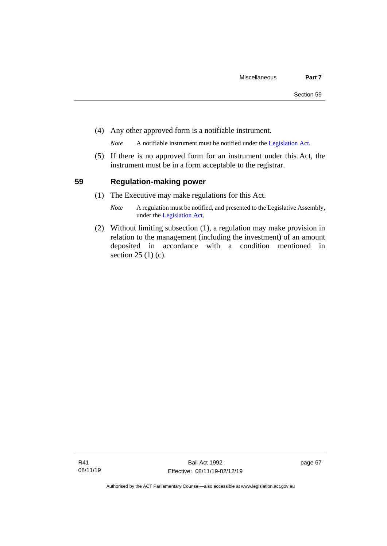(4) Any other approved form is a notifiable instrument.

*Note* A notifiable instrument must be notified under the [Legislation Act.](http://www.legislation.act.gov.au/a/2001-14)

(5) If there is no approved form for an instrument under this Act, the instrument must be in a form acceptable to the registrar.

# **59 Regulation-making power**

- (1) The Executive may make regulations for this Act.
	- *Note* A regulation must be notified, and presented to the Legislative Assembly, under the [Legislation Act.](http://www.legislation.act.gov.au/a/2001-14)
- (2) Without limiting subsection (1), a regulation may make provision in relation to the management (including the investment) of an amount deposited in accordance with a condition mentioned in section 25 (1) (c).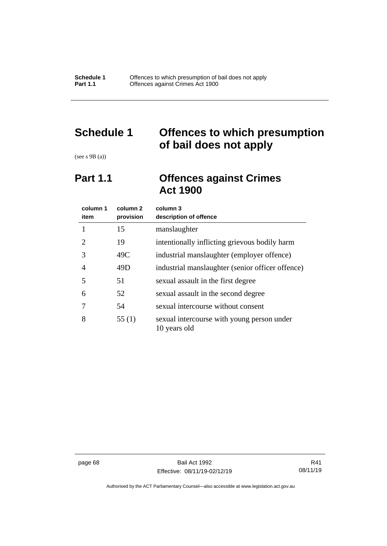# **Schedule 1 Offences to which presumption of bail does not apply**

(see s 9B (a))

# **Part 1.1 Offences against Crimes Act 1900**

| column 1<br>item | column 2<br>provision | column 3<br>description of offence                         |
|------------------|-----------------------|------------------------------------------------------------|
|                  | 15                    | manslaughter                                               |
| 2                | 19                    | intentionally inflicting grievous bodily harm              |
| 3                | 49C                   | industrial manslaughter (employer offence)                 |
| 4                | 49D                   | industrial manslaughter (senior officer offence)           |
| 5                | 51                    | sexual assault in the first degree                         |
| 6                | 52                    | sexual assault in the second degree                        |
| 7                | 54                    | sexual intercourse without consent                         |
| 8                | 55 $(1)$              | sexual intercourse with young person under<br>10 years old |

page 68 Bail Act 1992 Effective: 08/11/19-02/12/19

R41 08/11/19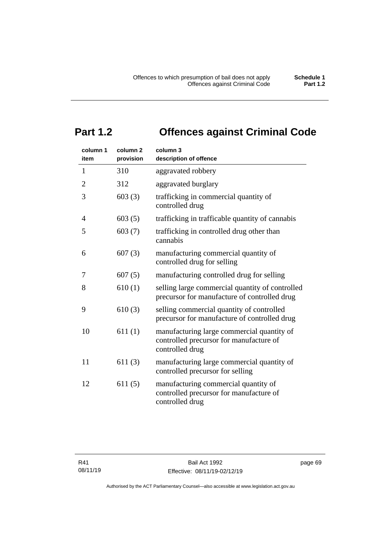# **Part 1.2 Offences against Criminal Code**

| column 1<br>item | column <sub>2</sub><br>provision | column 3<br>description of offence                                                                       |
|------------------|----------------------------------|----------------------------------------------------------------------------------------------------------|
| 1                | 310                              | aggravated robbery                                                                                       |
| $\overline{2}$   | 312                              | aggravated burglary                                                                                      |
| 3                | 603(3)                           | trafficking in commercial quantity of<br>controlled drug                                                 |
| 4                | 603(5)                           | trafficking in trafficable quantity of cannabis                                                          |
| 5                | 603(7)                           | trafficking in controlled drug other than<br>cannabis                                                    |
| 6                | 607(3)                           | manufacturing commercial quantity of<br>controlled drug for selling                                      |
| 7                | 607(5)                           | manufacturing controlled drug for selling                                                                |
| 8                | 610(1)                           | selling large commercial quantity of controlled<br>precursor for manufacture of controlled drug          |
| 9                | 610(3)                           | selling commercial quantity of controlled<br>precursor for manufacture of controlled drug                |
| 10               | 611(1)                           | manufacturing large commercial quantity of<br>controlled precursor for manufacture of<br>controlled drug |
| 11               | 611(3)                           | manufacturing large commercial quantity of<br>controlled precursor for selling                           |
| 12               | 611(5)                           | manufacturing commercial quantity of<br>controlled precursor for manufacture of<br>controlled drug       |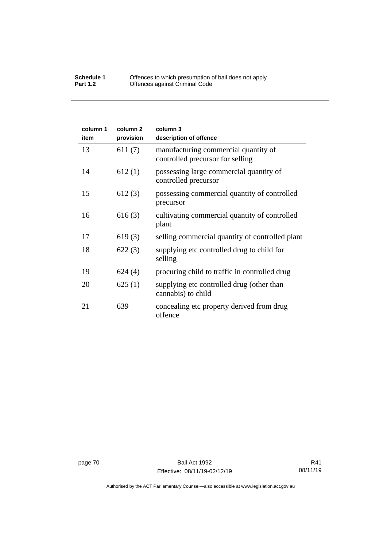| column 1<br>item | column <sub>2</sub><br>provision | column 3<br>description of offence                                       |
|------------------|----------------------------------|--------------------------------------------------------------------------|
| 13               | 611(7)                           | manufacturing commercial quantity of<br>controlled precursor for selling |
| 14               | 612(1)                           | possessing large commercial quantity of<br>controlled precursor          |
| 15               | 612(3)                           | possessing commercial quantity of controlled<br>precursor                |
| 16               | 616(3)                           | cultivating commercial quantity of controlled<br>plant                   |
| 17               | 619(3)                           | selling commercial quantity of controlled plant                          |
| 18               | 622(3)                           | supplying etc controlled drug to child for<br>selling                    |
| 19               | 624(4)                           | procuring child to traffic in controlled drug                            |
| 20               | 625(1)                           | supplying etc controlled drug (other than<br>cannabis) to child          |
| 21               | 639                              | concealing etc property derived from drug<br>offence                     |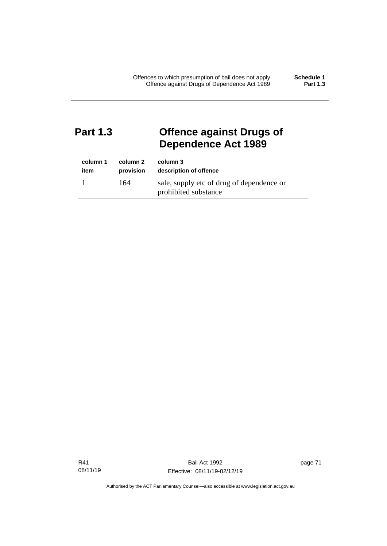# **Part 1.3 Offence against Drugs of Dependence Act 1989**

| column 1 | column 2  | column 3                                                          |
|----------|-----------|-------------------------------------------------------------------|
| item     | provision | description of offence                                            |
|          | 164       | sale, supply etc of drug of dependence or<br>prohibited substance |

R41 08/11/19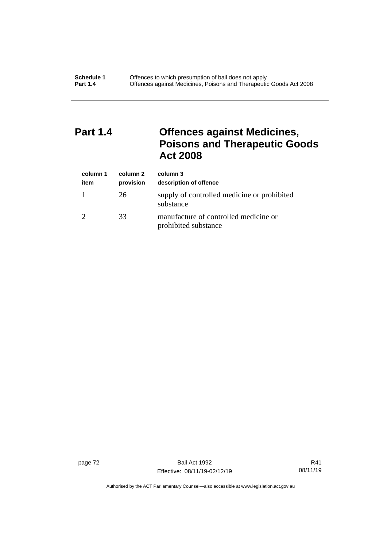# **Part 1.4 Offences against Medicines, Poisons and Therapeutic Goods Act 2008**

| column 1<br>item | column 2<br>provision | column 3<br>description of offence                            |
|------------------|-----------------------|---------------------------------------------------------------|
|                  | 26                    | supply of controlled medicine or prohibited<br>substance      |
|                  | 33                    | manufacture of controlled medicine or<br>prohibited substance |

page 72 Bail Act 1992 Effective: 08/11/19-02/12/19

R41 08/11/19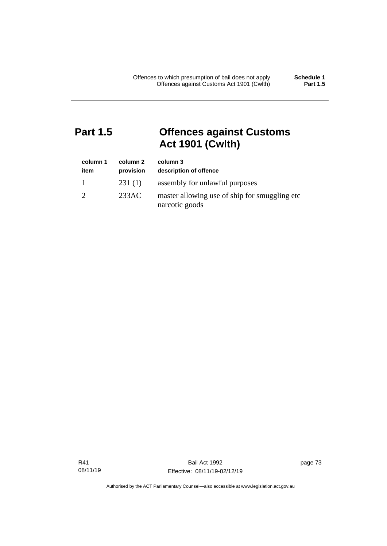# **Part 1.5 Offences against Customs Act 1901 (Cwlth)**

| column 1<br>item | column 2<br>provision | column 3<br>description of offence                               |
|------------------|-----------------------|------------------------------------------------------------------|
|                  | 231(1)                | assembly for unlawful purposes                                   |
|                  | 233AC                 | master allowing use of ship for smuggling etc.<br>narcotic goods |

R41 08/11/19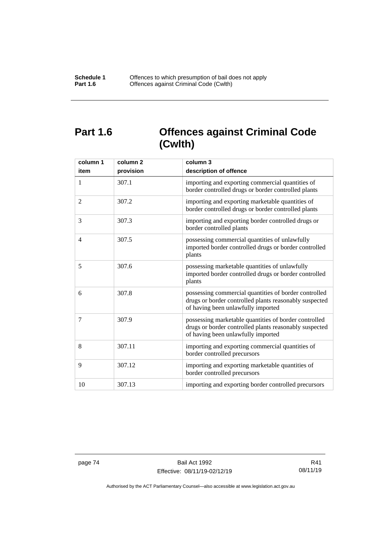# **Part 1.6 Offences against Criminal Code (Cwlth)**

| column 1<br>item | column <sub>2</sub><br>provision | column 3<br>description of offence                                                                                                                    |
|------------------|----------------------------------|-------------------------------------------------------------------------------------------------------------------------------------------------------|
| 1                | 307.1                            | importing and exporting commercial quantities of<br>border controlled drugs or border controlled plants                                               |
| 2                | 307.2                            | importing and exporting marketable quantities of<br>border controlled drugs or border controlled plants                                               |
| 3                | 307.3                            | importing and exporting border controlled drugs or<br>border controlled plants                                                                        |
| $\overline{4}$   | 307.5                            | possessing commercial quantities of unlawfully<br>imported border controlled drugs or border controlled<br>plants                                     |
| 5                | 307.6                            | possessing marketable quantities of unlawfully<br>imported border controlled drugs or border controlled<br>plants                                     |
| 6                | 307.8                            | possessing commercial quantities of border controlled<br>drugs or border controlled plants reasonably suspected<br>of having been unlawfully imported |
| 7                | 307.9                            | possessing marketable quantities of border controlled<br>drugs or border controlled plants reasonably suspected<br>of having been unlawfully imported |
| 8                | 307.11                           | importing and exporting commercial quantities of<br>border controlled precursors                                                                      |
| 9                | 307.12                           | importing and exporting marketable quantities of<br>border controlled precursors                                                                      |
| 10               | 307.13                           | importing and exporting border controlled precursors                                                                                                  |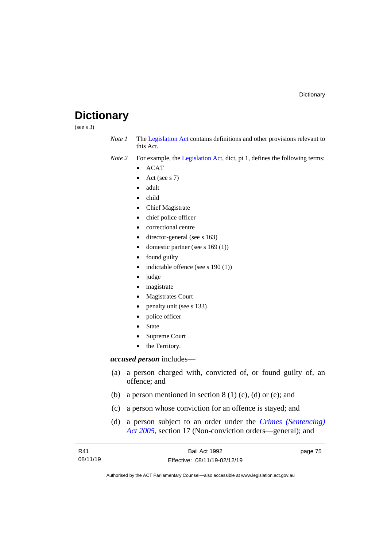# **Dictionary**

(see s 3)

*Note 1* The [Legislation Act](http://www.legislation.act.gov.au/a/2001-14) contains definitions and other provisions relevant to this Act.

*Note 2* For example, the [Legislation Act,](http://www.legislation.act.gov.au/a/2001-14) dict, pt 1, defines the following terms:

- ACAT
- Act (see s 7)
- adult
- child
- Chief Magistrate
- chief police officer
- correctional centre
- director-general (see s 163)
- domestic partner (see s 169 (1))
- found guilty
- indictable offence (see s 190 (1))
- judge
- magistrate
- Magistrates Court
- penalty unit (see s 133)
- police officer
- **State**
- Supreme Court
- the Territory.

# *accused person* includes—

- (a) a person charged with, convicted of, or found guilty of, an offence; and
- (b) a person mentioned in section  $8(1)(c)$ , (d) or (e); and
- (c) a person whose conviction for an offence is stayed; and
- (d) a person subject to an order under the *[Crimes \(Sentencing\)](http://www.legislation.act.gov.au/a/2005-58)  Act [2005](http://www.legislation.act.gov.au/a/2005-58)*, section 17 (Non-conviction orders—general); and

| R41      | Bail Act 1992                | page 75 |
|----------|------------------------------|---------|
| 08/11/19 | Effective: 08/11/19-02/12/19 |         |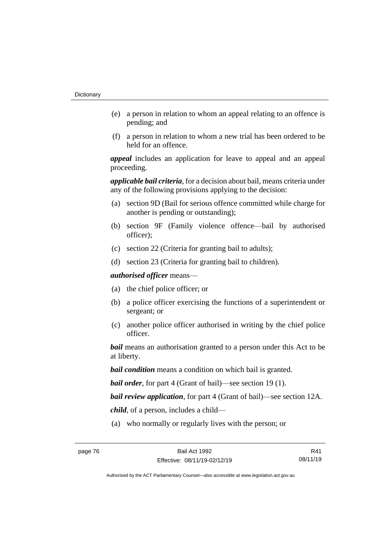- (e) a person in relation to whom an appeal relating to an offence is pending; and
- (f) a person in relation to whom a new trial has been ordered to be held for an offence.

*appeal* includes an application for leave to appeal and an appeal proceeding.

*applicable bail criteria*, for a decision about bail, means criteria under any of the following provisions applying to the decision:

- (a) section 9D (Bail for serious offence committed while charge for another is pending or outstanding);
- (b) section 9F (Family violence offence—bail by authorised officer);
- (c) section 22 (Criteria for granting bail to adults);
- (d) section 23 (Criteria for granting bail to children).

*authorised officer* means—

- (a) the chief police officer; or
- (b) a police officer exercising the functions of a superintendent or sergeant; or
- (c) another police officer authorised in writing by the chief police officer.

*bail* means an authorisation granted to a person under this Act to be at liberty.

*bail condition* means a condition on which bail is granted.

*bail order*, for part 4 (Grant of bail)—see section 19 (1).

*bail review application*, for part 4 (Grant of bail)—see section 12A.

*child*, of a person, includes a child—

(a) who normally or regularly lives with the person; or

R41 08/11/19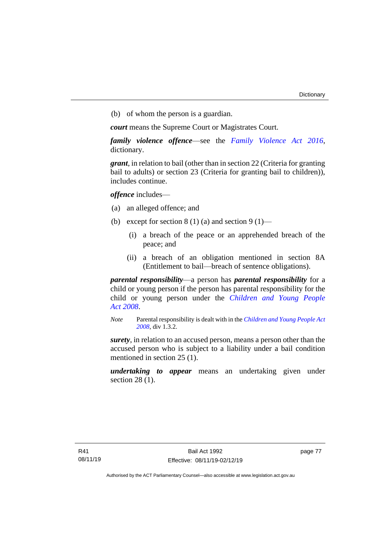(b) of whom the person is a guardian.

*court* means the Supreme Court or Magistrates Court.

*family violence offence*—see the *Family [Violence Act 2016](http://www.legislation.act.gov.au/a/2016-42)*, dictionary.

*grant*, in relation to bail (other than in section 22 (Criteria for granting bail to adults) or section 23 (Criteria for granting bail to children)), includes continue.

*offence* includes—

- (a) an alleged offence; and
- (b) except for section  $8(1)(a)$  and section  $9(1)$ 
	- (i) a breach of the peace or an apprehended breach of the peace; and
	- (ii) a breach of an obligation mentioned in section 8A (Entitlement to bail—breach of sentence obligations).

*parental responsibility*—a person has *parental responsibility* for a child or young person if the person has parental responsibility for the child or young person under the *[Children and Young People](http://www.legislation.act.gov.au/a/2008-19)  Act [2008](http://www.legislation.act.gov.au/a/2008-19)*.

*Note* Parental responsibility is dealt with in the *[Children and Young People Act](http://www.legislation.act.gov.au/a/2008-19)  [2008](http://www.legislation.act.gov.au/a/2008-19)*, div 1.3.2.

*surety*, in relation to an accused person, means a person other than the accused person who is subject to a liability under a bail condition mentioned in section 25 (1).

*undertaking to appear* means an undertaking given under section 28 (1).

page 77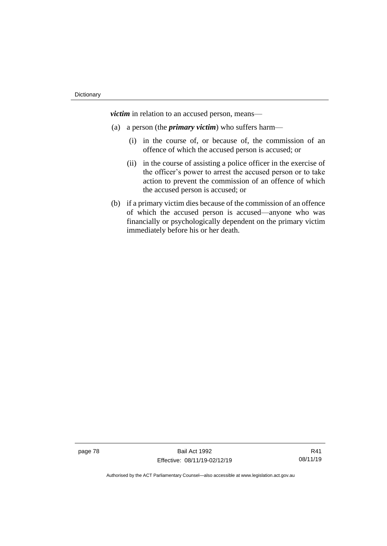*victim* in relation to an accused person, means—

- (a) a person (the *primary victim*) who suffers harm—
	- (i) in the course of, or because of, the commission of an offence of which the accused person is accused; or
	- (ii) in the course of assisting a police officer in the exercise of the officer's power to arrest the accused person or to take action to prevent the commission of an offence of which the accused person is accused; or
- (b) if a primary victim dies because of the commission of an offence of which the accused person is accused—anyone who was financially or psychologically dependent on the primary victim immediately before his or her death.

page 78 Bail Act 1992 Effective: 08/11/19-02/12/19

R41 08/11/19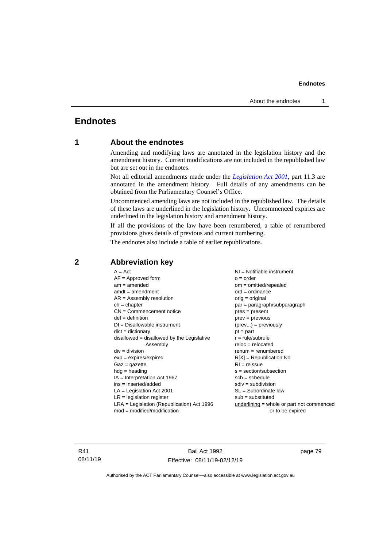# **Endnotes**

# **1 About the endnotes**

Amending and modifying laws are annotated in the legislation history and the amendment history. Current modifications are not included in the republished law but are set out in the endnotes.

Not all editorial amendments made under the *[Legislation Act 2001](http://www.legislation.act.gov.au/a/2001-14)*, part 11.3 are annotated in the amendment history. Full details of any amendments can be obtained from the Parliamentary Counsel's Office.

Uncommenced amending laws are not included in the republished law. The details of these laws are underlined in the legislation history. Uncommenced expiries are underlined in the legislation history and amendment history.

If all the provisions of the law have been renumbered, a table of renumbered provisions gives details of previous and current numbering.

The endnotes also include a table of earlier republications.

| $A = Act$                                    | $NI =$ Notifiable instrument              |
|----------------------------------------------|-------------------------------------------|
| $AF =$ Approved form                         | $o = order$                               |
| $am = amended$                               | om = omitted/repealed                     |
| $amdt = amendment$                           | $ord = ordinance$                         |
| $AR = Assembly resolution$                   | $orig = original$                         |
| $ch = chapter$                               | par = paragraph/subparagraph              |
| $CN =$ Commencement notice                   | $pres = present$                          |
| $def = definition$                           | $prev = previous$                         |
| $DI = Disallowable instrument$               | $(\text{prev}) = \text{previously}$       |
| $dict = dictionary$                          | $pt = part$                               |
| $disallowed = disallowed by the Legislative$ | $r = rule/subrule$                        |
| Assembly                                     | $reloc = relocated$                       |
| $div =$ division                             | $remum = renumbered$                      |
| $exp = expires/expired$                      | $R[X]$ = Republication No                 |
| $Gaz = gazette$                              | $RI = reissue$                            |
| $h dq =$ heading                             | $s = section/subsection$                  |
| $IA = Interpretation Act 1967$               | $sch = schedule$                          |
| ins = inserted/added                         | $sdiv = subdivision$                      |
| $LA =$ Legislation Act 2001                  | $SL = Subordinate$ law                    |
| $LR =$ legislation register                  | $sub =$ substituted                       |
| $LRA =$ Legislation (Republication) Act 1996 | underlining = whole or part not commenced |
| $mod = modified/modification$                | or to be expired                          |
|                                              |                                           |

# **2 Abbreviation key**

R41 08/11/19

Bail Act 1992 Effective: 08/11/19-02/12/19 page 79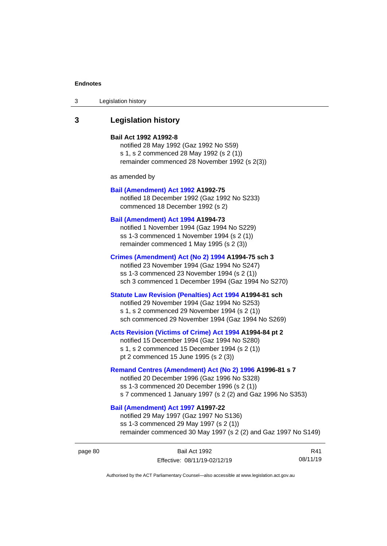3 Legislation history

# **3 Legislation history**

## **Bail Act 1992 A1992-8**

notified 28 May 1992 (Gaz 1992 No S59) s 1, s 2 commenced 28 May 1992 (s 2 (1)) remainder commenced 28 November 1992 (s 2(3))

as amended by

### **[Bail \(Amendment\) Act 1992](http://www.legislation.act.gov.au/a/1992-75) A1992-75**

notified 18 December 1992 (Gaz 1992 No S233) commenced 18 December 1992 (s 2)

# **[Bail \(Amendment\) Act 1994](http://www.legislation.act.gov.au/a/1994-73) A1994-73**

notified 1 November 1994 (Gaz 1994 No S229) ss 1-3 commenced 1 November 1994 (s 2 (1)) remainder commenced 1 May 1995 (s 2 (3))

### **[Crimes \(Amendment\) Act \(No 2\) 1994](http://www.legislation.act.gov.au/a/1994-75) A1994-75 sch 3**

notified 23 November 1994 (Gaz 1994 No S247) ss 1-3 commenced 23 November 1994 (s 2 (1)) sch 3 commenced 1 December 1994 (Gaz 1994 No S270)

## **[Statute Law Revision \(Penalties\) Act 1994](http://www.legislation.act.gov.au/a/1994-81) A1994-81 sch**

notified 29 November 1994 (Gaz 1994 No S253) s 1, s 2 commenced 29 November 1994 (s 2 (1)) sch commenced 29 November 1994 (Gaz 1994 No S269)

## **[Acts Revision \(Victims of Crime\) Act 1994](http://www.legislation.act.gov.au/a/1994-84) A1994-84 pt 2**

notified 15 December 1994 (Gaz 1994 No S280) s 1, s 2 commenced 15 December 1994 (s 2 (1)) pt 2 commenced 15 June 1995 (s 2 (3))

## **[Remand Centres \(Amendment\) Act \(No 2\) 1996](http://www.legislation.act.gov.au/a/1996-81) A1996-81 s 7**

notified 20 December 1996 (Gaz 1996 No S328) ss 1-3 commenced 20 December 1996 (s 2 (1)) s 7 commenced 1 January 1997 (s 2 (2) and Gaz 1996 No S353)

# **[Bail \(Amendment\) Act 1997](http://www.legislation.act.gov.au/a/1997-22) A1997-22**

notified 29 May 1997 (Gaz 1997 No S136) ss 1-3 commenced 29 May 1997 (s 2 (1)) remainder commenced 30 May 1997 (s 2 (2) and Gaz 1997 No S149)

| page 80 | Bail Act 1992                | R41      |
|---------|------------------------------|----------|
|         | Effective: 08/11/19-02/12/19 | 08/11/19 |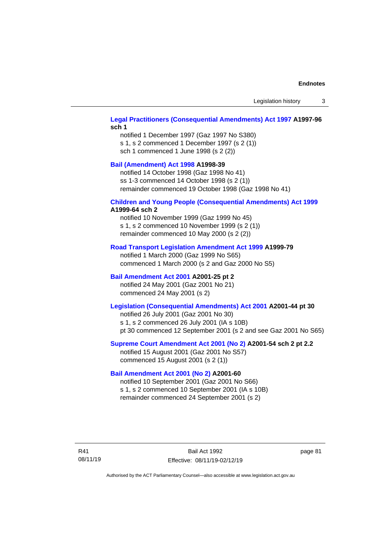Legislation history 3

# **[Legal Practitioners \(Consequential Amendments\) Act 1997](http://www.legislation.act.gov.au/a/1997-96) A1997-96 sch 1**

notified 1 December 1997 (Gaz 1997 No S380) s 1, s 2 commenced 1 December 1997 (s 2 (1)) sch 1 commenced 1 June 1998 (s 2 (2))

# **[Bail \(Amendment\) Act 1998](http://www.legislation.act.gov.au/a/1998-39) A1998-39**

notified 14 October 1998 (Gaz 1998 No 41) ss 1-3 commenced 14 October 1998 (s 2 (1)) remainder commenced 19 October 1998 (Gaz 1998 No 41)

#### **[Children and Young People \(Consequential Amendments\) Act 1999](http://www.legislation.act.gov.au/a/1999-64) A1999-64 sch 2**

notified 10 November 1999 (Gaz 1999 No 45) s 1, s 2 commenced 10 November 1999 (s 2 (1)) remainder commenced 10 May 2000 (s 2 (2))

### **[Road Transport Legislation Amendment Act 1999](http://www.legislation.act.gov.au/a/1999-79) A1999-79**

notified 1 March 2000 (Gaz 1999 No S65) commenced 1 March 2000 (s 2 and Gaz 2000 No S5)

# **[Bail Amendment Act 2001](http://www.legislation.act.gov.au/a/2001-25) A2001-25 pt 2**

notified 24 May 2001 (Gaz 2001 No 21) commenced 24 May 2001 (s 2)

# **[Legislation \(Consequential Amendments\) Act 2001](http://www.legislation.act.gov.au/a/2001-44) A2001-44 pt 30**

notified 26 July 2001 (Gaz 2001 No 30) s 1, s 2 commenced 26 July 2001 (IA s 10B) pt 30 commenced 12 September 2001 (s 2 and see Gaz 2001 No S65)

# **[Supreme Court Amendment Act 2001 \(No 2\)](http://www.legislation.act.gov.au/a/2001-54) A2001-54 sch 2 pt 2.2**

notified 15 August 2001 (Gaz 2001 No S57) commenced 15 August 2001 (s 2 (1))

## **[Bail Amendment Act 2001 \(No 2\)](http://www.legislation.act.gov.au/a/2001-60) A2001-60**

notified 10 September 2001 (Gaz 2001 No S66) s 1, s 2 commenced 10 September 2001 (IA s 10B) remainder commenced 24 September 2001 (s 2)

R41 08/11/19

Bail Act 1992 Effective: 08/11/19-02/12/19 page 81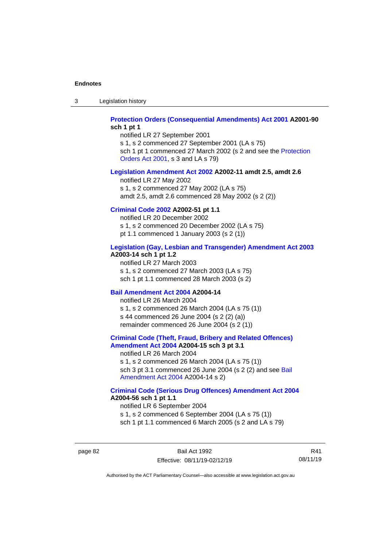3 Legislation history

# **[Protection Orders \(Consequential Amendments\) Act 2001](http://www.legislation.act.gov.au/a/2001-90) A2001-90 sch 1 pt 1**

notified LR 27 September 2001 s 1, s 2 commenced 27 September 2001 (LA s 75) sch 1 pt 1 commenced 27 March 2002 (s 2 and see the Protection [Orders Act 2001,](http://www.legislation.act.gov.au/a/2001-89) s 3 and LA s 79)

### **[Legislation Amendment Act 2002](http://www.legislation.act.gov.au/a/2002-11) A2002-11 amdt 2.5, amdt 2.6**

notified LR 27 May 2002 s 1, s 2 commenced 27 May 2002 (LA s 75) amdt 2.5, amdt 2.6 commenced 28 May 2002 (s 2 (2))

## **[Criminal Code 2002](http://www.legislation.act.gov.au/a/2002-51) A2002-51 pt 1.1**

notified LR 20 December 2002 s 1, s 2 commenced 20 December 2002 (LA s 75) pt 1.1 commenced 1 January 2003 (s 2 (1))

### **[Legislation \(Gay, Lesbian and Transgender\) Amendment Act 2003](http://www.legislation.act.gov.au/a/2003-14)**

## **A2003-14 sch 1 pt 1.2**

notified LR 27 March 2003 s 1, s 2 commenced 27 March 2003 (LA s 75) sch 1 pt 1.1 commenced 28 March 2003 (s 2)

## **[Bail Amendment Act 2004](http://www.legislation.act.gov.au/a/2004-14) A2004-14**

notified LR 26 March 2004 s 1, s 2 commenced 26 March 2004 (LA s 75 (1)) s 44 commenced 26 June 2004 (s 2 (2) (a)) remainder commenced 26 June 2004 (s 2 (1))

### **[Criminal Code \(Theft, Fraud, Bribery and Related Offences\)](http://www.legislation.act.gov.au/a/2004-15)  [Amendment Act 2004](http://www.legislation.act.gov.au/a/2004-15) A2004-15 sch 3 pt 3.1**

notified LR 26 March 2004 s 1, s 2 commenced 26 March 2004 (LA s 75 (1)) sch 3 pt 3.1 commenced 26 June 2004 (s 2 (2) and see [Bail](http://www.legislation.act.gov.au/a/2004-14)  [Amendment Act 2004](http://www.legislation.act.gov.au/a/2004-14) A2004-14 s 2)

### **[Criminal Code \(Serious Drug Offences\) Amendment Act 2004](http://www.legislation.act.gov.au/a/2004-56) A2004-56 sch 1 pt 1.1**

notified LR 6 September 2004 s 1, s 2 commenced 6 September 2004 (LA s 75 (1)) sch 1 pt 1.1 commenced 6 March 2005 (s 2 and LA s 79)

page 82 Bail Act 1992 Effective: 08/11/19-02/12/19

R41 08/11/19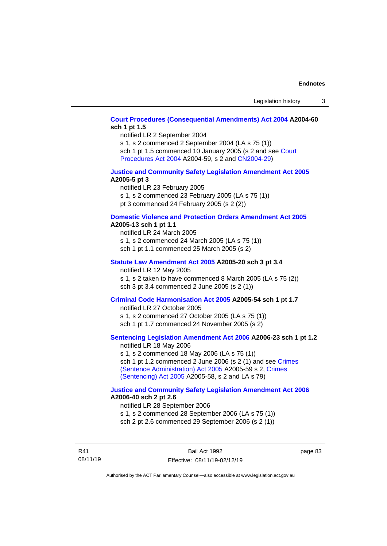# **[Court Procedures \(Consequential Amendments\) Act 2004](http://www.legislation.act.gov.au/a/2004-60) A2004-60 sch 1 pt 1.5**

notified LR 2 September 2004

s 1, s 2 commenced 2 September 2004 (LA s 75 (1)) sch 1 pt 1.5 commenced 10 January 2005 (s 2 and see [Court](http://www.legislation.act.gov.au/a/2004-59)  [Procedures Act](http://www.legislation.act.gov.au/a/2004-59) 2004 A2004-59, s 2 an[d CN2004-29\)](http://www.legislation.act.gov.au/cn/2004-29/default.asp)

## **[Justice and Community Safety Legislation Amendment Act 2005](http://www.legislation.act.gov.au/a/2005-5) A2005-5 pt 3**

notified LR 23 February 2005 s 1, s 2 commenced 23 February 2005 (LA s 75 (1)) pt 3 commenced 24 February 2005 (s 2 (2))

### **[Domestic Violence and Protection Orders Amendment Act 2005](http://www.legislation.act.gov.au/a/2005-13) A2005-13 sch 1 pt 1.1**

notified LR 24 March 2005 s 1, s 2 commenced 24 March 2005 (LA s 75 (1)) sch 1 pt 1.1 commenced 25 March 2005 (s 2)

# **[Statute Law Amendment Act 2005](http://www.legislation.act.gov.au/a/2005-20) A2005-20 sch 3 pt 3.4**

notified LR 12 May 2005 s 1, s 2 taken to have commenced 8 March 2005 (LA s 75 (2))

# sch 3 pt 3.4 commenced 2 June 2005 (s 2 (1))

# **[Criminal Code Harmonisation Act 2005](http://www.legislation.act.gov.au/a/2005-54) A2005-54 sch 1 pt 1.7**

notified LR 27 October 2005 s 1, s 2 commenced 27 October 2005 (LA s 75 (1)) sch 1 pt 1.7 commenced 24 November 2005 (s 2)

# **[Sentencing Legislation Amendment Act 2006](http://www.legislation.act.gov.au/a/2006-23) A2006-23 sch 1 pt 1.2**

notified LR 18 May 2006 s 1, s 2 commenced 18 May 2006 (LA s 75 (1)) sch 1 pt 1.2 commenced 2 June 2006 (s 2 (1) and see [Crimes](http://www.legislation.act.gov.au/a/2005-59)  [\(Sentence Administration\) Act 2005](http://www.legislation.act.gov.au/a/2005-59) A2005-59 s 2, [Crimes](http://www.legislation.act.gov.au/a/2005-58)  [\(Sentencing\) Act 2005](http://www.legislation.act.gov.au/a/2005-58) A2005-58, s 2 and LA s 79)

# **[Justice and Community Safety Legislation Amendment Act](http://www.legislation.act.gov.au/a/2006-40) 2006 A2006-40 sch 2 pt 2.6**

notified LR 28 September 2006 s 1, s 2 commenced 28 September 2006 (LA s 75 (1)) sch 2 pt 2.6 commenced 29 September 2006 (s 2 (1))

R41 08/11/19 page 83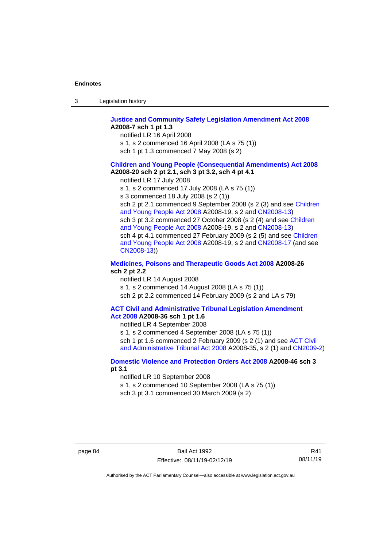| -3 | Legislation history |  |
|----|---------------------|--|
|    |                     |  |

### **[Justice and Community Safety Legislation Amendment Act 2008](http://www.legislation.act.gov.au/a/2008-7) A2008-7 sch 1 pt 1.3**

notified LR 16 April 2008

s 1, s 2 commenced 16 April 2008 (LA s 75 (1))

sch 1 pt 1.3 commenced 7 May 2008 (s 2)

## **Children and [Young People \(Consequential Amendments\) Act 2008](http://www.legislation.act.gov.au/a/2008-20) A2008-20 sch 2 pt 2.1, sch 3 pt 3.2, sch 4 pt 4.1**

notified LR 17 July 2008

s 1, s 2 commenced 17 July 2008 (LA s 75 (1))

s 3 commenced 18 July 2008 (s 2 (1))

sch 2 pt 2.1 commenced 9 September 2008 (s 2 (3) and see Children [and Young People Act 2008](http://www.legislation.act.gov.au/a/2008-19) A2008-19, s 2 and [CN2008-13\)](http://www.legislation.act.gov.au/cn/2008-13/default.asp) sch 3 pt 3.2 commenced 27 October 2008 (s 2 (4) and see [Children](http://www.legislation.act.gov.au/a/2008-19)  [and Young People Act 2008](http://www.legislation.act.gov.au/a/2008-19) A2008-19, s 2 and [CN2008-13\)](http://www.legislation.act.gov.au/cn/2008-13/default.asp) sch 4 pt 4.1 commenced 27 February 2009 (s 2 (5) and see [Children](http://www.legislation.act.gov.au/a/2008-19)  [and Young People Act 2008](http://www.legislation.act.gov.au/a/2008-19) A2008-19, s 2 and [CN2008-17 \(](http://www.legislation.act.gov.au/cn/2008-17/default.asp)and see [CN2008-13\)](http://www.legislation.act.gov.au/cn/2008-13/default.asp))

## **[Medicines, Poisons and Therapeutic Goods Act](http://www.legislation.act.gov.au/a/2008-26#history) 2008 A2008-26 sch 2 pt 2.2**

notified LR 14 August 2008 s 1, s 2 commenced 14 August 2008 (LA s 75 (1)) sch 2 pt 2.2 commenced 14 February 2009 (s 2 and LA s 79)

# **[ACT Civil and Administrative Tribunal Legislation Amendment](http://www.legislation.act.gov.au/a/2008-36)**

**Act [2008](http://www.legislation.act.gov.au/a/2008-36) A2008-36 sch 1 pt 1.6** notified LR 4 September 2008

s 1, s 2 commenced 4 September 2008 (LA s 75 (1)) sch 1 pt 1.6 commenced 2 February 2009 (s 2 (1) and see ACT Civil

[and Administrative Tribunal Act 2008](http://www.legislation.act.gov.au/a/2008-35) A2008-35, s 2 (1) an[d CN2009-2\)](http://www.legislation.act.gov.au/cn/2009-2/default.asp)

# **[Domestic Violence and Protection Orders Act 2008](http://www.legislation.act.gov.au/a/2008-46#history) A2008-46 sch 3 pt 3.1**

notified LR 10 September 2008

s 1, s 2 commenced 10 September 2008 (LA s 75 (1))

sch 3 pt 3.1 commenced 30 March 2009 (s 2)

R41 08/11/19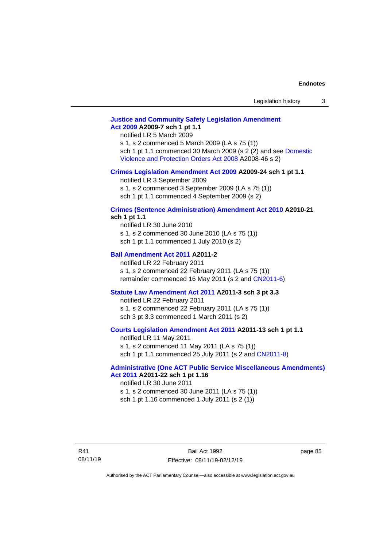# **[Justice and Community Safety Legislation Amendment](http://www.legislation.act.gov.au/a/2009-7)  Act [2009](http://www.legislation.act.gov.au/a/2009-7) A2009-7 sch 1 pt 1.1**

notified LR 5 March 2009

s 1, s 2 commenced 5 March 2009 (LA s 75 (1)) sch 1 pt 1.1 commenced 30 March 2009 (s 2 (2) and see [Domestic](http://www.legislation.act.gov.au/a/2008-46)  [Violence and Protection Orders Act 2008](http://www.legislation.act.gov.au/a/2008-46) A2008-46 s 2)

#### **[Crimes Legislation Amendment Act 2009](http://www.legislation.act.gov.au/a/2009-24) A2009-24 sch 1 pt 1.1**

notified LR 3 September 2009 s 1, s 2 commenced 3 September 2009 (LA s 75 (1))

sch 1 pt 1.1 commenced 4 September 2009 (s 2)

# **[Crimes \(Sentence Administration\) Amendment Act 2010](http://www.legislation.act.gov.au/a/2010-21) A2010-21**

**sch 1 pt 1.1**

notified LR 30 June 2010 s 1, s 2 commenced 30 June 2010 (LA s 75 (1)) sch 1 pt 1.1 commenced 1 July 2010 (s 2)

## **[Bail Amendment Act 2011](http://www.legislation.act.gov.au/a/2011-2) A2011-2**

notified LR 22 February 2011 s 1, s 2 commenced 22 February 2011 (LA s 75 (1)) remainder commenced 16 May 2011 (s 2 and [CN2011-6\)](http://www.legislation.act.gov.au/cn/2011-6/default.asp)

### **[Statute Law Amendment Act 2011](http://www.legislation.act.gov.au/a/2011-3) A2011-3 sch 3 pt 3.3**

notified LR 22 February 2011 s 1, s 2 commenced 22 February 2011 (LA s 75 (1)) sch 3 pt 3.3 commenced 1 March 2011 (s 2)

# **[Courts Legislation Amendment Act 2011](http://www.legislation.act.gov.au/a/2011-13) A2011-13 sch 1 pt 1.1**

notified LR 11 May 2011 s 1, s 2 commenced 11 May 2011 (LA s 75 (1)) sch 1 pt 1.1 commenced 25 July 2011 (s 2 and [CN2011-8\)](http://www.legislation.act.gov.au/cn/2011-8/default.asp)

### **[Administrative \(One ACT Public Service Miscellaneous Amendments\)](http://www.legislation.act.gov.au/a/2011-22)  Act [2011](http://www.legislation.act.gov.au/a/2011-22) A2011-22 sch 1 pt 1.16**

notified LR 30 June 2011 s 1, s 2 commenced 30 June 2011 (LA s 75 (1)) sch 1 pt 1.16 commenced 1 July 2011 (s 2 (1))

page 85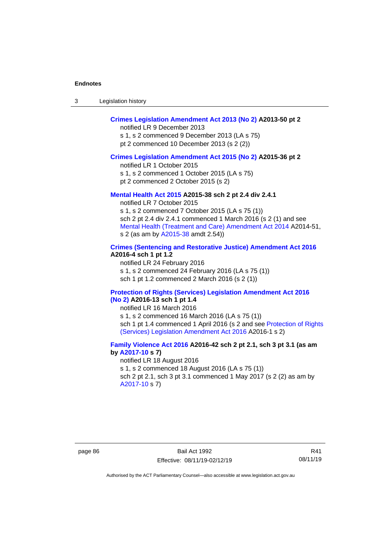| Legislation history<br>-3 |  |
|---------------------------|--|
|---------------------------|--|

# **[Crimes Legislation Amendment Act 2013 \(No 2\)](http://www.legislation.act.gov.au/a/2013-50) A2013-50 pt 2**

notified LR 9 December 2013

s 1, s 2 commenced 9 December 2013 (LA s 75) pt 2 commenced 10 December 2013 (s 2 (2))

## **[Crimes Legislation Amendment Act 2015 \(No 2\)](http://www.legislation.act.gov.au/a/2015-36) A2015-36 pt 2**

notified LR 1 October 2015 s 1, s 2 commenced 1 October 2015 (LA s 75)

pt 2 commenced 2 October 2015 (s 2)

### **[Mental Health Act 2015](http://www.legislation.act.gov.au/a/2015-38#history) A2015-38 sch 2 pt 2.4 div 2.4.1**

notified LR 7 October 2015 s 1, s 2 commenced 7 October 2015 (LA s 75 (1)) sch 2 pt 2.4 div 2.4.1 commenced 1 March 2016 (s 2 (1) and see [Mental Health \(Treatment and Care\) Amendment Act 2014](http://www.legislation.act.gov.au/a/2014-51/default.asp) A2014-51, s 2 (as am by [A2015-38](http://www.legislation.act.gov.au/a/2015-38) amdt 2.54))

# **[Crimes \(Sentencing and Restorative Justice\) Amendment Act 2016](http://www.legislation.act.gov.au/a/2016-4/default.asp) A2016-4 sch 1 pt 1.2**

notified LR 24 February 2016 s 1, s 2 commenced 24 February 2016 (LA s 75 (1)) sch 1 pt 1.2 commenced 2 March 2016 (s 2 (1))

### **[Protection of Rights \(Services\) Legislation Amendment Act 2016](http://www.legislation.act.gov.au/a/2016-13)  [\(No](http://www.legislation.act.gov.au/a/2016-13) 2) A2016-13 sch 1 pt 1.4**

notified LR 16 March 2016

s 1, s 2 commenced 16 March 2016 (LA s 75 (1)) sch 1 pt 1.4 commenced 1 April 2016 (s 2 and see Protection of Rights [\(Services\) Legislation Amendment Act 2016](http://www.legislation.act.gov.au/a/2016-1/default.asp) A2016-1 s 2)

# **[Family Violence Act 2016](http://www.legislation.act.gov.au/a/2016-42#history) A2016-42 sch 2 pt 2.1, sch 3 pt 3.1 (as am by [A2017-10](http://www.legislation.act.gov.au/a/2017-10/default.asp) s 7)**

notified LR 18 August 2016 s 1, s 2 commenced 18 August 2016 (LA s 75 (1)) sch 2 pt 2.1, sch 3 pt 3.1 commenced 1 May 2017 (s 2 (2) as am by [A2017-10](http://www.legislation.act.gov.au/a/2017-10/default.asp) s 7)

R41 08/11/19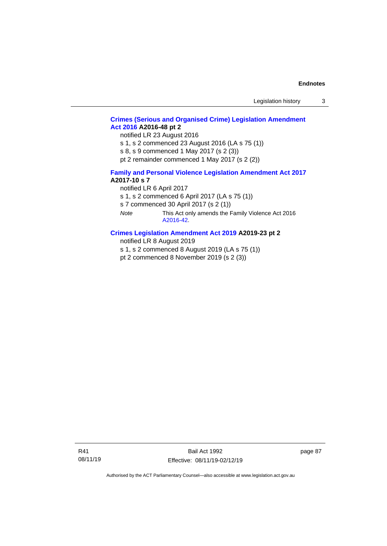# **[Crimes \(Serious and Organised Crime\) Legislation Amendment](http://www.legislation.act.gov.au/a/2016-48/default.asp)  Act [2016](http://www.legislation.act.gov.au/a/2016-48/default.asp) A2016-48 pt 2**

notified LR 23 August 2016

s 1, s 2 commenced 23 August 2016 (LA s 75 (1))

s 8, s 9 commenced 1 May 2017 (s 2 (3))

pt 2 remainder commenced 1 May 2017 (s 2 (2))

### **[Family and Personal Violence Legislation Amendment Act 2017](http://www.legislation.act.gov.au/a/2017-10/default.asp) A2017-10 s 7**

notified LR 6 April 2017

s 1, s 2 commenced 6 April 2017 (LA s 75 (1))

s 7 commenced 30 April 2017 (s 2 (1))

*Note* This Act only amends the Family Violence Act 2016 [A2016-42.](http://www.legislation.act.gov.au/a/2016-42/default.asp)

# **[Crimes Legislation Amendment Act 2019](http://www.legislation.act.gov.au/a/2019-23) A2019-23 pt 2**

notified LR 8 August 2019

s 1, s 2 commenced 8 August 2019 (LA s 75 (1))

pt 2 commenced 8 November 2019 (s 2 (3))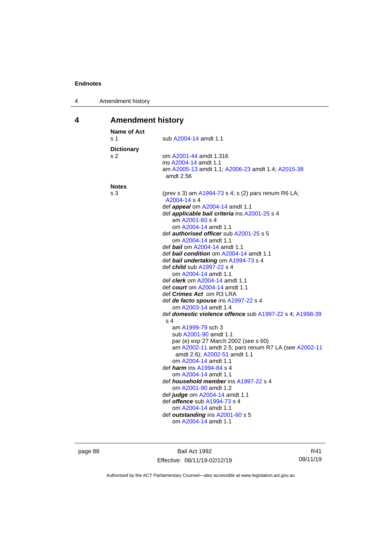| 4 | Amendment history |
|---|-------------------|
|---|-------------------|

# **4 Amendment history**

| <b>Name of Act</b><br>s <sub>1</sub> | sub A2004-14 amdt 1.1                                                                |
|--------------------------------------|--------------------------------------------------------------------------------------|
| <b>Dictionary</b>                    |                                                                                      |
| s 2                                  | om A2001-44 amdt 1.316                                                               |
|                                      | ins A2004-14 amdt 1.1                                                                |
|                                      | am A2005-13 amdt 1.1; A2006-23 amdt 1.4; A2015-38<br>amdt 2.56                       |
| <b>Notes</b>                         |                                                                                      |
| s 3                                  | (prev s 3) am A1994-73 s 4; s (2) pars renum R6 LA;<br>A2004-14 s 4                  |
|                                      | def <i>appeal</i> om A2004-14 amdt 1.1                                               |
|                                      | def applicable bail criteria ins A2001-25 s 4                                        |
|                                      | am A2001-60 s 4                                                                      |
|                                      | om A2004-14 amdt 1.1                                                                 |
|                                      | def <i>authorised officer</i> sub A2001-25 s 5                                       |
|                                      | om A2004-14 amdt 1.1                                                                 |
|                                      | def bail om A2004-14 amdt 1.1                                                        |
|                                      | def bail condition om A2004-14 amdt 1.1                                              |
|                                      | def bail undertaking om A1994-73 s 4<br>def <i>child</i> sub A1997-22 s 4            |
|                                      | om A2004-14 amdt 1.1                                                                 |
|                                      | def <i>clerk</i> om A2004-14 amdt 1.1                                                |
|                                      | def <i>court</i> om A2004-14 amdt 1.1                                                |
|                                      | def <i>Crimes Act</i> om R3 LRA                                                      |
|                                      | def de facto spouse ins A1997-22 s 4                                                 |
|                                      | om A2003-14 amdt 1.4                                                                 |
|                                      | def domestic violence offence sub A1997-22 s 4; A1998-39                             |
|                                      | s <sub>4</sub>                                                                       |
|                                      | am A1999-79 sch 3                                                                    |
|                                      | sub A2001-90 amdt 1.1                                                                |
|                                      | par (e) exp 27 March 2002 (see s 60)                                                 |
|                                      | am A2002-11 amdt 2.5; pars renum R7 LA (see A2002-11<br>amdt 2.6); A2002-51 amdt 1.1 |
|                                      | om A2004-14 amdt 1.1                                                                 |
|                                      | def <i>harm</i> ins A1994-84 s 4<br>om A2004-14 amdt 1.1                             |
|                                      | def <i>household member</i> ins A1997-22 s 4                                         |
|                                      | om A2001-90 amdt 1.2                                                                 |
|                                      | def judge om A2004-14 amdt 1.1                                                       |
|                                      | def offence sub A1994-73 s 4                                                         |
|                                      | om A2004-14 amdt 1.1                                                                 |
|                                      | def outstanding ins A2001-60 s 5                                                     |
|                                      | om A2004-14 amdt 1.1                                                                 |
|                                      |                                                                                      |

page 88 Bail Act 1992 Effective: 08/11/19-02/12/19

R41 08/11/19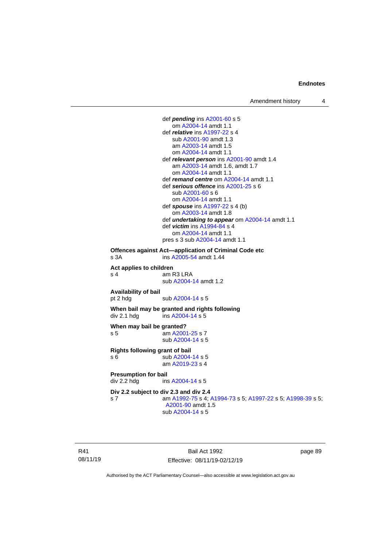Amendment history 4



R41 08/11/19

Bail Act 1992 Effective: 08/11/19-02/12/19 page 89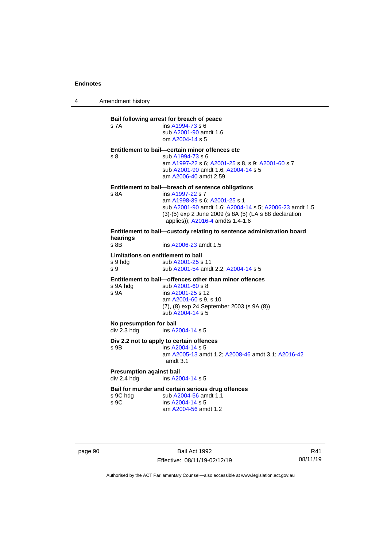4 Amendment history

# **Bail following arrest for breach of peace** s 7A ins [A1994-73](http://www.legislation.act.gov.au/a/1994-73) s 6 sub [A2001-90](http://www.legislation.act.gov.au/a/2001-90) amdt 1.6 om [A2004-14](http://www.legislation.act.gov.au/a/2004-14) s 5 **Entitlement to bail—certain minor offences etc** s 8 sub [A1994-73](http://www.legislation.act.gov.au/a/1994-73) s 6 am [A1997-22](http://www.legislation.act.gov.au/a/1997-22) s 6[; A2001-25](http://www.legislation.act.gov.au/a/2001-25) s 8, s 9; [A2001-60](http://www.legislation.act.gov.au/a/2001-60) s 7 sub [A2001-90](http://www.legislation.act.gov.au/a/2001-90) amdt 1.6[; A2004-14](http://www.legislation.act.gov.au/a/2004-14) s 5 am [A2006-40](http://www.legislation.act.gov.au/a/2006-40) amdt 2.59 **Entitlement to bail—breach of sentence obligations** s 8A ins [A1997-22](http://www.legislation.act.gov.au/a/1997-22) s 7 am [A1998-39](http://www.legislation.act.gov.au/a/1998-39) s 6[; A2001-25](http://www.legislation.act.gov.au/a/2001-25) s 1 sub [A2001-90](http://www.legislation.act.gov.au/a/2001-90) amdt 1.6[; A2004-14](http://www.legislation.act.gov.au/a/2004-14) s 5; [A2006-23](http://www.legislation.act.gov.au/a/2006-23) amdt 1.5 (3)-(5) exp 2 June 2009 (s 8A (5) (LA s 88 declaration applies)); [A2016-4](http://www.legislation.act.gov.au/a/2016-4/default.asp) amdts 1.4-1.6 **Entitlement to bail—custody relating to sentence administration board hearings** ins [A2006-23](http://www.legislation.act.gov.au/a/2006-23) amdt 1.5 **Limitations on entitlement to bail** s 9 hdg sub [A2001-25](http://www.legislation.act.gov.au/a/2001-25) s 11 s 9 sub [A2001-54](http://www.legislation.act.gov.au/a/2001-54) amdt 2.2[; A2004-14](http://www.legislation.act.gov.au/a/2004-14) s 5 **Entitlement to bail—offences other than minor offences** s 9A hdg sub [A2001-60](http://www.legislation.act.gov.au/a/2001-60) s 8 s 9A ins [A2001-25](http://www.legislation.act.gov.au/a/2001-25) s 12 am [A2001-60](http://www.legislation.act.gov.au/a/2001-60) s 9, s 10 (7), (8) exp 24 September 2003 (s 9A (8)) sub [A2004-14](http://www.legislation.act.gov.au/a/2004-14) s 5 **No presumption for bail** div 2.3 hdg ins [A2004-14](http://www.legislation.act.gov.au/a/2004-14) s 5 **Div 2.2 not to apply to certain offences** s 9B ins [A2004-14](http://www.legislation.act.gov.au/a/2004-14) s 5 am [A2005-13](http://www.legislation.act.gov.au/a/2005-13) amdt 1.2[; A2008-46](http://www.legislation.act.gov.au/a/2008-46) amdt 3.1; [A2016-42](http://www.legislation.act.gov.au/a/2016-42/default.asp) amdt 3.1 **Presumption against bail** div 2.4 hdg ins [A2004-14](http://www.legislation.act.gov.au/a/2004-14) s 5 **Bail for murder and certain serious drug offences**<br>s 9C hdg sub A2004-56 amdt 1.1 s 9C hdg sub [A2004-56](http://www.legislation.act.gov.au/a/2004-56) amdt 1.1<br>s 9C ins A2004-14 s 5  $ins A2004-14 s 5$  $ins A2004-14 s 5$  $ins A2004-14 s 5$ am [A2004-56](http://www.legislation.act.gov.au/a/2004-56) amdt 1.2

page 90 Bail Act 1992 Effective: 08/11/19-02/12/19

R41 08/11/19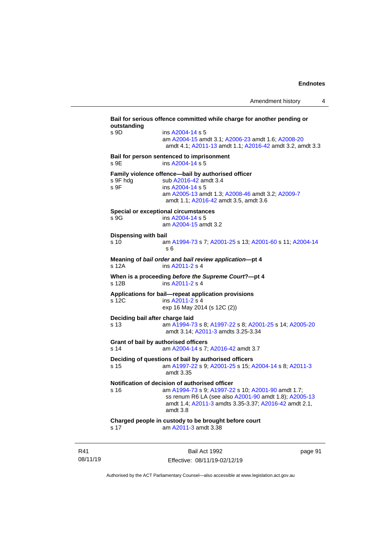**Bail for serious offence committed while charge for another pending or outstanding** s 9D ins [A2004-14](http://www.legislation.act.gov.au/a/2004-14) s 5 am [A2004-15](http://www.legislation.act.gov.au/a/2004-15) amdt 3.1[; A2006-23](http://www.legislation.act.gov.au/a/2006-23) amdt 1.6; [A2008-20](http://www.legislation.act.gov.au/a/2008-20) amdt 4.1; [A2011-13](http://www.legislation.act.gov.au/a/2011-13) amdt 1.1[; A2016-42](http://www.legislation.act.gov.au/a/2016-42/default.asp) amdt 3.2, amdt 3.3 **Bail for person sentenced to imprisonment** s 9E ins [A2004-14](http://www.legislation.act.gov.au/a/2004-14) s 5 **Family violence offence—bail by authorised officer**<br>s 9F hdg sub A2016-42 amdt 3.4 sub [A2016-42](http://www.legislation.act.gov.au/a/2016-42/default.asp) amdt 3.4 s 9F ins [A2004-14](http://www.legislation.act.gov.au/a/2004-14) s 5 am [A2005-13](http://www.legislation.act.gov.au/a/2005-13) amdt 1.3[; A2008-46](http://www.legislation.act.gov.au/a/2008-46) amdt 3.2; [A2009-7](http://www.legislation.act.gov.au/a/2009-7) amdt 1.1; [A2016-42](http://www.legislation.act.gov.au/a/2016-42/default.asp) amdt 3.5, amdt 3.6 **Special or exceptional circumstances** s 9G ins [A2004-14](http://www.legislation.act.gov.au/a/2004-14) s 5 am [A2004-15](http://www.legislation.act.gov.au/a/2004-15) amdt 3.2 **Dispensing with bail** s 10 am [A1994-73](http://www.legislation.act.gov.au/a/1994-73) s 7[; A2001-25](http://www.legislation.act.gov.au/a/2001-25) s 13; [A2001-60](http://www.legislation.act.gov.au/a/2001-60) s 11[; A2004-14](http://www.legislation.act.gov.au/a/2004-14) s 6 **Meaning of** *bail order* **and** *bail review application***—pt 4** s 12A ins [A2011-2](http://www.legislation.act.gov.au/a/2011-2) s 4 **When is a proceeding** *before the Supreme Court***?—pt 4** s 12B ins [A2011-2](http://www.legislation.act.gov.au/a/2011-2) s 4 **Applications for bail—repeat application provisions** ins [A2011-2](http://www.legislation.act.gov.au/a/2011-2) s 4 exp 16 May 2014 (s 12C (2)) **Deciding bail after charge laid** s 13 am [A1994-73](http://www.legislation.act.gov.au/a/1994-73) s 8[; A1997-22](http://www.legislation.act.gov.au/a/1997-22) s 8; [A2001-25](http://www.legislation.act.gov.au/a/2001-25) s 14[; A2005-20](http://www.legislation.act.gov.au/a/2005-20) amdt 3.14; [A2011-3](http://www.legislation.act.gov.au/a/2011-3) amdts 3.25-3.34 **Grant of bail by authorised officers** s 14 am [A2004-14](http://www.legislation.act.gov.au/a/2004-14) s 7[; A2016-42](http://www.legislation.act.gov.au/a/2016-42/default.asp) amdt 3.7 **Deciding of questions of bail by authorised officers** s 15 am [A1997-22](http://www.legislation.act.gov.au/a/1997-22) s 9[; A2001-25](http://www.legislation.act.gov.au/a/2001-25) s 15; [A2004-14](http://www.legislation.act.gov.au/a/2004-14) s 8[; A2011-3](http://www.legislation.act.gov.au/a/2011-3) amdt 3.35 **Notification of decision of authorised officer** s 16 am [A1994-73](http://www.legislation.act.gov.au/a/1994-73) s 9[; A1997-22](http://www.legislation.act.gov.au/a/1997-22) s 10; [A2001-90](http://www.legislation.act.gov.au/a/2001-90) amdt 1.7; ss renum R6 LA (see also [A2001-90](http://www.legislation.act.gov.au/a/2001-90) amdt 1.8)[; A2005-13](http://www.legislation.act.gov.au/a/2005-13) amdt 1.4; [A2011-3](http://www.legislation.act.gov.au/a/2011-3) amdts 3.35-3.37[; A2016-42](http://www.legislation.act.gov.au/a/2016-42/default.asp) amdt 2.1, amdt 3.8 **Charged people in custody to be brought before court** s 17 am [A2011-3](http://www.legislation.act.gov.au/a/2011-3) amdt 3.38

R41 08/11/19

Bail Act 1992 Effective: 08/11/19-02/12/19 page 91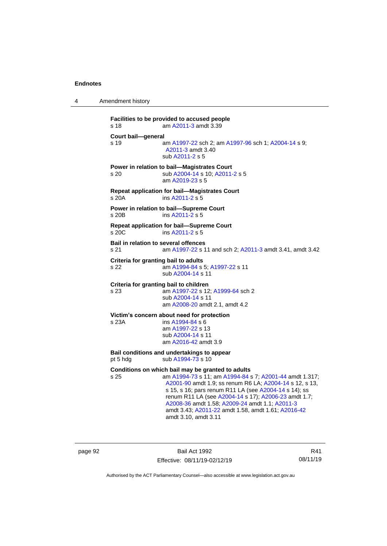4 Amendment history

```
Facilities to be provided to accused people
s 18 am A2011-3 amdt 3.39
Court bail—general
s 19 am A1997-22 sch 2; am A1997-96 sch 1; A2004-14 s 9; 
                 A2011-3 amdt 3.40
                sub A2011-2 s 5
Power in relation to bail—Magistrates Court
s 20 sub A2004-14 s 10; A2011-2 s 5
                am A2019-23 s 5
Repeat application for bail—Magistrates Court
s 20A ins A2011-2 s 5
Power in relation to bail—Supreme Court
s 20B ins A2011-2 s 5
Repeat application for bail—Supreme Court
s 20C ins A2011-2 s 5
Bail in relation to several offences
s 21 am A1997-22 s 11 and sch 2; A2011-3 amdt 3.41, amdt 3.42
Criteria for granting bail to adults
s 22 am A1994-84 s 5; A1997-22 s 11
                sub A2004-14 s 11
Criteria for granting bail to children
s 23 am A1997-22 s 12; A1999-64 sch 2
                sub A2004-14 s 11
                am A2008-20 amdt 2.1, amdt 4.2
Victim's concern about need for protection
s 23A ins A1994-84 s 6
                am A1997-22 s 13
                sub A2004-14 s 11
                am A2016-42 amdt 3.9
Bail conditions and undertakings to appear
 A1994-73 s 10
Conditions on which bail may be granted to adults
s 25 am A1994-73 s 11; am A1994-84 s 7; A2001-44 amdt 1.317; 
                 A2001-90 amdt 1.9; ss renum R6 LA; A2004-14 s 12, s 13, 
                 s 15, s 16; pars renum R11 LA (see A2004-14 s 14); ss
                 renum R11 LA (see A2004-14 s 17); A2006-23 amdt 1.7; 
                 A2008-36 amdt 1.58; A2009-24 amdt 1.1; A2011-3
                 amdt 3.43; A2011-22 amdt 1.58, amdt 1.61; A2016-42
                 amdt 3.10, amdt 3.11
```
page 92 Bail Act 1992 Effective: 08/11/19-02/12/19

R41 08/11/19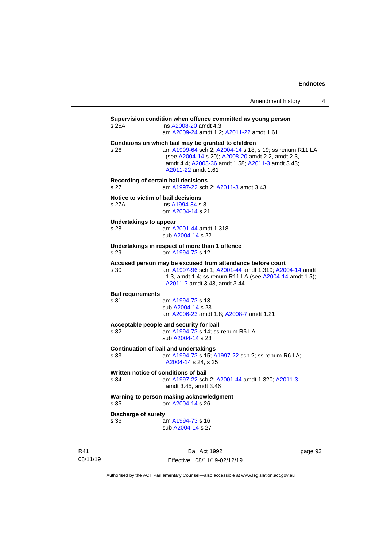| Amendment history |  |
|-------------------|--|
|-------------------|--|

**Supervision condition when offence committed as young person** s 25A ins [A2008-20](http://www.legislation.act.gov.au/a/2008-20) amdt 4.3 am [A2009-24](http://www.legislation.act.gov.au/a/2009-24) amdt 1.2[; A2011-22](http://www.legislation.act.gov.au/a/2011-22) amdt 1.61 **Conditions on which bail may be granted to children**<br>s 26 **am A1999-64** sch 2: A2004-14 s 18. am [A1999-64](http://www.legislation.act.gov.au/a/1999-64) sch 2; [A2004-14](http://www.legislation.act.gov.au/a/2004-14) s 18, s 19; ss renum R11 LA (see [A2004-14](http://www.legislation.act.gov.au/a/2004-14) s 20)[; A2008-20](http://www.legislation.act.gov.au/a/2008-20) amdt 2.2, amdt 2.3, amdt 4.4; [A2008-36](http://www.legislation.act.gov.au/a/2008-36) amdt 1.58[; A2011-3](http://www.legislation.act.gov.au/a/2011-3) amdt 3.43; [A2011-22](http://www.legislation.act.gov.au/a/2011-22) amdt 1.61 **Recording of certain bail decisions** s 27 am [A1997-22](http://www.legislation.act.gov.au/a/1997-22) sch 2; [A2011-3](http://www.legislation.act.gov.au/a/2011-3) amdt 3.43 **Notice to victim of bail decisions** s 27A ins [A1994-84](http://www.legislation.act.gov.au/a/1994-84) s 8 om [A2004-14](http://www.legislation.act.gov.au/a/2004-14) s 21 **Undertakings to appear** s 28 am [A2001-44](http://www.legislation.act.gov.au/a/2001-44) amdt 1.318 sub [A2004-14](http://www.legislation.act.gov.au/a/2004-14) s 22 **Undertakings in respect of more than 1 offence** s 29 om [A1994-73](http://www.legislation.act.gov.au/a/1994-73) s 12 **Accused person may be excused from attendance before court** s 30 am [A1997-96](http://www.legislation.act.gov.au/a/1997-96) sch 1; [A2001-44](http://www.legislation.act.gov.au/a/2001-44) amdt 1.319[; A2004-14](http://www.legislation.act.gov.au/a/2004-14) amdt 1.3, amdt 1.4; ss renum R11 LA (se[e A2004-14](http://www.legislation.act.gov.au/a/2004-14) amdt 1.5); [A2011-3](http://www.legislation.act.gov.au/a/2011-3) amdt 3.43, amdt 3.44 **Bail requirements** am [A1994-73](http://www.legislation.act.gov.au/a/1994-73) s 13 sub [A2004-14](http://www.legislation.act.gov.au/a/2004-14) s 23 am [A2006-23](http://www.legislation.act.gov.au/a/2006-23) amdt 1.8[; A2008-7](http://www.legislation.act.gov.au/a/2008-7) amdt 1.21 **Acceptable people and security for bail** s 32 am [A1994-73](http://www.legislation.act.gov.au/a/1994-73) s 14; ss renum R6 LA sub [A2004-14](http://www.legislation.act.gov.au/a/2004-14) s 23 **Continuation of bail and undertakings** s 33 am [A1994-73](http://www.legislation.act.gov.au/a/1994-73) s 15[; A1997-22](http://www.legislation.act.gov.au/a/1997-22) sch 2; ss renum R6 LA; [A2004-14](http://www.legislation.act.gov.au/a/2004-14) s 24, s 25 **Written notice of conditions of bail** s 34 am [A1997-22](http://www.legislation.act.gov.au/a/1997-22) sch 2; [A2001-44](http://www.legislation.act.gov.au/a/2001-44) amdt 1.320[; A2011-3](http://www.legislation.act.gov.au/a/2011-3) amdt 3.45, amdt 3.46 **Warning to person making acknowledgment** s 35 om [A2004-14](http://www.legislation.act.gov.au/a/2004-14) s 26 **Discharge of surety** s 36 am [A1994-73](http://www.legislation.act.gov.au/a/1994-73) s 16 sub [A2004-14](http://www.legislation.act.gov.au/a/2004-14) s 27

R41 08/11/19

Bail Act 1992 Effective: 08/11/19-02/12/19 page 93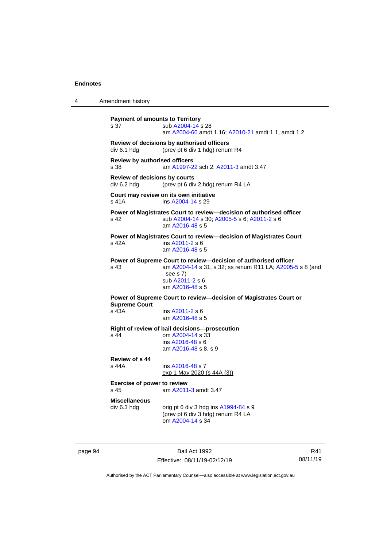```
4 Amendment history
           Payment of amounts to Territory
            A2004-14 s 28
                           am A2004-60 amdt 1.16; A2010-21 amdt 1.1, amdt 1.2
           Review of decisions by authorised officers
           div 6.1 hdg (prev pt 6 div 1 hdg) renum R4
           Review by authorised officers
           s 38 am A1997-22 sch 2; A2011-3 amdt 3.47
           Review of decisions by courts
           div 6.2 hdg (prev pt 6 div 2 hdg) renum R4 LA
           Court may review on its own initiative
           s 41A  A2004-14 s 29
           Power of Magistrates Court to review—decision of authorised officer
           s 42 sub A2004-14 s 30; A2005-5 s 6; A2011-2 s 6
                            am A2016-48 s 5
           Power of Magistrates Court to review—decision of Magistrates Court
           s 42A ins A2011-2 s 6
                           am A2016-48 s 5
           Power of Supreme Court to review—decision of authorised officer
           s 43 am A2004-14 s 31, s 32; ss renum R11 LA; A2005-5 s 8 (and 
                            see s 7)
                            sub A2011-2 s 6
                           am A2016-48 s 5
           Power of Supreme Court to review—decision of Magistrates Court or 
           Supreme Court<br>s 43A
                             A2011-2 s 6
                           am A2016-48 s 5
           Right of review of bail decisions—prosecution
           s 44 om A2004-14 s 33
                            ins A2016-48 s 6
                            am A2016-48 s 8, s 9
           Review of s 44
                             A2016-48 s 7
                           exp 1 May 2020 (s 44A (3))
           Exercise of power to review
           s 45 am A2011-3 amdt 3.47
           Miscellaneous
           div 6.3 hdg orig pt 6 div 3 hdg ins A1994-84 s 9(prev pt 6 div 3 hdg) renum R4 LA
                            om A2004-14 s 34
```
page 94 Bail Act 1992 Effective: 08/11/19-02/12/19

R41 08/11/19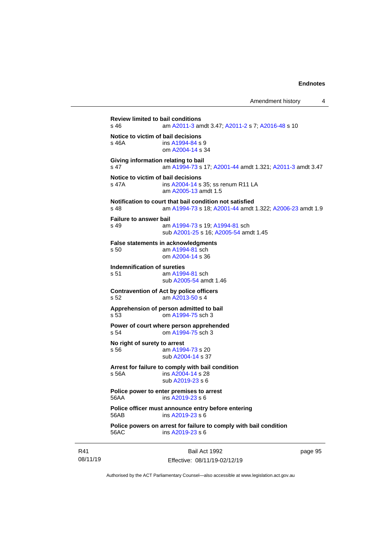Amendment history 4

**Review limited to bail conditions**<br>s 46 am A2011-3 an am [A2011-3](http://www.legislation.act.gov.au/a/2011-3) amdt 3.47[; A2011-2](http://www.legislation.act.gov.au/a/2011-2) s 7; [A2016-48](http://www.legislation.act.gov.au/a/2016-48/default.asp) s 10 **Notice to victim of bail decisions** s 46A ins [A1994-84](http://www.legislation.act.gov.au/a/1994-84) s 9 om [A2004-14](http://www.legislation.act.gov.au/a/2004-14) s 34 **Giving information relating to bail** s 47 am [A1994-73](http://www.legislation.act.gov.au/a/1994-73) s 17[; A2001-44](http://www.legislation.act.gov.au/a/2001-44) amdt 1.321; [A2011-3](http://www.legislation.act.gov.au/a/2011-3) amdt 3.47 **Notice to victim of bail decisions** s 47A **ins [A2004-14](http://www.legislation.act.gov.au/a/2004-14) s 35; ss renum R11 LA** am [A2005-13](http://www.legislation.act.gov.au/a/2005-13) amdt 1.5 **Notification to court that bail condition not satisfied** s 48 am [A1994-73](http://www.legislation.act.gov.au/a/1994-73) s 18[; A2001-44](http://www.legislation.act.gov.au/a/2001-44) amdt 1.322; [A2006-23](http://www.legislation.act.gov.au/a/2006-23) amdt 1.9 **Failure to answer bail** s 49 am [A1994-73](http://www.legislation.act.gov.au/a/1994-73) s 19[; A1994-81](http://www.legislation.act.gov.au/a/1994-81) sch sub [A2001-25](http://www.legislation.act.gov.au/a/2001-25) s 16[; A2005-54](http://www.legislation.act.gov.au/a/2005-54) amdt 1.45 **False statements in acknowledgments** s 50 am [A1994-81](http://www.legislation.act.gov.au/a/1994-81) sch om [A2004-14](http://www.legislation.act.gov.au/a/2004-14) s 36 **Indemnification of sureties** s 51 am [A1994-81](http://www.legislation.act.gov.au/a/1994-81) sch sub [A2005-54](http://www.legislation.act.gov.au/a/2005-54) amdt 1.46 **Contravention of Act by police officers** s 52 am [A2013-50](http://www.legislation.act.gov.au/a/2013-50) s 4 **Apprehension of person admitted to bail**<br>s 53 om A1994-75 sch 3 om [A1994-75](http://www.legislation.act.gov.au/a/1994-75) sch 3 **Power of court where person apprehended** s 54 om [A1994-75](http://www.legislation.act.gov.au/a/1994-75) sch 3 **No right of surety to arrest** s 56 am [A1994-73](http://www.legislation.act.gov.au/a/1994-73) s 20 sub [A2004-14](http://www.legislation.act.gov.au/a/2004-14) s 37 **Arrest for failure to comply with bail condition** s 56A ins [A2004-14](http://www.legislation.act.gov.au/a/2004-14) s 28 sub [A2019-23](http://www.legislation.act.gov.au/a/2019-23/default.asp) s 6 **Police power to enter premises to arrest** 56AA ins [A2019-23](http://www.legislation.act.gov.au/a/2019-23/default.asp) s 6 **Police officer must announce entry before entering** 56AB ins [A2019-23](http://www.legislation.act.gov.au/a/2019-23/default.asp) s 6 **Police powers on arrest for failure to comply with bail condition** 56AC ins [A2019-23](http://www.legislation.act.gov.au/a/2019-23/default.asp) s 6

R41 08/11/19

Bail Act 1992 Effective: 08/11/19-02/12/19 page 95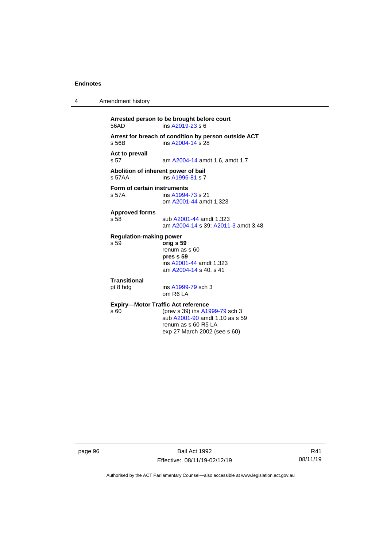4 Amendment history

```
Arrested person to be brought before court
                 ins A2019-23 s 6
Arrest for breach of condition by person outside ACT
s 56B ins A2004-14 s 28
Act to prevail
                  A2004-14 amdt 1.6, amdt 1.7
Abolition of inherent power of bail
s 57AA ins A1996-81 s 7
Form of certain instruments<br>s 57A ins A1994
                  A1994-73 s 21
                 om A2001-44 amdt 1.323
Approved forms
s 58 sub A2001-44 amdt 1.323
                 am A2004-14 s 39; A2011-3 amdt 3.48
Regulation-making power
s 59 orig s 59
                 renum as s 60
                 pres s 59
                 ins A2001-44 amdt 1.323
                 am A2004-14 s 40, s 41
Transitional
pt 8 hdg ins A1999-79 sch 3
                 om R6 LA
Expiry—Motor Traffic Act reference<br>s 60 (prev s 39) ins A19
                  A1999-79 sch 3
                 sub A2001-90 amdt 1.10 as s 59
                 renum as s 60 R5 LA
                 exp 27 March 2002 (see s 60)
```
page 96 Bail Act 1992 Effective: 08/11/19-02/12/19

R41 08/11/19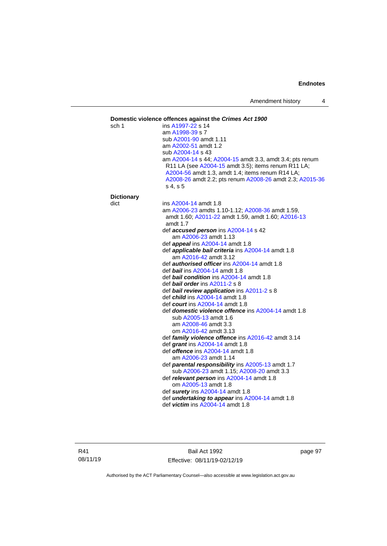### **Domestic violence offences against the** *Crimes Act 1900* sch 1 ins [A1997-22](http://www.legislation.act.gov.au/a/1997-22) s 14 am [A1998-39](http://www.legislation.act.gov.au/a/1998-39) s 7 sub [A2001-90](http://www.legislation.act.gov.au/a/2001-90) amdt 1.11 am [A2002-51](http://www.legislation.act.gov.au/a/2002-51) amdt 1.2 sub [A2004-14](http://www.legislation.act.gov.au/a/2004-14) s 43 am [A2004-14](http://www.legislation.act.gov.au/a/2004-14) s 44[; A2004-15](http://www.legislation.act.gov.au/a/2004-15) amdt 3.3, amdt 3.4; pts renum R11 LA (see [A2004-15](http://www.legislation.act.gov.au/a/2004-15) amdt 3.5); items renum R11 LA; [A2004-56](http://www.legislation.act.gov.au/a/2004-56) amdt 1.3, amdt 1.4; items renum R14 LA; [A2008-26](http://www.legislation.act.gov.au/a/2008-26) amdt 2.2; pts renum [A2008-26](http://www.legislation.act.gov.au/a/2008-26) amdt 2.3[; A2015-36](http://www.legislation.act.gov.au/a/2015-36) s 4, s 5 **Dictionary** dict ins [A2004-14](http://www.legislation.act.gov.au/a/2004-14) amdt 1.8 am [A2006-23](http://www.legislation.act.gov.au/a/2006-23) amdts 1.10-1.12[; A2008-36](http://www.legislation.act.gov.au/a/2008-36) amdt 1.59, amdt 1.60; [A2011-22](http://www.legislation.act.gov.au/a/2011-22) amdt 1.59, amdt 1.60; [A2016-13](http://www.legislation.act.gov.au/a/2016-13) amdt 1.7 def *accused person* ins [A2004-14](http://www.legislation.act.gov.au/a/2004-14) s 42 am [A2006-23](http://www.legislation.act.gov.au/a/2006-23) amdt 1.13 def *appeal* ins [A2004-14](http://www.legislation.act.gov.au/a/2004-14) amdt 1.8 def *applicable bail criteria* ins [A2004-14](http://www.legislation.act.gov.au/a/2004-14) amdt 1.8 am [A2016-42](http://www.legislation.act.gov.au/a/2016-42/default.asp) amdt 3.12 def *authorised officer* in[s A2004-14](http://www.legislation.act.gov.au/a/2004-14) amdt 1.8 def *bail* ins [A2004-14](http://www.legislation.act.gov.au/a/2004-14) amdt 1.8 def *bail condition* ins [A2004-14](http://www.legislation.act.gov.au/a/2004-14) amdt 1.8 def *bail order* in[s A2011-2](http://www.legislation.act.gov.au/a/2011-2) s 8 def *bail review application* in[s A2011-2](http://www.legislation.act.gov.au/a/2011-2) s 8 def *child* in[s A2004-14](http://www.legislation.act.gov.au/a/2004-14) amdt 1.8 def *court* ins [A2004-14](http://www.legislation.act.gov.au/a/2004-14) amdt 1.8 def *domestic violence offence* ins [A2004-14](http://www.legislation.act.gov.au/a/2004-14) amdt 1.8 sub [A2005-13](http://www.legislation.act.gov.au/a/2005-13) amdt 1.6 am [A2008-46](http://www.legislation.act.gov.au/a/2008-46) amdt 3.3 om [A2016-42](http://www.legislation.act.gov.au/a/2016-42/default.asp) amdt 3.13 def *family violence offence* in[s A2016-42](http://www.legislation.act.gov.au/a/2016-42/default.asp) amdt 3.14 def *grant* ins [A2004-14](http://www.legislation.act.gov.au/a/2004-14) amdt 1.8 def *offence* ins [A2004-14](http://www.legislation.act.gov.au/a/2004-14) amdt 1.8 am [A2006-23](http://www.legislation.act.gov.au/a/2006-23) amdt 1.14 def *parental responsibility* in[s A2005-13](http://www.legislation.act.gov.au/a/2005-13) amdt 1.7 sub [A2006-23](http://www.legislation.act.gov.au/a/2006-23) amdt 1.15[; A2008-20](http://www.legislation.act.gov.au/a/2008-20) amdt 3.3 def *relevant person* in[s A2004-14](http://www.legislation.act.gov.au/a/2004-14) amdt 1.8 om [A2005-13](http://www.legislation.act.gov.au/a/2005-13) amdt 1.8 def *surety* in[s A2004-14](http://www.legislation.act.gov.au/a/2004-14) amdt 1.8 def *undertaking to appear* ins [A2004-14](http://www.legislation.act.gov.au/a/2004-14) amdt 1.8 def *victim* in[s A2004-14](http://www.legislation.act.gov.au/a/2004-14) amdt 1.8

Bail Act 1992 Effective: 08/11/19-02/12/19 page 97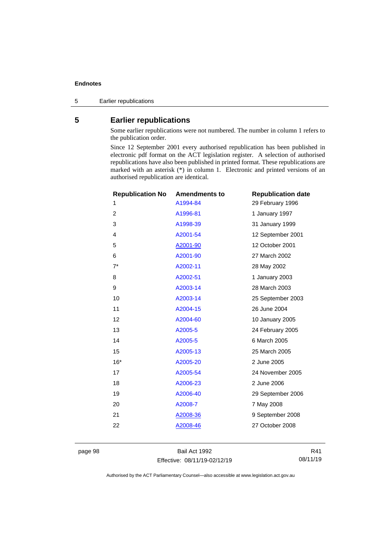5 Earlier republications

# **5 Earlier republications**

Some earlier republications were not numbered. The number in column 1 refers to the publication order.

Since 12 September 2001 every authorised republication has been published in electronic pdf format on the ACT legislation register. A selection of authorised republications have also been published in printed format. These republications are marked with an asterisk (\*) in column 1. Electronic and printed versions of an authorised republication are identical.

| <b>Republication No</b> | <b>Amendments to</b> | <b>Republication date</b> |
|-------------------------|----------------------|---------------------------|
| 1                       | A1994-84             | 29 February 1996          |
| $\overline{2}$          | A1996-81             | 1 January 1997            |
| 3                       | A1998-39             | 31 January 1999           |
| $\overline{4}$          | A2001-54             | 12 September 2001         |
| 5                       | A2001-90             | 12 October 2001           |
| 6                       | A2001-90             | 27 March 2002             |
| $7^*$                   | A2002-11             | 28 May 2002               |
| 8                       | A2002-51             | 1 January 2003            |
| 9                       | A2003-14             | 28 March 2003             |
| 10                      | A2003-14             | 25 September 2003         |
| 11                      | A2004-15             | 26 June 2004              |
| 12                      | A2004-60             | 10 January 2005           |
| 13                      | A2005-5              | 24 February 2005          |
| 14                      | A2005-5              | 6 March 2005              |
| 15                      | A2005-13             | 25 March 2005             |
| $16*$                   | A2005-20             | 2 June 2005               |
| 17                      | A2005-54             | 24 November 2005          |
| 18                      | A2006-23             | 2 June 2006               |
| 19                      | A2006-40             | 29 September 2006         |
| 20                      | A2008-7              | 7 May 2008                |
| 21                      | A2008-36             | 9 September 2008          |
| 22                      | A2008-46             | 27 October 2008           |
|                         |                      |                           |

page 98 Bail Act 1992 Effective: 08/11/19-02/12/19

R41 08/11/19